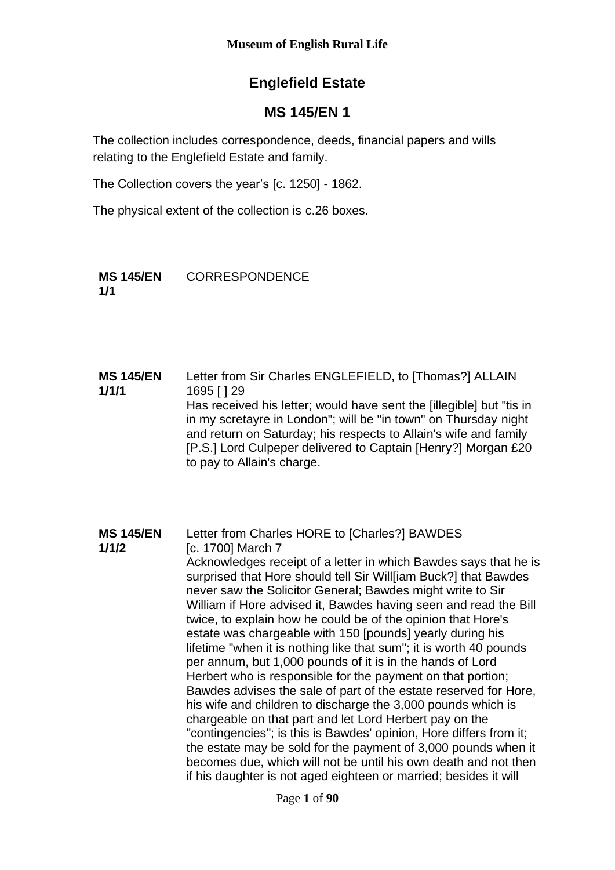# **Englefield Estate**

# **MS 145/EN 1**

The collection includes correspondence, deeds, financial papers and wills relating to the Englefield Estate and family.

The Collection covers the year's [c. 1250] - 1862.

The physical extent of the collection is c.26 boxes.

**MS 145/EN 1/1** CORRESPONDENCE

**MS 145/EN 1/1/1** Letter from Sir Charles ENGLEFIELD, to [Thomas?] ALLAIN 1695 [ ] 29 Has received his letter; would have sent the [illegible] but "tis in in my scretayre in London"; will be "in town" on Thursday night and return on Saturday; his respects to Allain's wife and family [P.S.] Lord Culpeper delivered to Captain [Henry?] Morgan £20 to pay to Allain's charge.

**MS 145/EN 1/1/2** Letter from Charles HORE to [Charles?] BAWDES [c. 1700] March 7 Acknowledges receipt of a letter in which Bawdes says that he is surprised that Hore should tell Sir Willliam Buck?I that Bawdes never saw the Solicitor General; Bawdes might write to Sir William if Hore advised it, Bawdes having seen and read the Bill twice, to explain how he could be of the opinion that Hore's estate was chargeable with 150 [pounds] yearly during his lifetime "when it is nothing like that sum"; it is worth 40 pounds per annum, but 1,000 pounds of it is in the hands of Lord Herbert who is responsible for the payment on that portion; Bawdes advises the sale of part of the estate reserved for Hore, his wife and children to discharge the 3,000 pounds which is chargeable on that part and let Lord Herbert pay on the "contingencies"; is this is Bawdes' opinion, Hore differs from it; the estate may be sold for the payment of 3,000 pounds when it becomes due, which will not be until his own death and not then if his daughter is not aged eighteen or married; besides it will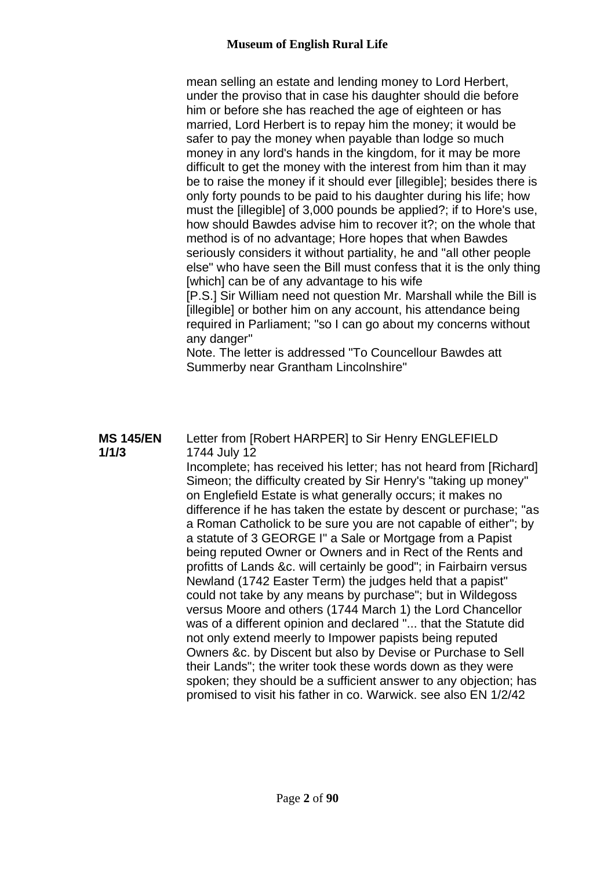### **Museum of English Rural Life**

mean selling an estate and lending money to Lord Herbert, under the proviso that in case his daughter should die before him or before she has reached the age of eighteen or has married, Lord Herbert is to repay him the money; it would be safer to pay the money when payable than lodge so much money in any lord's hands in the kingdom, for it may be more difficult to get the money with the interest from him than it may be to raise the money if it should ever [illegible]; besides there is only forty pounds to be paid to his daughter during his life; how must the [illegible] of 3,000 pounds be applied?; if to Hore's use, how should Bawdes advise him to recover it?; on the whole that method is of no advantage; Hore hopes that when Bawdes seriously considers it without partiality, he and "all other people else" who have seen the Bill must confess that it is the only thing [which] can be of any advantage to his wife

[P.S.] Sir William need not question Mr. Marshall while the Bill is [illegible] or bother him on any account, his attendance being required in Parliament; "so I can go about my concerns without any danger"

Note. The letter is addressed "To Councellour Bawdes att Summerby near Grantham Lincolnshire"

#### **MS 145/EN 1/1/3**

Letter from [Robert HARPER] to Sir Henry ENGLEFIELD 1744 July 12

Incomplete; has received his letter; has not heard from [Richard] Simeon; the difficulty created by Sir Henry's "taking up money" on Englefield Estate is what generally occurs; it makes no difference if he has taken the estate by descent or purchase; "as a Roman Catholick to be sure you are not capable of either"; by a statute of 3 GEORGE I" a Sale or Mortgage from a Papist being reputed Owner or Owners and in Rect of the Rents and profitts of Lands &c. will certainly be good"; in Fairbairn versus Newland (1742 Easter Term) the judges held that a papist" could not take by any means by purchase"; but in Wildegoss versus Moore and others (1744 March 1) the Lord Chancellor was of a different opinion and declared "... that the Statute did not only extend meerly to Impower papists being reputed Owners &c. by Discent but also by Devise or Purchase to Sell their Lands"; the writer took these words down as they were spoken; they should be a sufficient answer to any objection; has promised to visit his father in co. Warwick. see also EN 1/2/42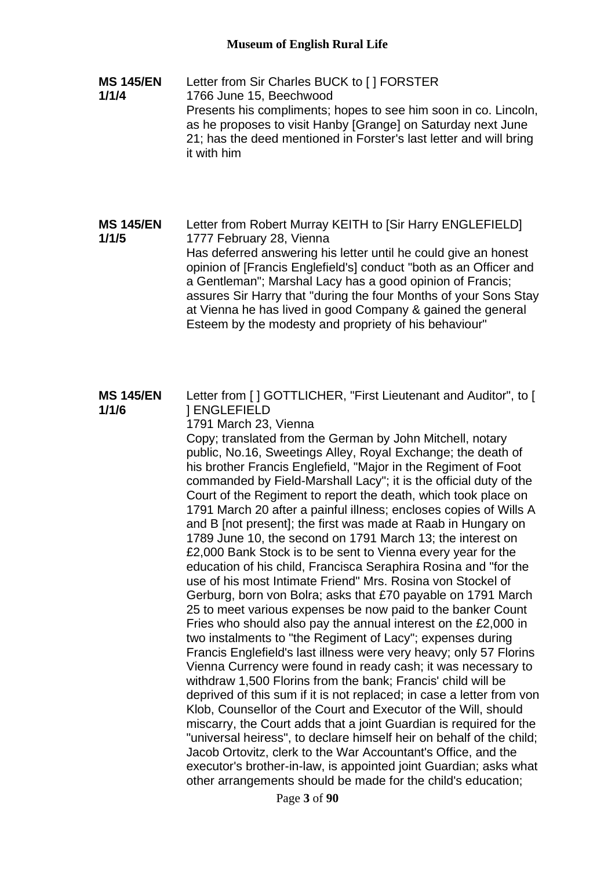**MS 145/EN 1/1/4** Letter from Sir Charles BUCK to [ ] FORSTER 1766 June 15, Beechwood Presents his compliments; hopes to see him soon in co. Lincoln, as he proposes to visit Hanby [Grange] on Saturday next June 21; has the deed mentioned in Forster's last letter and will bring it with him

**MS 145/EN 1/1/5** Letter from Robert Murray KEITH to [Sir Harry ENGLEFIELD] 1777 February 28, Vienna Has deferred answering his letter until he could give an honest opinion of [Francis Englefield's] conduct "both as an Officer and a Gentleman"; Marshal Lacy has a good opinion of Francis; assures Sir Harry that "during the four Months of your Sons Stay at Vienna he has lived in good Company & gained the general Esteem by the modesty and propriety of his behaviour"

#### **MS 145/EN 1/1/6** Letter from [ ] GOTTLICHER, "First Lieutenant and Auditor", to [ ] ENGLEFIELD

1791 March 23, Vienna Copy; translated from the German by John Mitchell, notary public, No.16, Sweetings Alley, Royal Exchange; the death of his brother Francis Englefield, "Major in the Regiment of Foot commanded by Field-Marshall Lacy"; it is the official duty of the Court of the Regiment to report the death, which took place on 1791 March 20 after a painful illness; encloses copies of Wills A and B [not present]; the first was made at Raab in Hungary on 1789 June 10, the second on 1791 March 13; the interest on £2,000 Bank Stock is to be sent to Vienna every year for the education of his child, Francisca Seraphira Rosina and "for the use of his most Intimate Friend" Mrs. Rosina von Stockel of Gerburg, born von Bolra; asks that £70 payable on 1791 March 25 to meet various expenses be now paid to the banker Count Fries who should also pay the annual interest on the £2,000 in two instalments to "the Regiment of Lacy"; expenses during Francis Englefield's last illness were very heavy; only 57 Florins Vienna Currency were found in ready cash; it was necessary to withdraw 1,500 Florins from the bank; Francis' child will be deprived of this sum if it is not replaced; in case a letter from von Klob, Counsellor of the Court and Executor of the Will, should miscarry, the Court adds that a joint Guardian is required for the "universal heiress", to declare himself heir on behalf of the child; Jacob Ortovitz, clerk to the War Accountant's Office, and the executor's brother-in-law, is appointed joint Guardian; asks what other arrangements should be made for the child's education;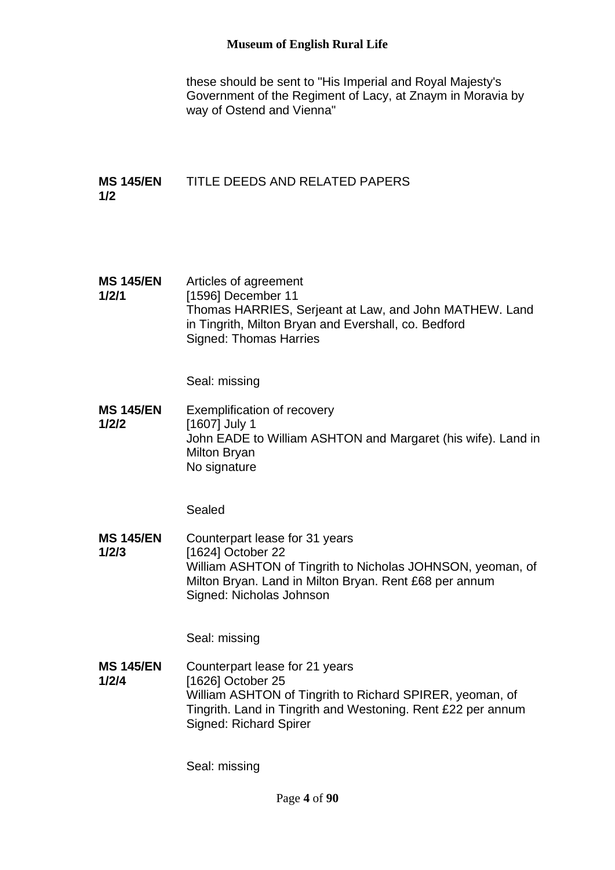### **Museum of English Rural Life**

these should be sent to "His Imperial and Royal Majesty's Government of the Regiment of Lacy, at Znaym in Moravia by way of Ostend and Vienna"

#### **MS 145/EN 1/2** TITLE DEEDS AND RELATED PAPERS

**MS 145/EN 1/2/1** Articles of agreement [1596] December 11 Thomas HARRIES, Serjeant at Law, and John MATHEW. Land in Tingrith, Milton Bryan and Evershall, co. Bedford Signed: Thomas Harries

Seal: missing

**MS 145/EN 1/2/2** Exemplification of recovery [1607] July 1 John EADE to William ASHTON and Margaret (his wife). Land in Milton Bryan No signature

Sealed

**MS 145/EN 1/2/3** Counterpart lease for 31 years [1624] October 22 William ASHTON of Tingrith to Nicholas JOHNSON, yeoman, of Milton Bryan. Land in Milton Bryan. Rent £68 per annum Signed: Nicholas Johnson

Seal: missing

**MS 145/EN 1/2/4** Counterpart lease for 21 years [1626] October 25 William ASHTON of Tingrith to Richard SPIRER, yeoman, of Tingrith. Land in Tingrith and Westoning. Rent £22 per annum Signed: Richard Spirer

Seal: missing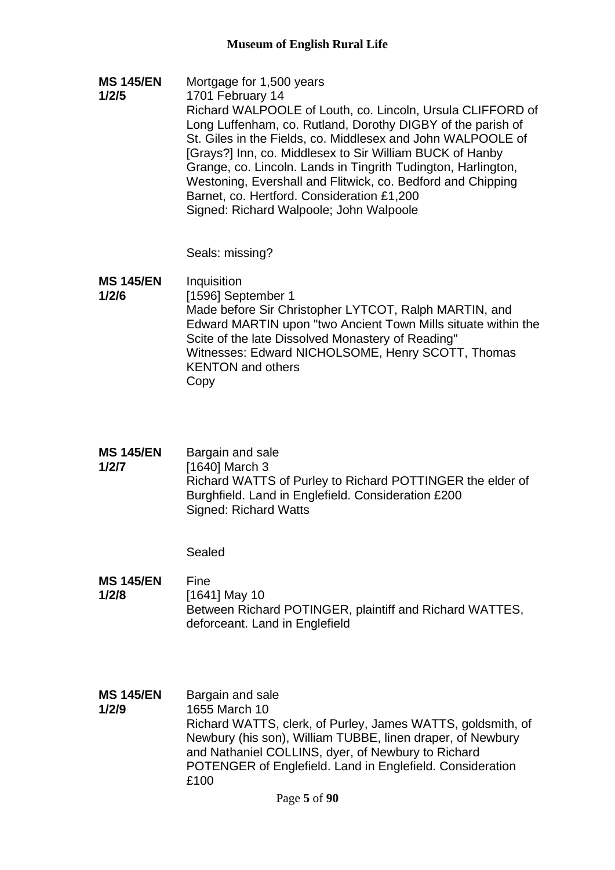**MS 145/EN 1/2/5** Mortgage for 1,500 years 1701 February 14 Richard WALPOOLE of Louth, co. Lincoln, Ursula CLIFFORD of Long Luffenham, co. Rutland, Dorothy DIGBY of the parish of St. Giles in the Fields, co. Middlesex and John WALPOOLE of [Grays?] Inn, co. Middlesex to Sir William BUCK of Hanby Grange, co. Lincoln. Lands in Tingrith Tudington, Harlington, Westoning, Evershall and Flitwick, co. Bedford and Chipping Barnet, co. Hertford. Consideration £1,200 Signed: Richard Walpoole; John Walpoole

Seals: missing?

- **MS 145/EN 1/2/6 Inquisition** [1596] September 1 Made before Sir Christopher LYTCOT, Ralph MARTIN, and Edward MARTIN upon "two Ancient Town Mills situate within the Scite of the late Dissolved Monastery of Reading" Witnesses: Edward NICHOLSOME, Henry SCOTT, Thomas KENTON and others Copy
- **MS 145/EN 1/2/7** Bargain and sale [1640] March 3 Richard WATTS of Purley to Richard POTTINGER the elder of Burghfield. Land in Englefield. Consideration £200 Signed: Richard Watts

Sealed

**MS 145/EN 1/2/8** Fine [1641] May 10 Between Richard POTINGER, plaintiff and Richard WATTES, deforceant. Land in Englefield

**MS 145/EN 1/2/9** Bargain and sale 1655 March 10 Richard WATTS, clerk, of Purley, James WATTS, goldsmith, of Newbury (his son), William TUBBE, linen draper, of Newbury and Nathaniel COLLINS, dyer, of Newbury to Richard POTENGER of Englefield. Land in Englefield. Consideration £100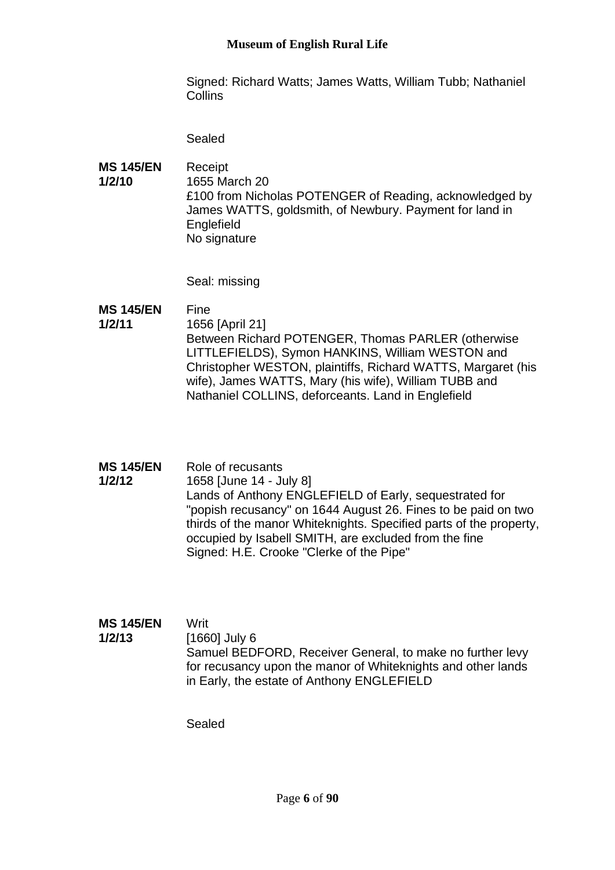Signed: Richard Watts; James Watts, William Tubb; Nathaniel **Collins** 

Sealed

**MS 145/EN 1/2/10** Receipt 1655 March 20 £100 from Nicholas POTENGER of Reading, acknowledged by James WATTS, goldsmith, of Newbury. Payment for land in **Englefield** No signature

Seal: missing

#### **MS 145/EN**  Fine

- **1/2/11** 1656 [April 21] Between Richard POTENGER, Thomas PARLER (otherwise LITTLEFIELDS), Symon HANKINS, William WESTON and Christopher WESTON, plaintiffs, Richard WATTS, Margaret (his wife), James WATTS, Mary (his wife), William TUBB and Nathaniel COLLINS, deforceants. Land in Englefield
- **MS 145/EN 1/2/12** Role of recusants 1658 [June 14 - July 8] Lands of Anthony ENGLEFIELD of Early, sequestrated for "popish recusancy" on 1644 August 26. Fines to be paid on two thirds of the manor Whiteknights. Specified parts of the property, occupied by Isabell SMITH, are excluded from the fine Signed: H.E. Crooke "Clerke of the Pipe"

#### **MS 145/EN 1/2/13** Writ [1660] July 6

Samuel BEDFORD, Receiver General, to make no further levy for recusancy upon the manor of Whiteknights and other lands in Early, the estate of Anthony ENGLEFIELD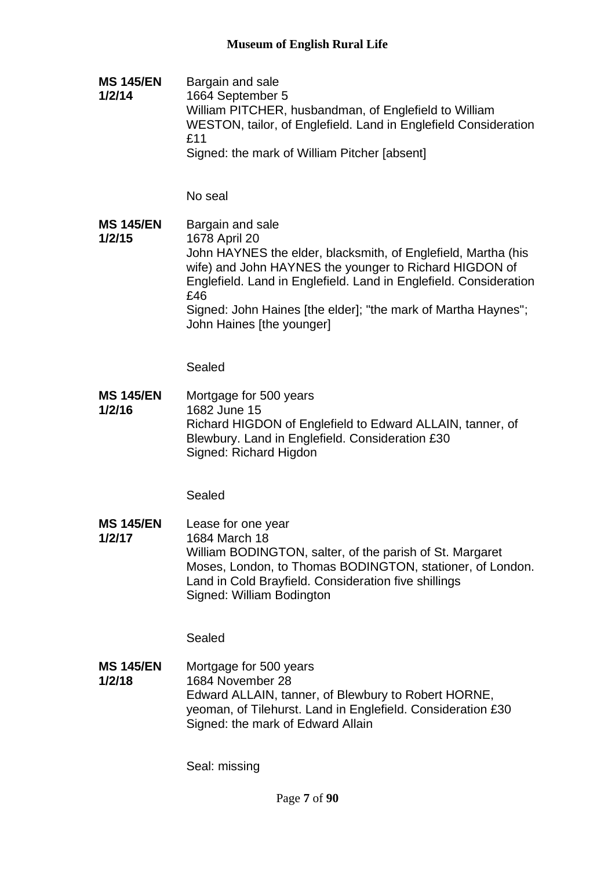**MS 145/EN 1/2/14** Bargain and sale 1664 September 5 William PITCHER, husbandman, of Englefield to William WESTON, tailor, of Englefield. Land in Englefield Consideration £11 Signed: the mark of William Pitcher [absent]

No seal

**MS 145/EN 1/2/15** Bargain and sale 1678 April 20 John HAYNES the elder, blacksmith, of Englefield, Martha (his wife) and John HAYNES the younger to Richard HIGDON of Englefield. Land in Englefield. Land in Englefield. Consideration £46 Signed: John Haines [the elder]; "the mark of Martha Haynes"; John Haines [the younger]

Sealed

**MS 145/EN 1/2/16** Mortgage for 500 years 1682 June 15 Richard HIGDON of Englefield to Edward ALLAIN, tanner, of Blewbury. Land in Englefield. Consideration £30 Signed: Richard Higdon

Sealed

**MS 145/EN 1/2/17** Lease for one year 1684 March 18 William BODINGTON, salter, of the parish of St. Margaret Moses, London, to Thomas BODINGTON, stationer, of London. Land in Cold Brayfield. Consideration five shillings Signed: William Bodington

Sealed

**MS 145/EN 1/2/18** Mortgage for 500 years 1684 November 28 Edward ALLAIN, tanner, of Blewbury to Robert HORNE, yeoman, of Tilehurst. Land in Englefield. Consideration £30 Signed: the mark of Edward Allain

Seal: missing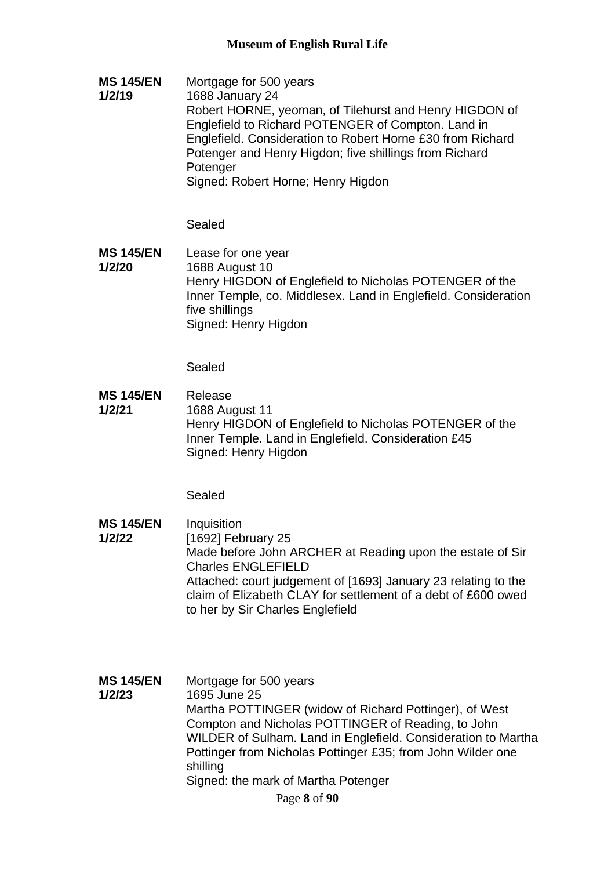**MS 145/EN 1/2/19** Mortgage for 500 years 1688 January 24 Robert HORNE, yeoman, of Tilehurst and Henry HIGDON of Englefield to Richard POTENGER of Compton. Land in Englefield. Consideration to Robert Horne £30 from Richard

Potenger and Henry Higdon; five shillings from Richard **Potenger** 

Signed: Robert Horne; Henry Higdon

Sealed

**MS 145/EN 1/2/20** Lease for one year 1688 August 10 Henry HIGDON of Englefield to Nicholas POTENGER of the Inner Temple, co. Middlesex. Land in Englefield. Consideration five shillings Signed: Henry Higdon

Sealed

**MS 145/EN 1/2/21** Release 1688 August 11 Henry HIGDON of Englefield to Nicholas POTENGER of the Inner Temple. Land in Englefield. Consideration £45 Signed: Henry Higdon

- **MS 145/EN 1/2/22 Inquisition** [1692] February 25 Made before John ARCHER at Reading upon the estate of Sir Charles ENGLEFIELD Attached: court judgement of [1693] January 23 relating to the claim of Elizabeth CLAY for settlement of a debt of £600 owed to her by Sir Charles Englefield
- **MS 145/EN 1/2/23** Mortgage for 500 years 1695 June 25 Martha POTTINGER (widow of Richard Pottinger), of West Compton and Nicholas POTTINGER of Reading, to John WILDER of Sulham. Land in Englefield. Consideration to Martha Pottinger from Nicholas Pottinger £35; from John Wilder one shilling Signed: the mark of Martha Potenger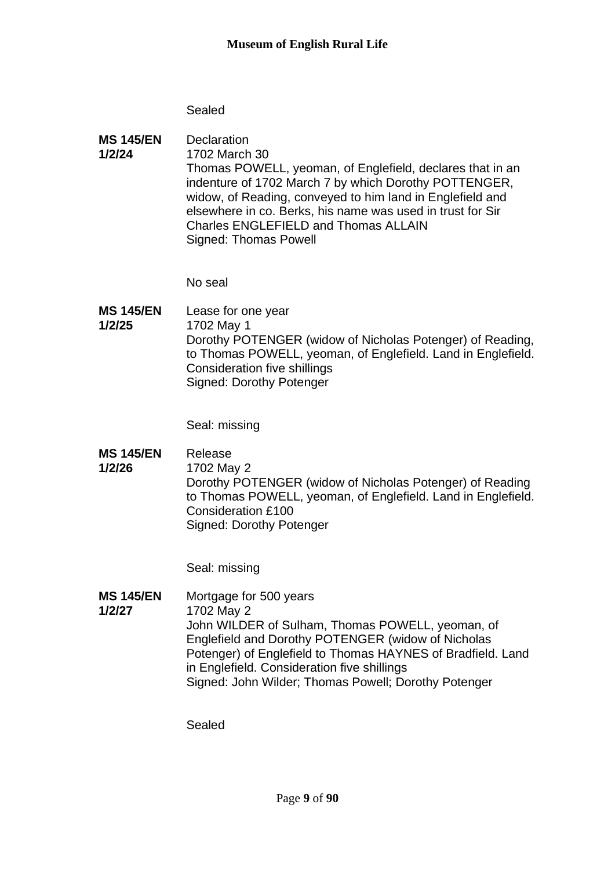### Sealed

**MS 145/EN 1/2/24 Declaration** 1702 March 30 Thomas POWELL, yeoman, of Englefield, declares that in an indenture of 1702 March 7 by which Dorothy POTTENGER, widow, of Reading, conveyed to him land in Englefield and elsewhere in co. Berks, his name was used in trust for Sir Charles ENGLEFIELD and Thomas ALLAIN Signed: Thomas Powell

No seal

**MS 145/EN 1/2/25** Lease for one year 1702 May 1 Dorothy POTENGER (widow of Nicholas Potenger) of Reading, to Thomas POWELL, yeoman, of Englefield. Land in Englefield. Consideration five shillings Signed: Dorothy Potenger

Seal: missing

- **MS 145/EN**  Release
- **1/2/26** 1702 May 2

Dorothy POTENGER (widow of Nicholas Potenger) of Reading to Thomas POWELL, yeoman, of Englefield. Land in Englefield. Consideration £100 Signed: Dorothy Potenger

Seal: missing

**MS 145/EN 1/2/27** Mortgage for 500 years 1702 May 2 John WILDER of Sulham, Thomas POWELL, yeoman, of Englefield and Dorothy POTENGER (widow of Nicholas Potenger) of Englefield to Thomas HAYNES of Bradfield. Land in Englefield. Consideration five shillings Signed: John Wilder; Thomas Powell; Dorothy Potenger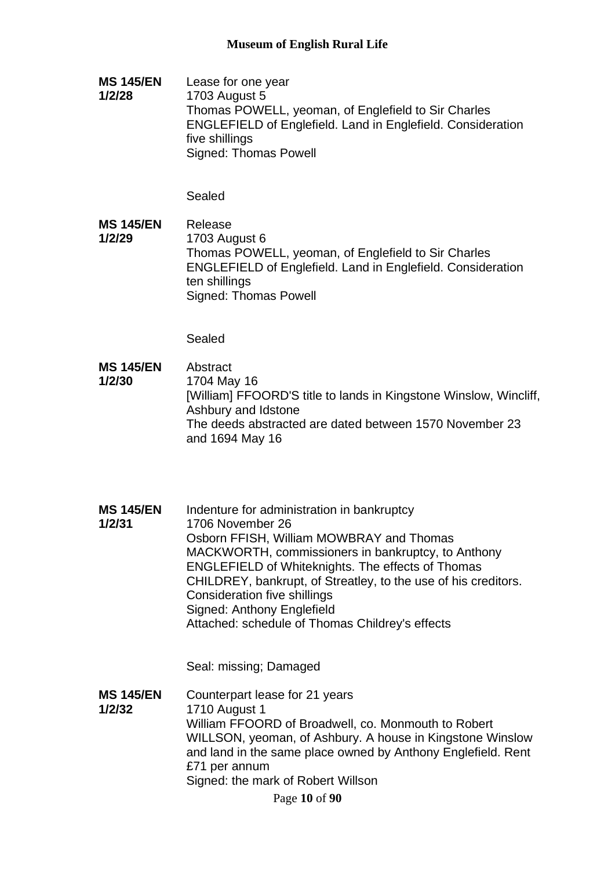**MS 145/EN 1/2/28** Lease for one year 1703 August 5 Thomas POWELL, yeoman, of Englefield to Sir Charles ENGLEFIELD of Englefield. Land in Englefield. Consideration five shillings Signed: Thomas Powell

Sealed

**MS 145/EN 1/2/29** Release 1703 August 6 Thomas POWELL, yeoman, of Englefield to Sir Charles ENGLEFIELD of Englefield. Land in Englefield. Consideration ten shillings Signed: Thomas Powell

Sealed

- **MS 145/EN 1/2/30** Abstract 1704 May 16 [William] FFOORD'S title to lands in Kingstone Winslow, Wincliff, Ashbury and Idstone The deeds abstracted are dated between 1570 November 23 and 1694 May 16
- **MS 145/EN 1/2/31** Indenture for administration in bankruptcy 1706 November 26 Osborn FFISH, William MOWBRAY and Thomas MACKWORTH, commissioners in bankruptcy, to Anthony ENGLEFIELD of Whiteknights. The effects of Thomas CHILDREY, bankrupt, of Streatley, to the use of his creditors. Consideration five shillings Signed: Anthony Englefield Attached: schedule of Thomas Childrey's effects

Seal: missing; Damaged

**MS 145/EN 1/2/32** Counterpart lease for 21 years 1710 August 1 William FFOORD of Broadwell, co. Monmouth to Robert WILLSON, yeoman, of Ashbury. A house in Kingstone Winslow and land in the same place owned by Anthony Englefield. Rent £71 per annum Signed: the mark of Robert Willson

Page **10** of **90**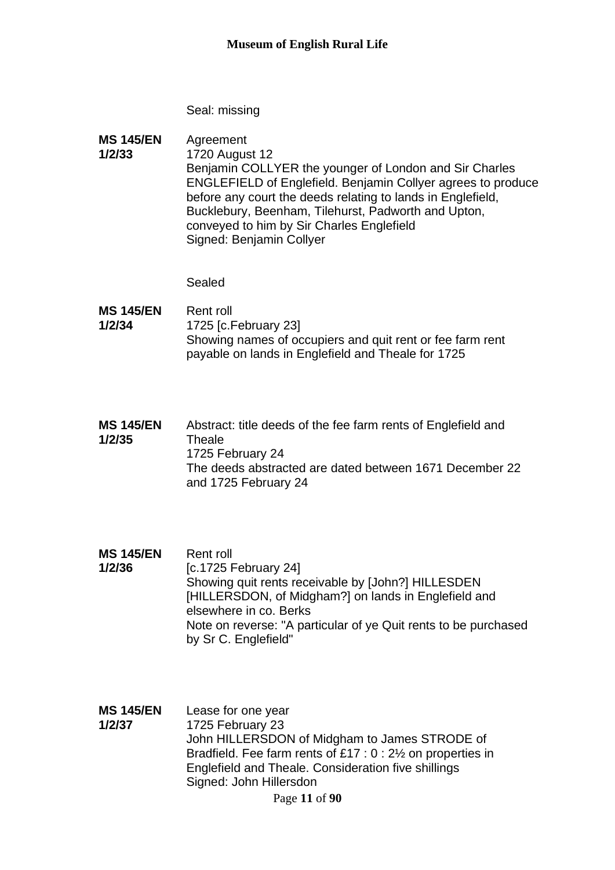Seal: missing

**MS 145/EN 1/2/33** Agreement 1720 August 12 Benjamin COLLYER the younger of London and Sir Charles ENGLEFIELD of Englefield. Benjamin Collyer agrees to produce before any court the deeds relating to lands in Englefield, Bucklebury, Beenham, Tilehurst, Padworth and Upton, conveyed to him by Sir Charles Englefield Signed: Benjamin Collyer

- **MS 145/EN 1/2/34** Rent roll 1725 [c.February 23] Showing names of occupiers and quit rent or fee farm rent payable on lands in Englefield and Theale for 1725
- **MS 145/EN 1/2/35** Abstract: title deeds of the fee farm rents of Englefield and **Theale** 1725 February 24 The deeds abstracted are dated between 1671 December 22 and 1725 February 24
- **MS 145/EN 1/2/36** Rent roll [c.1725 February 24] Showing quit rents receivable by [John?] HILLESDEN [HILLERSDON, of Midgham?] on lands in Englefield and elsewhere in co. Berks Note on reverse: "A particular of ye Quit rents to be purchased by Sr C. Englefield"
- **MS 145/EN 1/2/37** Lease for one year 1725 February 23 John HILLERSDON of Midgham to James STRODE of Bradfield. Fee farm rents of £17 : 0 : 2½ on properties in Englefield and Theale. Consideration five shillings Signed: John Hillersdon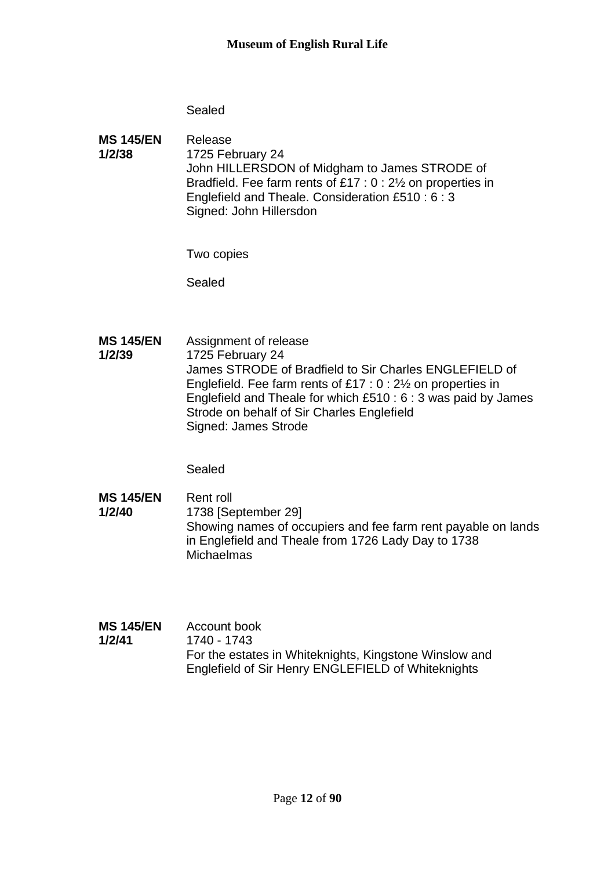### Sealed

**MS 145/EN 1/2/38** Release 1725 February 24 John HILLERSDON of Midgham to James STRODE of Bradfield. Fee farm rents of £17 : 0 : 2½ on properties in Englefield and Theale. Consideration £510 : 6 : 3 Signed: John Hillersdon

Two copies

Sealed

**MS 145/EN 1/2/39** Assignment of release 1725 February 24 James STRODE of Bradfield to Sir Charles ENGLEFIELD of Englefield. Fee farm rents of £17 : 0 : 2½ on properties in Englefield and Theale for which £510 : 6 : 3 was paid by James Strode on behalf of Sir Charles Englefield Signed: James Strode

Sealed

**MS 145/EN 1/2/40** Rent roll 1738 [September 29] Showing names of occupiers and fee farm rent payable on lands in Englefield and Theale from 1726 Lady Day to 1738 **Michaelmas** 

| <b>MS 145/EN</b> | Account book                                           |
|------------------|--------------------------------------------------------|
| 1/2/41           | 1740 - 1743                                            |
|                  | For the estates in Whiteknights, Kingstone Winslow and |
|                  | Englefield of Sir Henry ENGLEFIELD of Whiteknights     |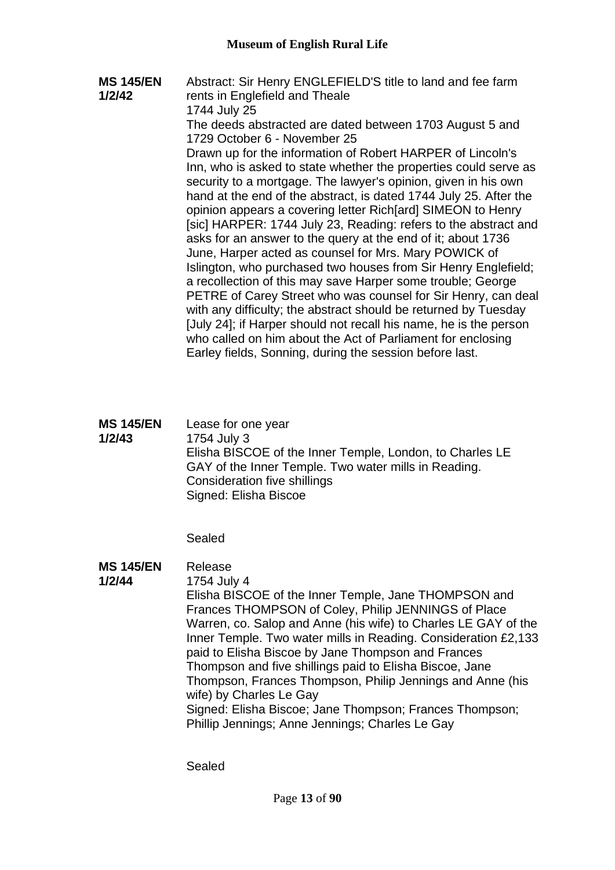**MS 145/EN 1/2/42** Abstract: Sir Henry ENGLEFIELD'S title to land and fee farm rents in Englefield and Theale 1744 July 25 The deeds abstracted are dated between 1703 August 5 and 1729 October 6 - November 25 Drawn up for the information of Robert HARPER of Lincoln's Inn, who is asked to state whether the properties could serve as security to a mortgage. The lawyer's opinion, given in his own hand at the end of the abstract, is dated 1744 July 25. After the opinion appears a covering letter Rich[ard] SIMEON to Henry [sic] HARPER: 1744 July 23, Reading: refers to the abstract and asks for an answer to the query at the end of it; about 1736 June, Harper acted as counsel for Mrs. Mary POWICK of Islington, who purchased two houses from Sir Henry Englefield; a recollection of this may save Harper some trouble; George PETRE of Carey Street who was counsel for Sir Henry, can deal with any difficulty; the abstract should be returned by Tuesday [July 24]; if Harper should not recall his name, he is the person who called on him about the Act of Parliament for enclosing Earley fields, Sonning, during the session before last.

| <b>MS 145/EN</b> | Lease for one year                                       |
|------------------|----------------------------------------------------------|
| 1/2/43           | 1754 July 3                                              |
|                  | Elisha BISCOE of the Inner Temple, London, to Charles LE |
|                  | GAY of the Inner Temple. Two water mills in Reading.     |
|                  | Consideration five shillings                             |
|                  | Signed: Elisha Biscoe                                    |

Sealed

**MS 145/EN**  Release

#### **1/2/44** 1754 July 4

Elisha BISCOE of the Inner Temple, Jane THOMPSON and Frances THOMPSON of Coley, Philip JENNINGS of Place Warren, co. Salop and Anne (his wife) to Charles LE GAY of the Inner Temple. Two water mills in Reading. Consideration £2,133 paid to Elisha Biscoe by Jane Thompson and Frances Thompson and five shillings paid to Elisha Biscoe, Jane Thompson, Frances Thompson, Philip Jennings and Anne (his wife) by Charles Le Gay Signed: Elisha Biscoe; Jane Thompson; Frances Thompson; Phillip Jennings; Anne Jennings; Charles Le Gay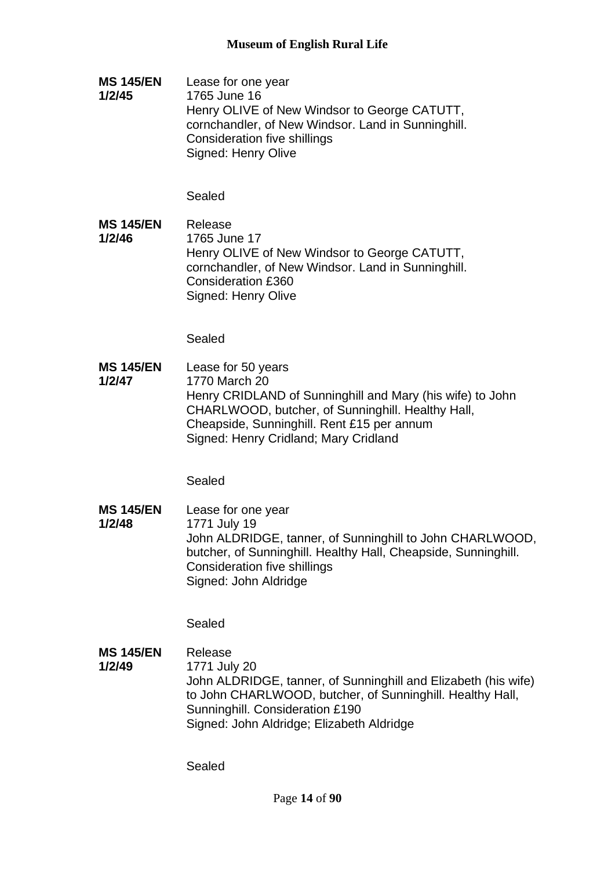**MS 145/EN 1/2/45** Lease for one year 1765 June 16 Henry OLIVE of New Windsor to George CATUTT, cornchandler, of New Windsor. Land in Sunninghill. Consideration five shillings Signed: Henry Olive

## Sealed

**MS 145/EN 1/2/46** Release 1765 June 17 Henry OLIVE of New Windsor to George CATUTT, cornchandler, of New Windsor. Land in Sunninghill. Consideration £360 Signed: Henry Olive

Sealed

**MS 145/EN 1/2/47** Lease for 50 years 1770 March 20 Henry CRIDLAND of Sunninghill and Mary (his wife) to John CHARLWOOD, butcher, of Sunninghill. Healthy Hall, Cheapside, Sunninghill. Rent £15 per annum Signed: Henry Cridland; Mary Cridland

Sealed

**MS 145/EN 1/2/48** Lease for one year 1771 July 19 John ALDRIDGE, tanner, of Sunninghill to John CHARLWOOD, butcher, of Sunninghill. Healthy Hall, Cheapside, Sunninghill. Consideration five shillings Signed: John Aldridge

Sealed

**MS 145/EN 1/2/49** Release 1771 July 20 John ALDRIDGE, tanner, of Sunninghill and Elizabeth (his wife) to John CHARLWOOD, butcher, of Sunninghill. Healthy Hall, Sunninghill. Consideration £190 Signed: John Aldridge; Elizabeth Aldridge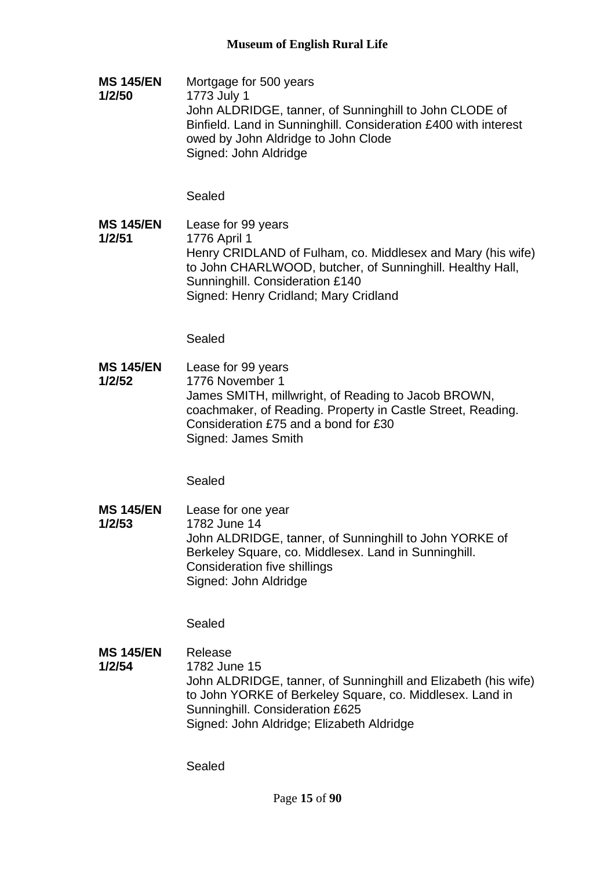**MS 145/EN 1/2/50** Mortgage for 500 years 1773 July 1 John ALDRIDGE, tanner, of Sunninghill to John CLODE of Binfield. Land in Sunninghill. Consideration £400 with interest owed by John Aldridge to John Clode Signed: John Aldridge

Sealed

**MS 145/EN 1/2/51** Lease for 99 years 1776 April 1 Henry CRIDLAND of Fulham, co. Middlesex and Mary (his wife) to John CHARLWOOD, butcher, of Sunninghill. Healthy Hall, Sunninghill. Consideration £140 Signed: Henry Cridland; Mary Cridland

Sealed

**MS 145/EN 1/2/52** Lease for 99 years 1776 November 1 James SMITH, millwright, of Reading to Jacob BROWN, coachmaker, of Reading. Property in Castle Street, Reading. Consideration £75 and a bond for £30 Signed: James Smith

Sealed

**MS 145/EN 1/2/53** Lease for one year 1782 June 14 John ALDRIDGE, tanner, of Sunninghill to John YORKE of Berkeley Square, co. Middlesex. Land in Sunninghill. Consideration five shillings Signed: John Aldridge

Sealed

**MS 145/EN 1/2/54** Release 1782 June 15 John ALDRIDGE, tanner, of Sunninghill and Elizabeth (his wife) to John YORKE of Berkeley Square, co. Middlesex. Land in Sunninghill. Consideration £625 Signed: John Aldridge; Elizabeth Aldridge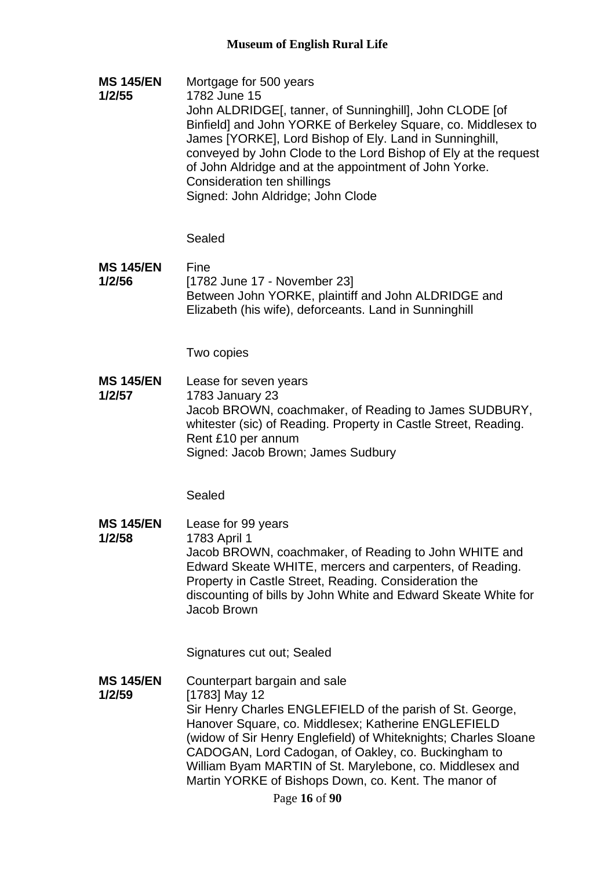**MS 145/EN 1/2/55** Mortgage for 500 years 1782 June 15 John ALDRIDGE[, tanner, of Sunninghill], John CLODE [of Binfield] and John YORKE of Berkeley Square, co. Middlesex to James [YORKE], Lord Bishop of Ely. Land in Sunninghill, conveyed by John Clode to the Lord Bishop of Ely at the request of John Aldridge and at the appointment of John Yorke. Consideration ten shillings Signed: John Aldridge; John Clode

Sealed

**MS 145/EN 1/2/56** Fine [1782 June 17 - November 23] Between John YORKE, plaintiff and John ALDRIDGE and Elizabeth (his wife), deforceants. Land in Sunninghill

Two copies

**MS 145/EN 1/2/57** Lease for seven years 1783 January 23 Jacob BROWN, coachmaker, of Reading to James SUDBURY, whitester (sic) of Reading. Property in Castle Street, Reading. Rent £10 per annum Signed: Jacob Brown; James Sudbury

Sealed

**MS 145/EN 1/2/58** Lease for 99 years 1783 April 1 Jacob BROWN, coachmaker, of Reading to John WHITE and Edward Skeate WHITE, mercers and carpenters, of Reading. Property in Castle Street, Reading. Consideration the discounting of bills by John White and Edward Skeate White for Jacob Brown

Signatures cut out; Sealed

**MS 145/EN 1/2/59** Counterpart bargain and sale [1783] May 12 Sir Henry Charles ENGLEFIELD of the parish of St. George, Hanover Square, co. Middlesex; Katherine ENGLEFIELD (widow of Sir Henry Englefield) of Whiteknights; Charles Sloane CADOGAN, Lord Cadogan, of Oakley, co. Buckingham to William Byam MARTIN of St. Marylebone, co. Middlesex and Martin YORKE of Bishops Down, co. Kent. The manor of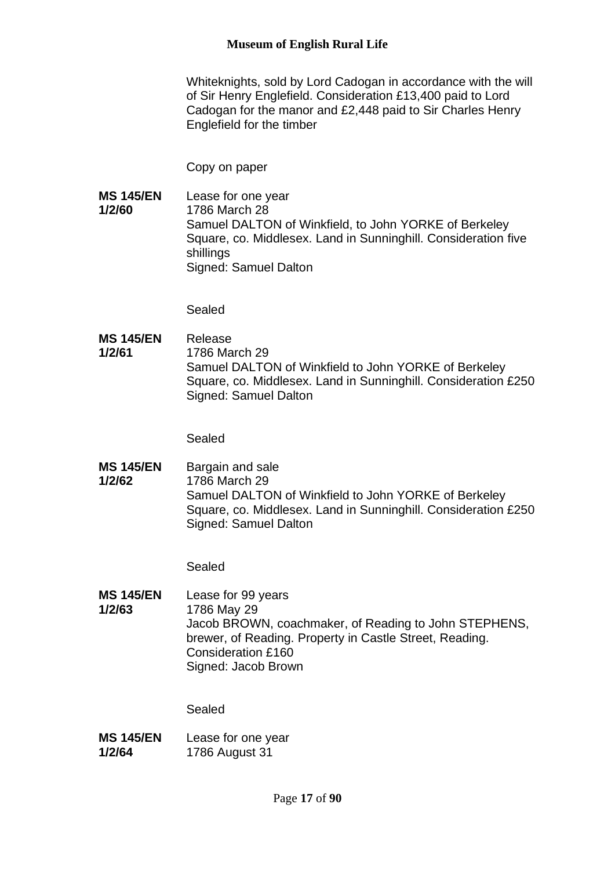### **Museum of English Rural Life**

Whiteknights, sold by Lord Cadogan in accordance with the will of Sir Henry Englefield. Consideration £13,400 paid to Lord Cadogan for the manor and £2,448 paid to Sir Charles Henry Englefield for the timber

Copy on paper

**MS 145/EN 1/2/60** Lease for one year 1786 March 28 Samuel DALTON of Winkfield, to John YORKE of Berkeley Square, co. Middlesex. Land in Sunninghill. Consideration five shillings Signed: Samuel Dalton

Sealed

**MS 145/EN 1/2/61** Release 1786 March 29 Samuel DALTON of Winkfield to John YORKE of Berkeley Square, co. Middlesex. Land in Sunninghill. Consideration £250 Signed: Samuel Dalton

Sealed

**MS 145/EN 1/2/62** Bargain and sale 1786 March 29 Samuel DALTON of Winkfield to John YORKE of Berkeley Square, co. Middlesex. Land in Sunninghill. Consideration £250 Signed: Samuel Dalton

Sealed

**MS 145/EN 1/2/63** Lease for 99 years 1786 May 29 Jacob BROWN, coachmaker, of Reading to John STEPHENS, brewer, of Reading. Property in Castle Street, Reading. Consideration £160 Signed: Jacob Brown

| <b>MS 145/EN</b> | Lease for one year |
|------------------|--------------------|
| 1/2/64           | 1786 August 31     |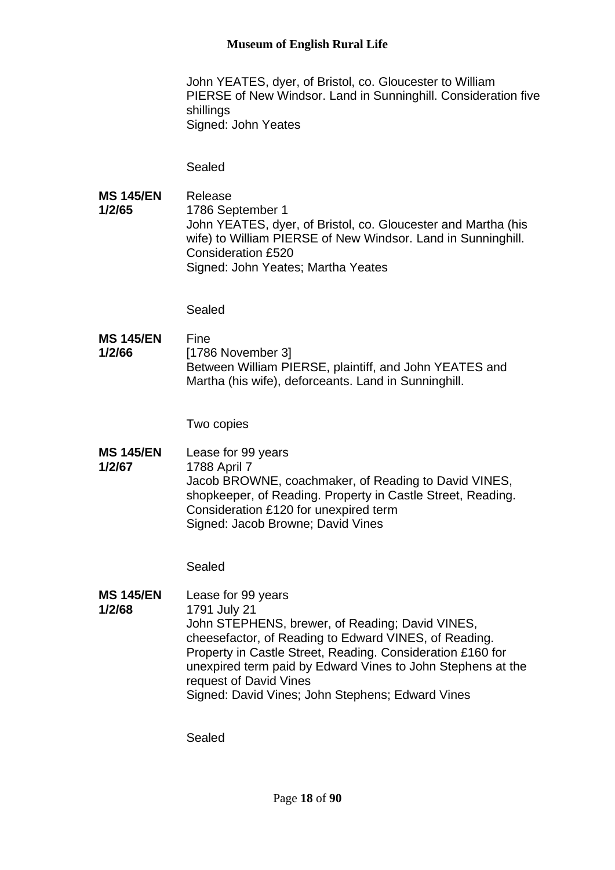### **Museum of English Rural Life**

John YEATES, dyer, of Bristol, co. Gloucester to William PIERSE of New Windsor. Land in Sunninghill. Consideration five shillings Signed: John Yeates

Sealed

**MS 145/EN 1/2/65** Release 1786 September 1 John YEATES, dyer, of Bristol, co. Gloucester and Martha (his wife) to William PIERSE of New Windsor. Land in Sunninghill. Consideration £520 Signed: John Yeates; Martha Yeates

Sealed

**MS 145/EN 1/2/66** Fine [1786 November 3] Between William PIERSE, plaintiff, and John YEATES and Martha (his wife), deforceants. Land in Sunninghill.

Two copies

**MS 145/EN 1/2/67** Lease for 99 years 1788 April 7 Jacob BROWNE, coachmaker, of Reading to David VINES, shopkeeper, of Reading. Property in Castle Street, Reading. Consideration £120 for unexpired term Signed: Jacob Browne; David Vines

Sealed

**MS 145/EN 1/2/68** Lease for 99 years 1791 July 21 John STEPHENS, brewer, of Reading; David VINES, cheesefactor, of Reading to Edward VINES, of Reading. Property in Castle Street, Reading. Consideration £160 for unexpired term paid by Edward Vines to John Stephens at the request of David Vines Signed: David Vines; John Stephens; Edward Vines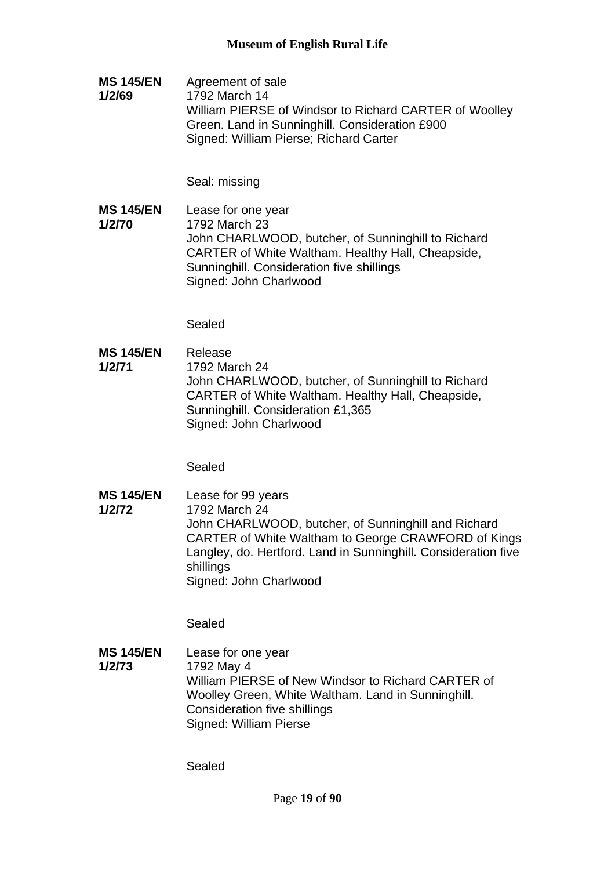**MS 145/EN 1/2/69** Agreement of sale 1792 March 14 William PIERSE of Windsor to Richard CARTER of Woolley Green. Land in Sunninghill. Consideration £900 Signed: William Pierse; Richard Carter

Seal: missing

**MS 145/EN 1/2/70** Lease for one year 1792 March 23 John CHARLWOOD, butcher, of Sunninghill to Richard CARTER of White Waltham. Healthy Hall, Cheapside, Sunninghill. Consideration five shillings Signed: John Charlwood

Sealed

**MS 145/EN 1/2/71** Release 1792 March 24 John CHARLWOOD, butcher, of Sunninghill to Richard CARTER of White Waltham. Healthy Hall, Cheapside, Sunninghill. Consideration £1,365 Signed: John Charlwood

Sealed

**MS 145/EN 1/2/72** Lease for 99 years 1792 March 24 John CHARLWOOD, butcher, of Sunninghill and Richard CARTER of White Waltham to George CRAWFORD of Kings Langley, do. Hertford. Land in Sunninghill. Consideration five shillings Signed: John Charlwood

Sealed

**MS 145/EN 1/2/73** Lease for one year 1792 May 4 William PIERSE of New Windsor to Richard CARTER of Woolley Green, White Waltham. Land in Sunninghill. Consideration five shillings Signed: William Pierse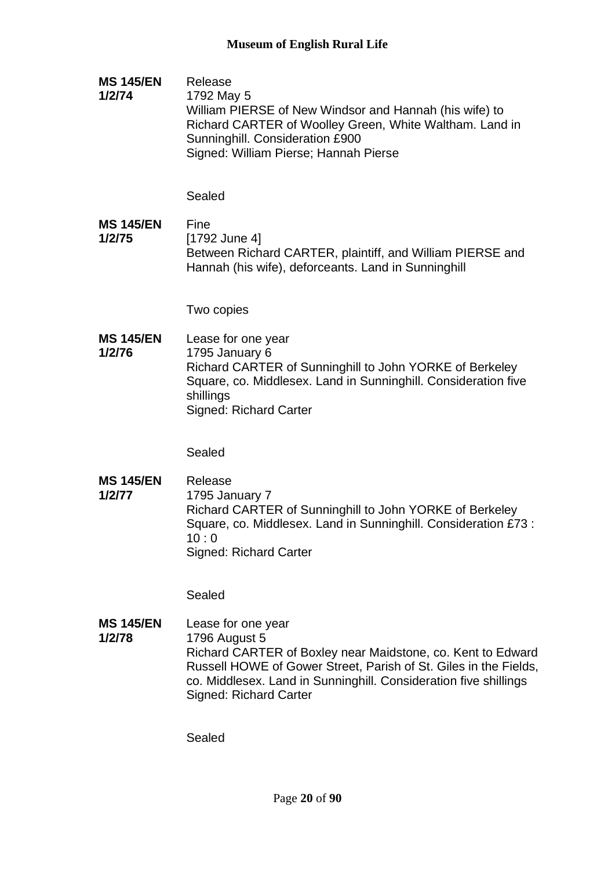**MS 145/EN 1/2/74** Release 1792 May 5 William PIERSE of New Windsor and Hannah (his wife) to Richard CARTER of Woolley Green, White Waltham. Land in Sunninghill. Consideration £900 Signed: William Pierse; Hannah Pierse

Sealed

**MS 145/EN 1/2/75** Fine [1792 June 4] Between Richard CARTER, plaintiff, and William PIERSE and Hannah (his wife), deforceants. Land in Sunninghill

Two copies

**MS 145/EN 1/2/76** Lease for one year 1795 January 6 Richard CARTER of Sunninghill to John YORKE of Berkeley Square, co. Middlesex. Land in Sunninghill. Consideration five shillings Signed: Richard Carter

Sealed

**MS 145/EN 1/2/77** Release 1795 January 7 Richard CARTER of Sunninghill to John YORKE of Berkeley Square, co. Middlesex. Land in Sunninghill. Consideration £73 :  $10:0$ Signed: Richard Carter

Sealed

**MS 145/EN 1/2/78** Lease for one year 1796 August 5 Richard CARTER of Boxley near Maidstone, co. Kent to Edward Russell HOWE of Gower Street, Parish of St. Giles in the Fields, co. Middlesex. Land in Sunninghill. Consideration five shillings Signed: Richard Carter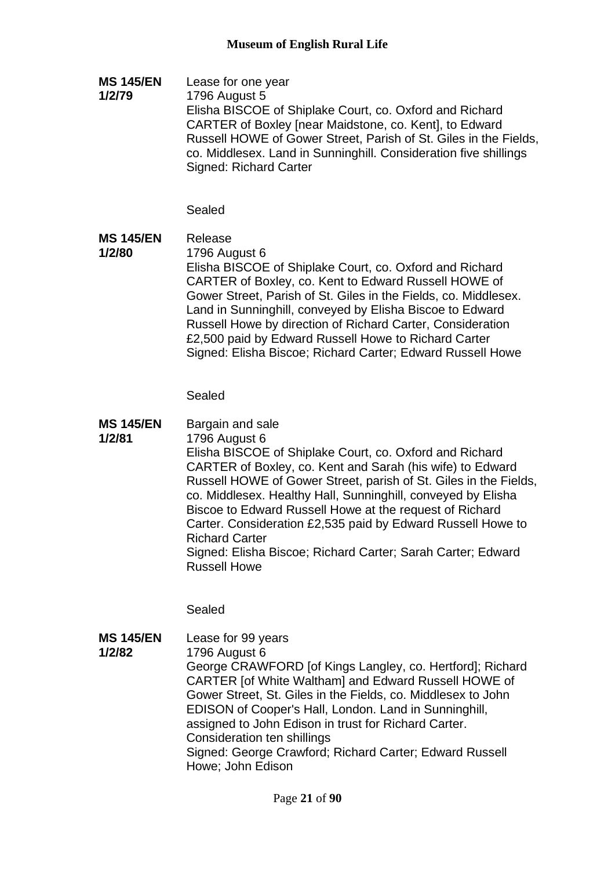**MS 145/EN 1/2/79** Lease for one year 1796 August 5 Elisha BISCOE of Shiplake Court, co. Oxford and Richard CARTER of Boxley [near Maidstone, co. Kent], to Edward Russell HOWE of Gower Street, Parish of St. Giles in the Fields, co. Middlesex. Land in Sunninghill. Consideration five shillings Signed: Richard Carter

## Sealed

**MS 145/EN 1/2/80** Release 1796 August 6 Elisha BISCOE of Shiplake Court, co. Oxford and Richard CARTER of Boxley, co. Kent to Edward Russell HOWE of Gower Street, Parish of St. Giles in the Fields, co. Middlesex. Land in Sunninghill, conveyed by Elisha Biscoe to Edward Russell Howe by direction of Richard Carter, Consideration £2,500 paid by Edward Russell Howe to Richard Carter Signed: Elisha Biscoe; Richard Carter; Edward Russell Howe

Sealed

**MS 145/EN 1/2/81** Bargain and sale 1796 August 6 Elisha BISCOE of Shiplake Court, co. Oxford and Richard CARTER of Boxley, co. Kent and Sarah (his wife) to Edward Russell HOWE of Gower Street, parish of St. Giles in the Fields, co. Middlesex. Healthy Hall, Sunninghill, conveyed by Elisha Biscoe to Edward Russell Howe at the request of Richard Carter. Consideration £2,535 paid by Edward Russell Howe to Richard Carter Signed: Elisha Biscoe; Richard Carter; Sarah Carter; Edward Russell Howe

Sealed

**MS 145/EN 1/2/82** Lease for 99 years 1796 August 6 George CRAWFORD [of Kings Langley, co. Hertford]; Richard CARTER [of White Waltham] and Edward Russell HOWE of Gower Street, St. Giles in the Fields, co. Middlesex to John EDISON of Cooper's Hall, London. Land in Sunninghill, assigned to John Edison in trust for Richard Carter. Consideration ten shillings Signed: George Crawford; Richard Carter; Edward Russell Howe; John Edison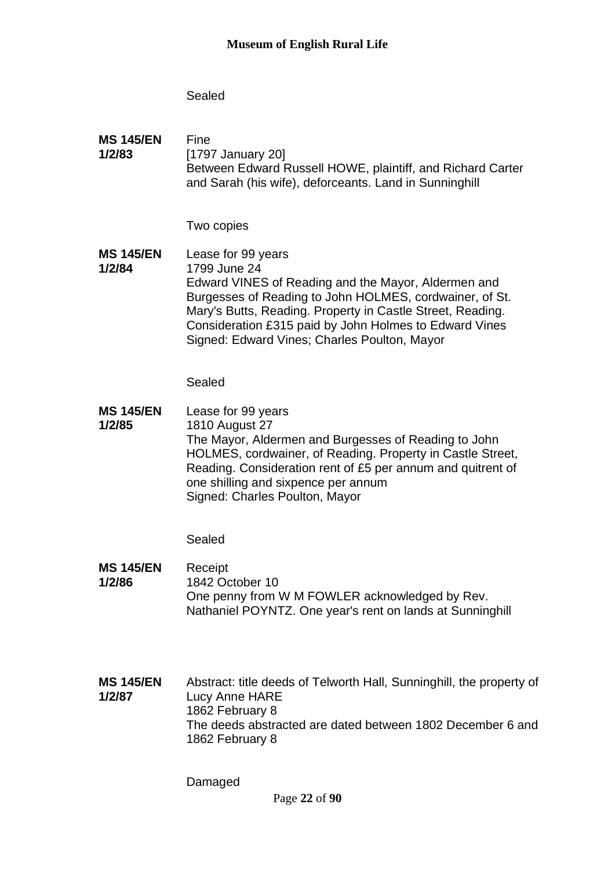## Sealed

**MS 145/EN 1/2/83** Fine [1797 January 20] Between Edward Russell HOWE, plaintiff, and Richard Carter and Sarah (his wife), deforceants. Land in Sunninghill

Two copies

**MS 145/EN 1/2/84** Lease for 99 years 1799 June 24 Edward VINES of Reading and the Mayor, Aldermen and Burgesses of Reading to John HOLMES, cordwainer, of St. Mary's Butts, Reading. Property in Castle Street, Reading. Consideration £315 paid by John Holmes to Edward Vines Signed: Edward Vines; Charles Poulton, Mayor

Sealed

**MS 145/EN 1/2/85** Lease for 99 years 1810 August 27 The Mayor, Aldermen and Burgesses of Reading to John HOLMES, cordwainer, of Reading. Property in Castle Street, Reading. Consideration rent of £5 per annum and quitrent of one shilling and sixpence per annum Signed: Charles Poulton, Mayor

Sealed

**MS 145/EN 1/2/86** Receipt 1842 October 10 One penny from W M FOWLER acknowledged by Rev. Nathaniel POYNTZ. One year's rent on lands at Sunninghill

**MS 145/EN 1/2/87** Abstract: title deeds of Telworth Hall, Sunninghill, the property of Lucy Anne HARE 1862 February 8 The deeds abstracted are dated between 1802 December 6 and 1862 February 8

Damaged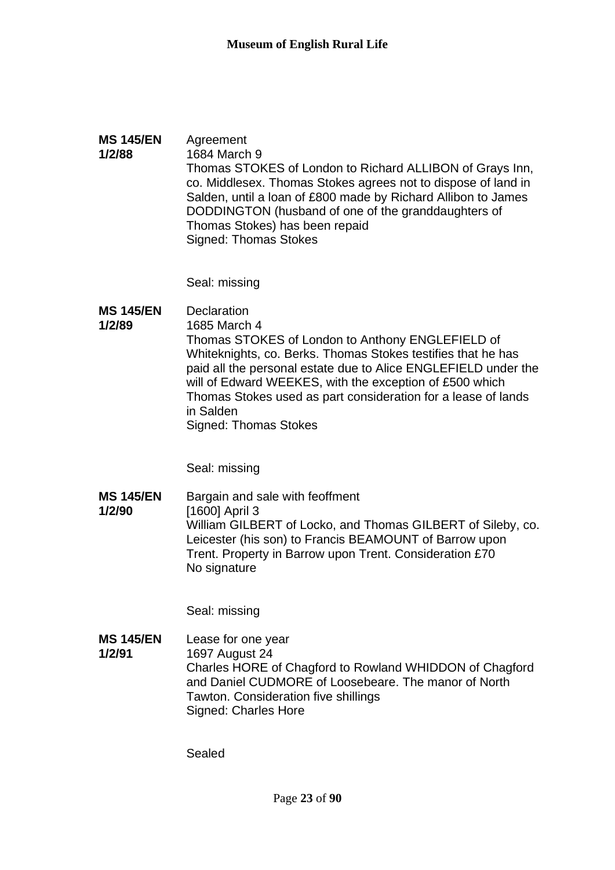#### **MS 145/EN 1/2/88** Agreement 1684 March 9 Thomas STOKES of London to Richard ALLIBON of Grays Inn, co. Middlesex. Thomas Stokes agrees not to dispose of land in Salden, until a loan of £800 made by Richard Allibon to James DODDINGTON (husband of one of the granddaughters of Thomas Stokes) has been repaid Signed: Thomas Stokes

Seal: missing

**MS 145/EN 1/2/89 Declaration** 1685 March 4 Thomas STOKES of London to Anthony ENGLEFIELD of Whiteknights, co. Berks. Thomas Stokes testifies that he has paid all the personal estate due to Alice ENGLEFIELD under the will of Edward WEEKES, with the exception of £500 which Thomas Stokes used as part consideration for a lease of lands in Salden Signed: Thomas Stokes

Seal: missing

**MS 145/EN 1/2/90** Bargain and sale with feoffment [1600] April 3 William GILBERT of Locko, and Thomas GILBERT of Sileby, co. Leicester (his son) to Francis BEAMOUNT of Barrow upon Trent. Property in Barrow upon Trent. Consideration £70 No signature

Seal: missing

**MS 145/EN 1/2/91** Lease for one year 1697 August 24 Charles HORE of Chagford to Rowland WHIDDON of Chagford and Daniel CUDMORE of Loosebeare. The manor of North Tawton. Consideration five shillings Signed: Charles Hore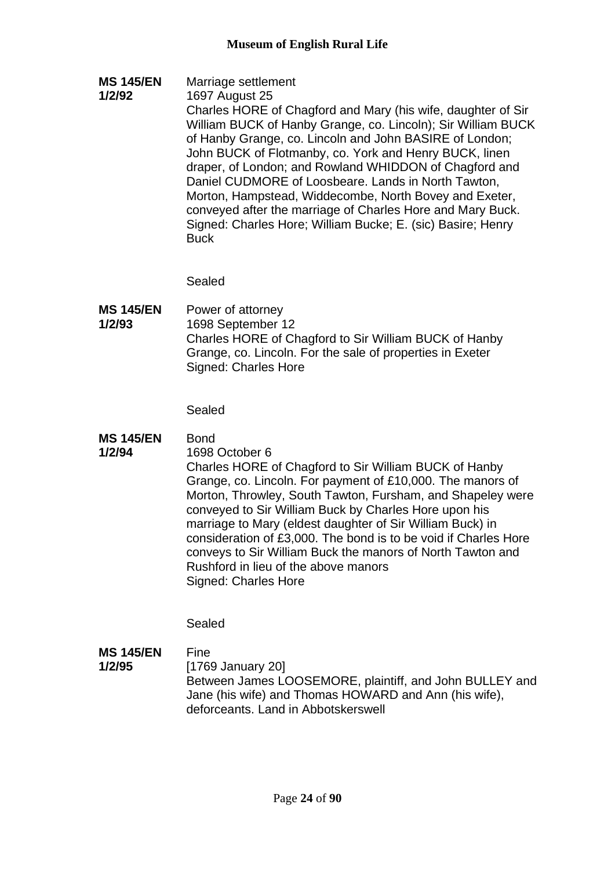- **MS 145/EN**  Marriage settlement
- **1/2/92** 1697 August 25 Charles HORE of Chagford and Mary (his wife, daughter of Sir William BUCK of Hanby Grange, co. Lincoln); Sir William BUCK of Hanby Grange, co. Lincoln and John BASIRE of London; John BUCK of Flotmanby, co. York and Henry BUCK, linen draper, of London; and Rowland WHIDDON of Chagford and Daniel CUDMORE of Loosbeare. Lands in North Tawton, Morton, Hampstead, Widdecombe, North Bovey and Exeter, conveyed after the marriage of Charles Hore and Mary Buck. Signed: Charles Hore; William Bucke; E. (sic) Basire; Henry **Buck**

Sealed

**MS 145/EN 1/2/93** Power of attorney 1698 September 12 Charles HORE of Chagford to Sir William BUCK of Hanby Grange, co. Lincoln. For the sale of properties in Exeter Signed: Charles Hore

Sealed

- **MS 145/EN Bond**
- **1/2/94**
- 1698 October 6

Charles HORE of Chagford to Sir William BUCK of Hanby Grange, co. Lincoln. For payment of £10,000. The manors of Morton, Throwley, South Tawton, Fursham, and Shapeley were conveyed to Sir William Buck by Charles Hore upon his marriage to Mary (eldest daughter of Sir William Buck) in consideration of £3,000. The bond is to be void if Charles Hore conveys to Sir William Buck the manors of North Tawton and Rushford in lieu of the above manors Signed: Charles Hore

Sealed

**MS 145/EN 1/2/95** Fine [1769 January 20] Between James LOOSEMORE, plaintiff, and John BULLEY and Jane (his wife) and Thomas HOWARD and Ann (his wife), deforceants. Land in Abbotskerswell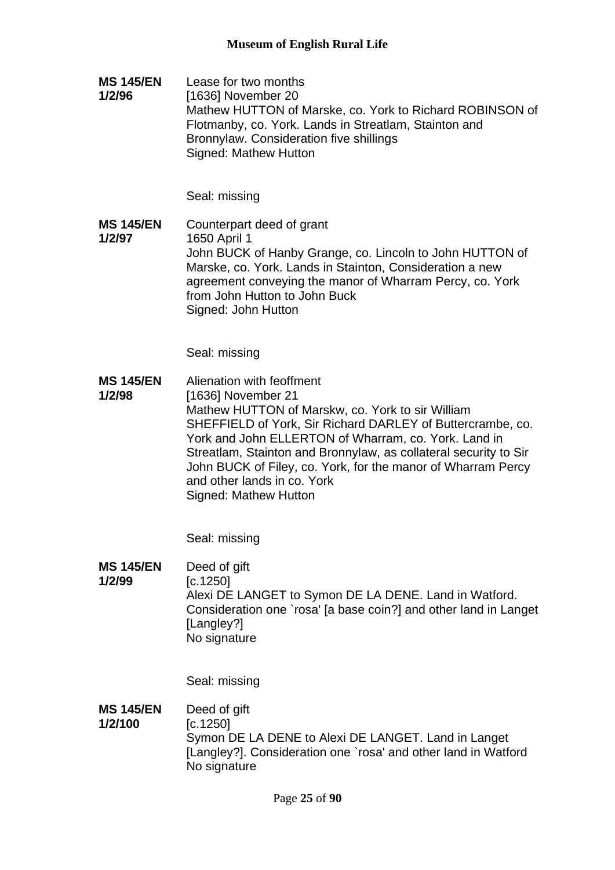**MS 145/EN 1/2/96** Lease for two months [1636] November 20 Mathew HUTTON of Marske, co. York to Richard ROBINSON of Flotmanby, co. York. Lands in Streatlam, Stainton and Bronnylaw. Consideration five shillings Signed: Mathew Hutton

Seal: missing

**MS 145/EN 1/2/97** Counterpart deed of grant 1650 April 1 John BUCK of Hanby Grange, co. Lincoln to John HUTTON of Marske, co. York. Lands in Stainton, Consideration a new agreement conveying the manor of Wharram Percy, co. York from John Hutton to John Buck Signed: John Hutton

Seal: missing

**MS 145/EN 1/2/98** Alienation with feoffment [1636] November 21 Mathew HUTTON of Marskw, co. York to sir William SHEFFIELD of York, Sir Richard DARLEY of Buttercrambe, co. York and John ELLERTON of Wharram, co. York. Land in Streatlam, Stainton and Bronnylaw, as collateral security to Sir John BUCK of Filey, co. York, for the manor of Wharram Percy and other lands in co. York Signed: Mathew Hutton

Seal: missing

**MS 145/EN 1/2/99** Deed of gift [c.1250] Alexi DE LANGET to Symon DE LA DENE. Land in Watford. Consideration one `rosa' [a base coin?] and other land in Langet [Langley?] No signature

Seal: missing

**MS 145/EN 1/2/100** Deed of gift [c.1250] Symon DE LA DENE to Alexi DE LANGET. Land in Langet [Langley?]. Consideration one `rosa' and other land in Watford No signature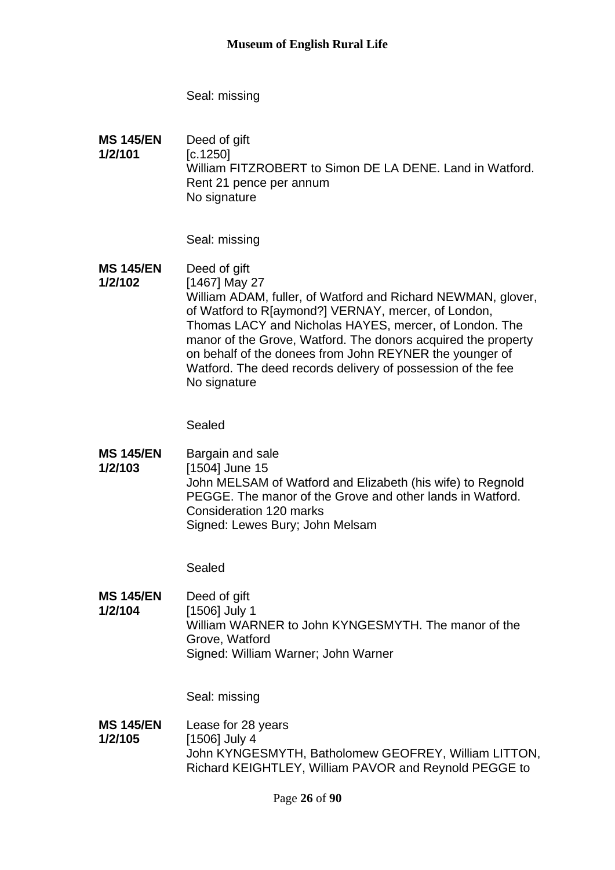Seal: missing

**MS 145/EN 1/2/101** Deed of gift [c.1250] William FITZROBERT to Simon DE LA DENE. Land in Watford. Rent 21 pence per annum No signature

Seal: missing

**MS 145/EN 1/2/102** Deed of gift

[1467] May 27 William ADAM, fuller, of Watford and Richard NEWMAN, glover, of Watford to R[aymond?] VERNAY, mercer, of London, Thomas LACY and Nicholas HAYES, mercer, of London. The manor of the Grove, Watford. The donors acquired the property on behalf of the donees from John REYNER the younger of Watford. The deed records delivery of possession of the fee No signature

Sealed

**MS 145/EN 1/2/103** Bargain and sale [1504] June 15 John MELSAM of Watford and Elizabeth (his wife) to Regnold PEGGE. The manor of the Grove and other lands in Watford. Consideration 120 marks Signed: Lewes Bury; John Melsam

Sealed

**MS 145/EN 1/2/104** Deed of gift [1506] July 1 William WARNER to John KYNGESMYTH. The manor of the Grove, Watford Signed: William Warner; John Warner

Seal: missing

**MS 145/EN 1/2/105** Lease for 28 years [1506] July 4 John KYNGESMYTH, Batholomew GEOFREY, William LITTON, Richard KEIGHTLEY, William PAVOR and Reynold PEGGE to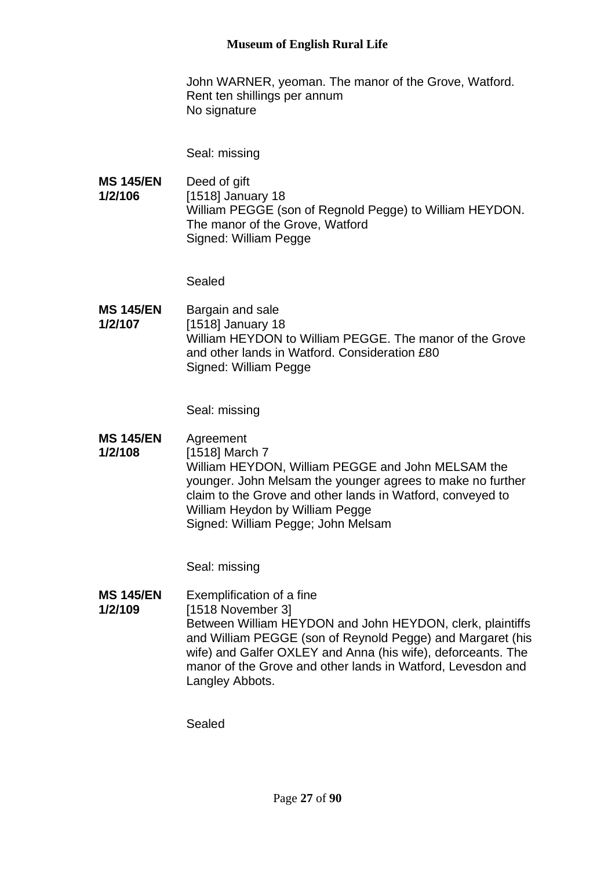John WARNER, yeoman. The manor of the Grove, Watford. Rent ten shillings per annum No signature

Seal: missing

**MS 145/EN 1/2/106** Deed of gift [1518] January 18 William PEGGE (son of Regnold Pegge) to William HEYDON. The manor of the Grove, Watford Signed: William Pegge

Sealed

**MS 145/EN 1/2/107** Bargain and sale [1518] January 18 William HEYDON to William PEGGE. The manor of the Grove and other lands in Watford. Consideration £80 Signed: William Pegge

Seal: missing

**MS 145/EN 1/2/108** Agreement [1518] March 7 William HEYDON, William PEGGE and John MELSAM the younger. John Melsam the younger agrees to make no further claim to the Grove and other lands in Watford, conveyed to William Heydon by William Pegge Signed: William Pegge; John Melsam

Seal: missing

**MS 145/EN 1/2/109** Exemplification of a fine [1518 November 3] Between William HEYDON and John HEYDON, clerk, plaintiffs and William PEGGE (son of Reynold Pegge) and Margaret (his wife) and Galfer OXLEY and Anna (his wife), deforceants. The manor of the Grove and other lands in Watford, Levesdon and Langley Abbots.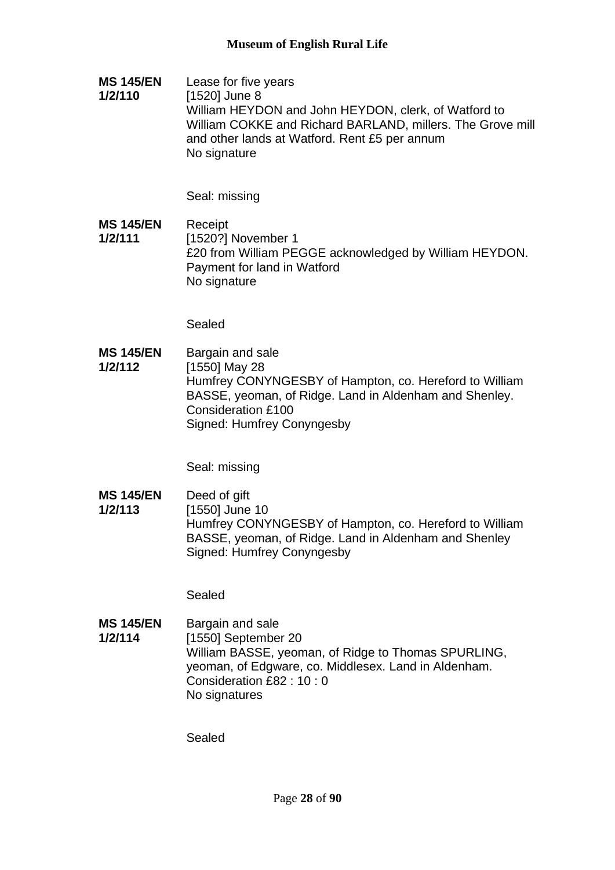**MS 145/EN 1/2/110** Lease for five years [1520] June 8 William HEYDON and John HEYDON, clerk, of Watford to William COKKE and Richard BARLAND, millers. The Grove mill and other lands at Watford. Rent £5 per annum No signature

Seal: missing

**MS 145/EN 1/2/111** Receipt [1520?] November 1 £20 from William PEGGE acknowledged by William HEYDON. Payment for land in Watford No signature

Sealed

**MS 145/EN 1/2/112** Bargain and sale [1550] May 28 Humfrey CONYNGESBY of Hampton, co. Hereford to William BASSE, yeoman, of Ridge. Land in Aldenham and Shenley. Consideration £100 Signed: Humfrey Conyngesby

Seal: missing

**MS 145/EN 1/2/113** Deed of gift [1550] June 10 Humfrey CONYNGESBY of Hampton, co. Hereford to William BASSE, yeoman, of Ridge. Land in Aldenham and Shenley Signed: Humfrey Conyngesby

Sealed

**MS 145/EN 1/2/114** Bargain and sale [1550] September 20 William BASSE, yeoman, of Ridge to Thomas SPURLING, yeoman, of Edgware, co. Middlesex. Land in Aldenham. Consideration £82 : 10 : 0 No signatures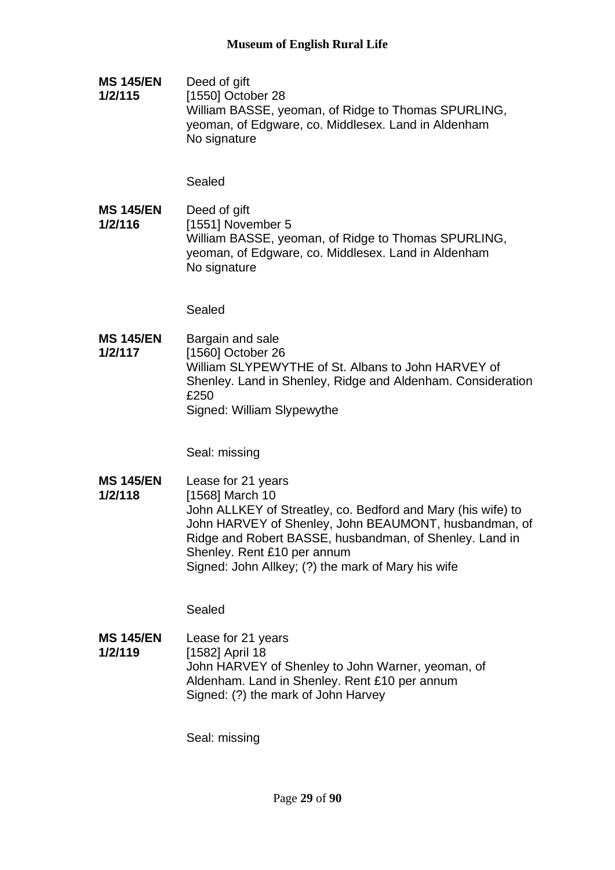**MS 145/EN 1/2/115** Deed of gift [1550] October 28 William BASSE, yeoman, of Ridge to Thomas SPURLING, yeoman, of Edgware, co. Middlesex. Land in Aldenham No signature

Sealed

**MS 145/EN 1/2/116** Deed of gift [1551] November 5 William BASSE, yeoman, of Ridge to Thomas SPURLING, yeoman, of Edgware, co. Middlesex. Land in Aldenham No signature

Sealed

**MS 145/EN 1/2/117** Bargain and sale [1560] October 26 William SLYPEWYTHE of St. Albans to John HARVEY of Shenley. Land in Shenley, Ridge and Aldenham. Consideration £250 Signed: William Slypewythe

Seal: missing

**MS 145/EN 1/2/118** Lease for 21 years [1568] March 10 John ALLKEY of Streatley, co. Bedford and Mary (his wife) to John HARVEY of Shenley, John BEAUMONT, husbandman, of Ridge and Robert BASSE, husbandman, of Shenley. Land in Shenley. Rent £10 per annum Signed: John Allkey; (?) the mark of Mary his wife

Sealed

**MS 145/EN 1/2/119** Lease for 21 years [1582] April 18 John HARVEY of Shenley to John Warner, yeoman, of Aldenham. Land in Shenley. Rent £10 per annum Signed: (?) the mark of John Harvey

Seal: missing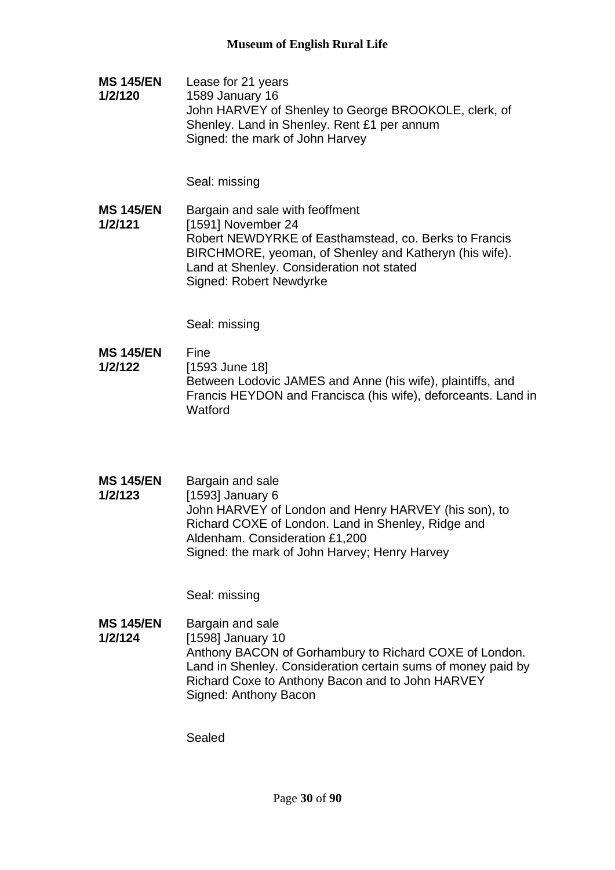**MS 145/EN 1/2/120** Lease for 21 years 1589 January 16 John HARVEY of Shenley to George BROOKOLE, clerk, of Shenley. Land in Shenley. Rent £1 per annum Signed: the mark of John Harvey

Seal: missing

**MS 145/EN 1/2/121** Bargain and sale with feoffment [1591] November 24 Robert NEWDYRKE of Easthamstead, co. Berks to Francis BIRCHMORE, yeoman, of Shenley and Katheryn (his wife). Land at Shenley. Consideration not stated Signed: Robert Newdyrke

Seal: missing

- **MS 145/EN 1/2/122** Fine [1593 June 18] Between Lodovic JAMES and Anne (his wife), plaintiffs, and Francis HEYDON and Francisca (his wife), deforceants. Land in Watford
- **MS 145/EN 1/2/123** Bargain and sale [1593] January 6 John HARVEY of London and Henry HARVEY (his son), to Richard COXE of London. Land in Shenley, Ridge and Aldenham. Consideration £1,200 Signed: the mark of John Harvey; Henry Harvey

Seal: missing

**MS 145/EN 1/2/124** Bargain and sale [1598] January 10 Anthony BACON of Gorhambury to Richard COXE of London. Land in Shenley. Consideration certain sums of money paid by Richard Coxe to Anthony Bacon and to John HARVEY Signed: Anthony Bacon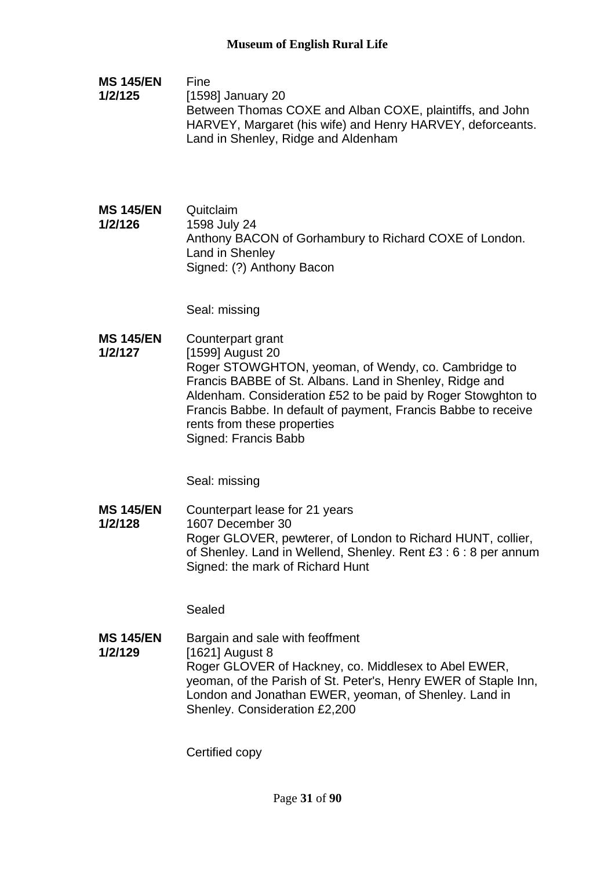- **MS 145/EN 1/2/125** Fine [1598] January 20 Between Thomas COXE and Alban COXE, plaintiffs, and John HARVEY, Margaret (his wife) and Henry HARVEY, deforceants. Land in Shenley, Ridge and Aldenham
- **MS 145/EN 1/2/126** Quitclaim 1598 July 24 Anthony BACON of Gorhambury to Richard COXE of London. Land in Shenley Signed: (?) Anthony Bacon

Seal: missing

**MS 145/EN 1/2/127** Counterpart grant [1599] August 20 Roger STOWGHTON, yeoman, of Wendy, co. Cambridge to Francis BABBE of St. Albans. Land in Shenley, Ridge and Aldenham. Consideration £52 to be paid by Roger Stowghton to Francis Babbe. In default of payment, Francis Babbe to receive rents from these properties Signed: Francis Babb

Seal: missing

**MS 145/EN 1/2/128** Counterpart lease for 21 years 1607 December 30 Roger GLOVER, pewterer, of London to Richard HUNT, collier, of Shenley. Land in Wellend, Shenley. Rent £3 : 6 : 8 per annum Signed: the mark of Richard Hunt

Sealed

**MS 145/EN 1/2/129** Bargain and sale with feoffment [1621] August 8 Roger GLOVER of Hackney, co. Middlesex to Abel EWER, yeoman, of the Parish of St. Peter's, Henry EWER of Staple Inn, London and Jonathan EWER, yeoman, of Shenley. Land in Shenley. Consideration £2,200

Certified copy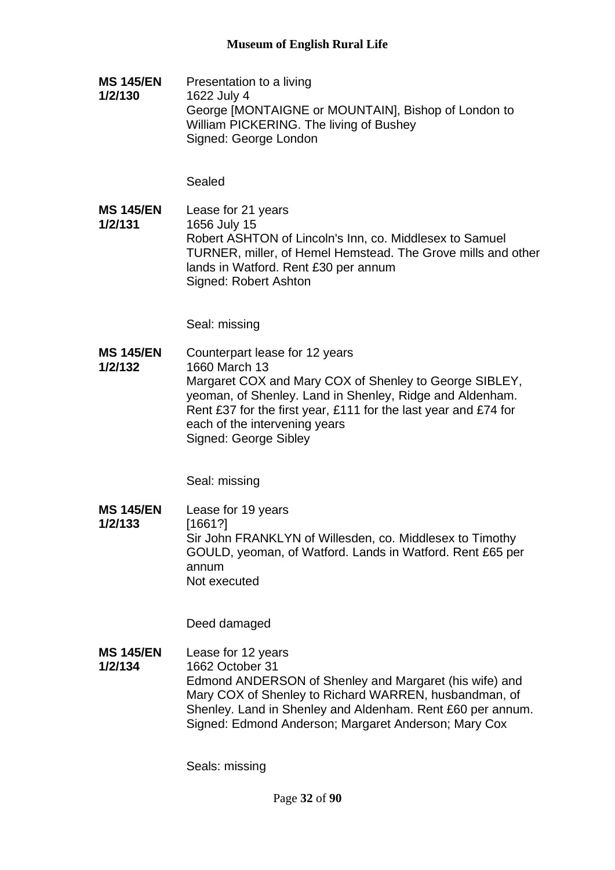**MS 145/EN 1/2/130** Presentation to a living 1622 July 4 George [MONTAIGNE or MOUNTAIN], Bishop of London to William PICKERING. The living of Bushey Signed: George London

Sealed

**MS 145/EN 1/2/131** Lease for 21 years 1656 July 15 Robert ASHTON of Lincoln's Inn, co. Middlesex to Samuel TURNER, miller, of Hemel Hemstead. The Grove mills and other lands in Watford. Rent £30 per annum Signed: Robert Ashton

Seal: missing

**MS 145/EN 1/2/132** Counterpart lease for 12 years 1660 March 13 Margaret COX and Mary COX of Shenley to George SIBLEY, yeoman, of Shenley. Land in Shenley, Ridge and Aldenham. Rent £37 for the first year, £111 for the last year and £74 for each of the intervening years Signed: George Sibley

Seal: missing

**MS 145/EN 1/2/133** Lease for 19 years [1661?] Sir John FRANKLYN of Willesden, co. Middlesex to Timothy GOULD, yeoman, of Watford. Lands in Watford. Rent £65 per annum Not executed

Deed damaged

**MS 145/EN 1/2/134** Lease for 12 years 1662 October 31 Edmond ANDERSON of Shenley and Margaret (his wife) and Mary COX of Shenley to Richard WARREN, husbandman, of Shenley. Land in Shenley and Aldenham. Rent £60 per annum. Signed: Edmond Anderson; Margaret Anderson; Mary Cox

Seals: missing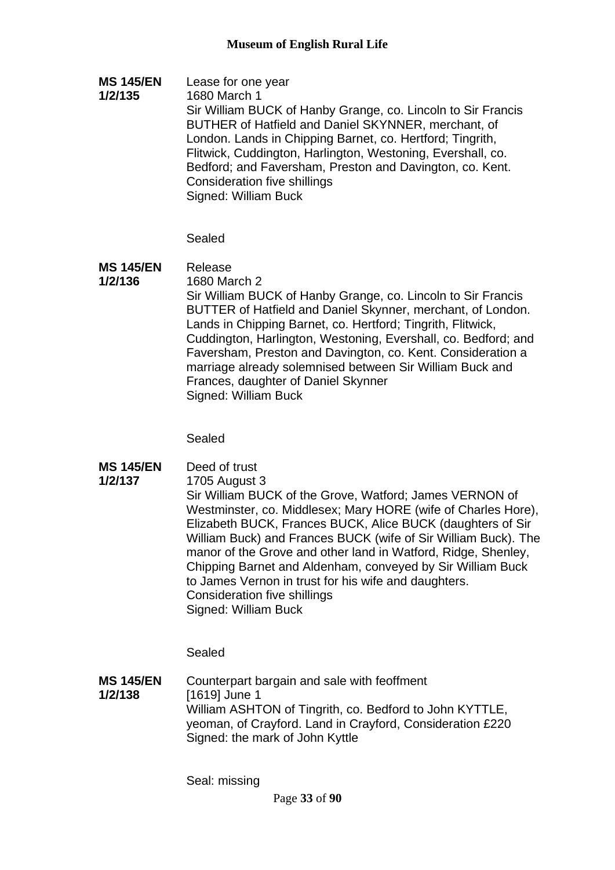**MS 145/EN 1/2/135** Lease for one year 1680 March 1 Sir William BUCK of Hanby Grange, co. Lincoln to Sir Francis BUTHER of Hatfield and Daniel SKYNNER, merchant, of London. Lands in Chipping Barnet, co. Hertford; Tingrith, Flitwick, Cuddington, Harlington, Westoning, Evershall, co. Bedford; and Faversham, Preston and Davington, co. Kent. Consideration five shillings Signed: William Buck

Sealed

#### **MS 145/EN**  Release

**1/2/136**

1680 March 2 Sir William BUCK of Hanby Grange, co. Lincoln to Sir Francis BUTTER of Hatfield and Daniel Skynner, merchant, of London. Lands in Chipping Barnet, co. Hertford; Tingrith, Flitwick, Cuddington, Harlington, Westoning, Evershall, co. Bedford; and Faversham, Preston and Davington, co. Kent. Consideration a marriage already solemnised between Sir William Buck and Frances, daughter of Daniel Skynner Signed: William Buck

Sealed

- **MS 145/EN**  Deed of trust
- **1/2/137** 1705 August 3

Sir William BUCK of the Grove, Watford; James VERNON of Westminster, co. Middlesex; Mary HORE (wife of Charles Hore), Elizabeth BUCK, Frances BUCK, Alice BUCK (daughters of Sir William Buck) and Frances BUCK (wife of Sir William Buck). The manor of the Grove and other land in Watford, Ridge, Shenley, Chipping Barnet and Aldenham, conveyed by Sir William Buck to James Vernon in trust for his wife and daughters. Consideration five shillings Signed: William Buck

Sealed

**MS 145/EN 1/2/138** Counterpart bargain and sale with feoffment [1619] June 1 William ASHTON of Tingrith, co. Bedford to John KYTTLE, yeoman, of Crayford. Land in Crayford, Consideration £220 Signed: the mark of John Kyttle

Seal: missing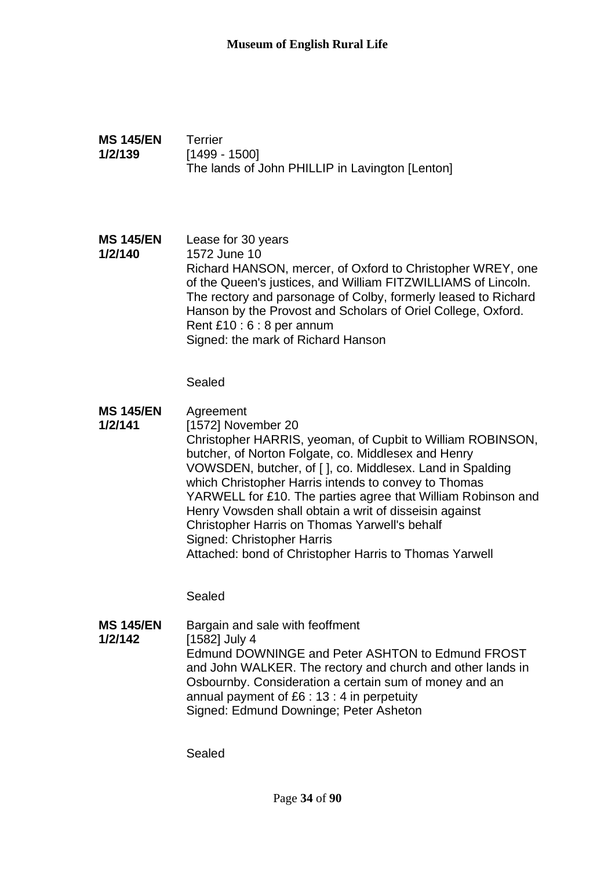| <b>MS 145/EN</b><br>1/2/139 | <b>Terrier</b><br>$[1499 - 1500]$<br>The lands of John PHILLIP in Lavington [Lenton]                                                                                                                                                                                                                                                                                                                                                                                                                                                        |
|-----------------------------|---------------------------------------------------------------------------------------------------------------------------------------------------------------------------------------------------------------------------------------------------------------------------------------------------------------------------------------------------------------------------------------------------------------------------------------------------------------------------------------------------------------------------------------------|
| <b>MS 145/EN</b><br>1/2/140 | Lease for 30 years<br>1572 June 10<br>Richard HANSON, mercer, of Oxford to Christopher WREY, one<br>of the Queen's justices, and William FITZWILLIAMS of Lincoln.<br>The rectory and parsonage of Colby, formerly leased to Richard<br>Hanson by the Provost and Scholars of Oriel College, Oxford.<br>Rent £10 : 6 : 8 per annum<br>Signed: the mark of Richard Hanson<br>Sealed                                                                                                                                                           |
| <b>MS 145/EN</b><br>1/2/141 | Agreement<br>[1572] November 20<br>Christopher HARRIS, yeoman, of Cupbit to William ROBINSON,<br>butcher, of Norton Folgate, co. Middlesex and Henry<br>VOWSDEN, butcher, of [], co. Middlesex. Land in Spalding<br>which Christopher Harris intends to convey to Thomas<br>YARWELL for £10. The parties agree that William Robinson and<br>Henry Vowsden shall obtain a writ of disseisin against<br>Christopher Harris on Thomas Yarwell's behalf<br>Signed: Christopher Harris<br>Attached: bond of Christopher Harris to Thomas Yarwell |
|                             | Sealed                                                                                                                                                                                                                                                                                                                                                                                                                                                                                                                                      |

**MS 145/EN 1/2/142** Bargain and sale with feoffment [1582] July 4 Edmund DOWNINGE and Peter ASHTON to Edmund FROST and John WALKER. The rectory and church and other lands in Osbournby. Consideration a certain sum of money and an annual payment of £6 : 13 : 4 in perpetuity Signed: Edmund Downinge; Peter Asheton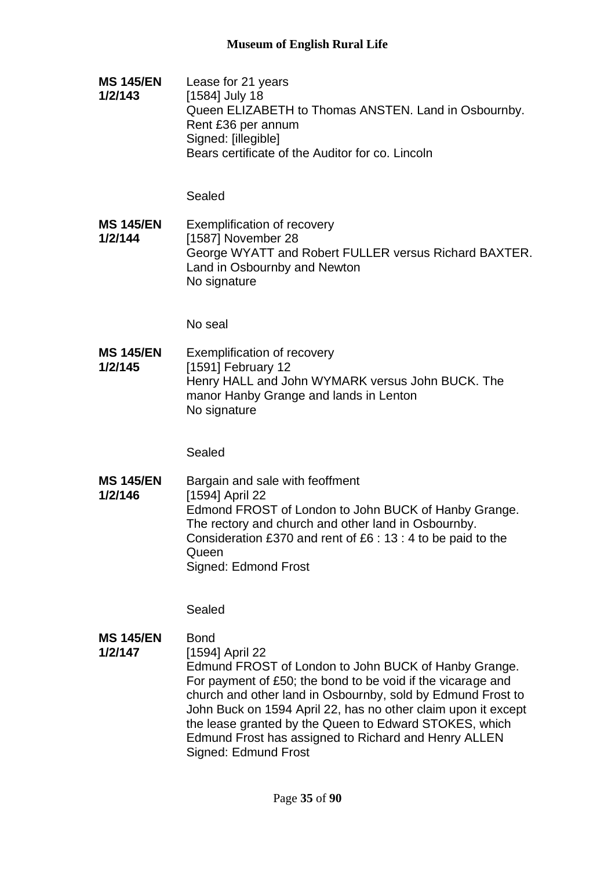**MS 145/EN 1/2/143** Lease for 21 years [1584] July 18 Queen ELIZABETH to Thomas ANSTEN. Land in Osbournby. Rent £36 per annum Signed: [illegible] Bears certificate of the Auditor for co. Lincoln

Sealed

**MS 145/EN 1/2/144** Exemplification of recovery [1587] November 28 George WYATT and Robert FULLER versus Richard BAXTER. Land in Osbournby and Newton No signature

No seal

**MS 145/EN 1/2/145** Exemplification of recovery [1591] February 12 Henry HALL and John WYMARK versus John BUCK. The manor Hanby Grange and lands in Lenton No signature

Sealed

**MS 145/EN 1/2/146** Bargain and sale with feoffment [1594] April 22 Edmond FROST of London to John BUCK of Hanby Grange. The rectory and church and other land in Osbournby. Consideration £370 and rent of £6 : 13 : 4 to be paid to the **Queen** Signed: Edmond Frost

Sealed

#### **MS 145/EN**  Bond

**1/2/147** [1594] April 22 Edmund FROST of London to John BUCK of Hanby Grange.

For payment of £50; the bond to be void if the vicarage and church and other land in Osbournby, sold by Edmund Frost to John Buck on 1594 April 22, has no other claim upon it except the lease granted by the Queen to Edward STOKES, which Edmund Frost has assigned to Richard and Henry ALLEN Signed: Edmund Frost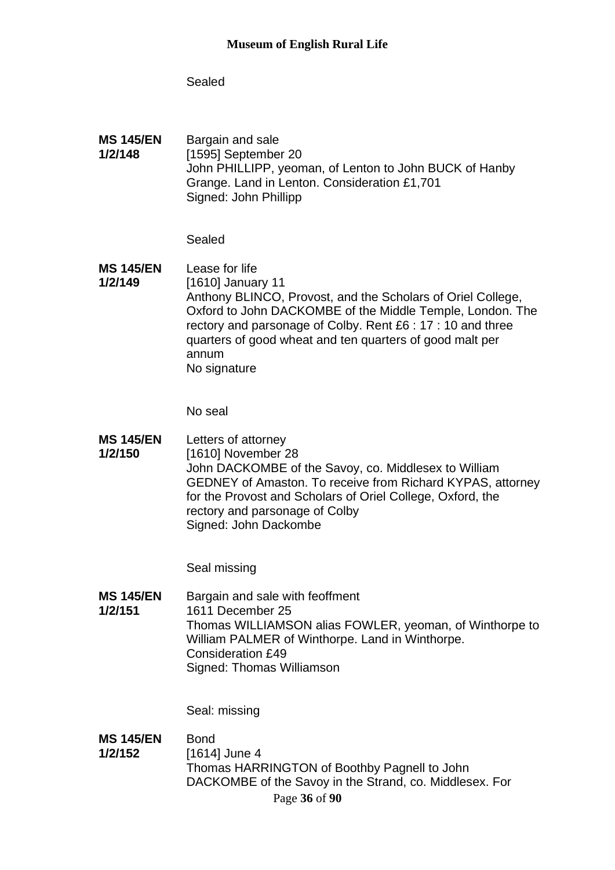Sealed

**MS 145/EN 1/2/148** Bargain and sale [1595] September 20 John PHILLIPP, yeoman, of Lenton to John BUCK of Hanby Grange. Land in Lenton. Consideration £1,701 Signed: John Phillipp

Sealed

**MS 145/EN 1/2/149** Lease for life [1610] January 11 Anthony BLINCO, Provost, and the Scholars of Oriel College, Oxford to John DACKOMBE of the Middle Temple, London. The rectory and parsonage of Colby. Rent £6 : 17 : 10 and three quarters of good wheat and ten quarters of good malt per annum No signature

No seal

**MS 145/EN 1/2/150** Letters of attorney [1610] November 28 John DACKOMBE of the Savoy, co. Middlesex to William GEDNEY of Amaston. To receive from Richard KYPAS, attorney for the Provost and Scholars of Oriel College, Oxford, the rectory and parsonage of Colby Signed: John Dackombe

Seal missing

**MS 145/EN 1/2/151** Bargain and sale with feoffment 1611 December 25 Thomas WILLIAMSON alias FOWLER, yeoman, of Winthorpe to William PALMER of Winthorpe. Land in Winthorpe. Consideration £49 Signed: Thomas Williamson

Seal: missing

Page **36** of **90 MS 145/EN 1/2/152** Bond [1614] June 4 Thomas HARRINGTON of Boothby Pagnell to John DACKOMBE of the Savoy in the Strand, co. Middlesex. For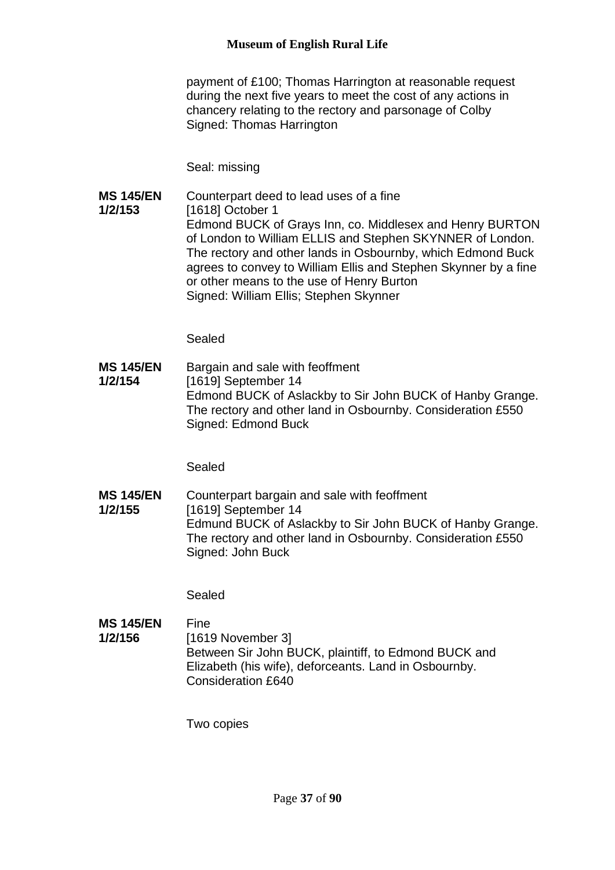payment of £100; Thomas Harrington at reasonable request during the next five years to meet the cost of any actions in chancery relating to the rectory and parsonage of Colby Signed: Thomas Harrington

Seal: missing

**MS 145/EN 1/2/153** Counterpart deed to lead uses of a fine [1618] October 1 Edmond BUCK of Grays Inn, co. Middlesex and Henry BURTON of London to William ELLIS and Stephen SKYNNER of London. The rectory and other lands in Osbournby, which Edmond Buck agrees to convey to William Ellis and Stephen Skynner by a fine or other means to the use of Henry Burton Signed: William Ellis; Stephen Skynner

Sealed

**MS 145/EN 1/2/154** Bargain and sale with feoffment [1619] September 14 Edmond BUCK of Aslackby to Sir John BUCK of Hanby Grange. The rectory and other land in Osbournby. Consideration £550 Signed: Edmond Buck

Sealed

**MS 145/EN 1/2/155** Counterpart bargain and sale with feoffment [1619] September 14 Edmund BUCK of Aslackby to Sir John BUCK of Hanby Grange. The rectory and other land in Osbournby. Consideration £550 Signed: John Buck

Sealed

| <b>MS 145/EN</b> | Fine                                                  |
|------------------|-------------------------------------------------------|
| 1/2/156          | [1619 November 3]                                     |
|                  | Between Sir John BUCK, plaintiff, to Edmond BUCK and  |
|                  | Elizabeth (his wife), deforceants. Land in Osbournby. |
|                  | Consideration £640                                    |

Two copies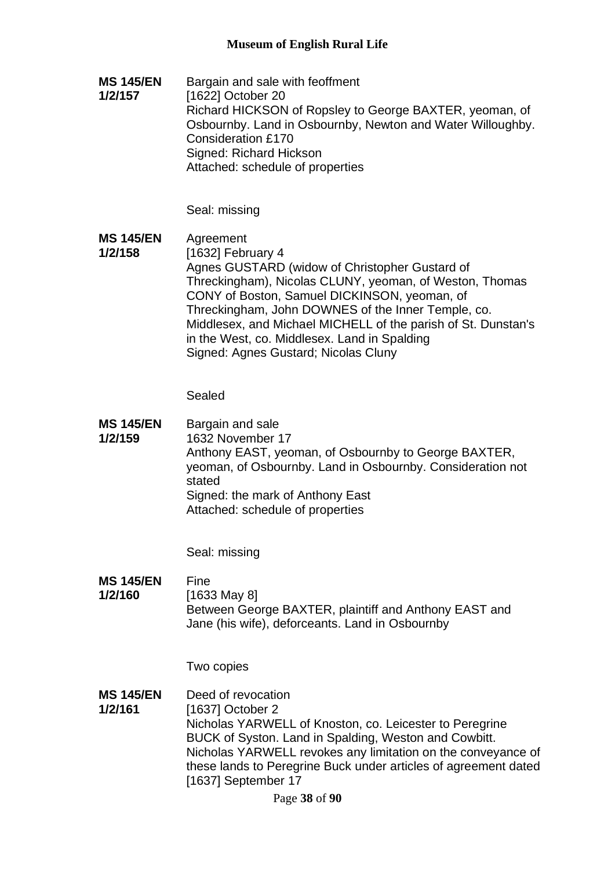**MS 145/EN 1/2/157** Bargain and sale with feoffment [1622] October 20 Richard HICKSON of Ropsley to George BAXTER, yeoman, of Osbournby. Land in Osbournby, Newton and Water Willoughby. Consideration £170 Signed: Richard Hickson Attached: schedule of properties

Seal: missing

**MS 145/EN 1/2/158** Agreement [1632] February 4 Agnes GUSTARD (widow of Christopher Gustard of Threckingham), Nicolas CLUNY, yeoman, of Weston, Thomas CONY of Boston, Samuel DICKINSON, yeoman, of Threckingham, John DOWNES of the Inner Temple, co. Middlesex, and Michael MICHELL of the parish of St. Dunstan's in the West, co. Middlesex. Land in Spalding Signed: Agnes Gustard; Nicolas Cluny

Sealed

**MS 145/EN 1/2/159** Bargain and sale 1632 November 17 Anthony EAST, yeoman, of Osbournby to George BAXTER, yeoman, of Osbournby. Land in Osbournby. Consideration not stated Signed: the mark of Anthony East Attached: schedule of properties

Seal: missing

#### **MS 145/EN**  Fine

**1/2/160**

[1633 May 8] Between George BAXTER, plaintiff and Anthony EAST and Jane (his wife), deforceants. Land in Osbournby

Two copies

**MS 145/EN 1/2/161** Deed of revocation [1637] October 2 Nicholas YARWELL of Knoston, co. Leicester to Peregrine BUCK of Syston. Land in Spalding, Weston and Cowbitt. Nicholas YARWELL revokes any limitation on the conveyance of these lands to Peregrine Buck under articles of agreement dated [1637] September 17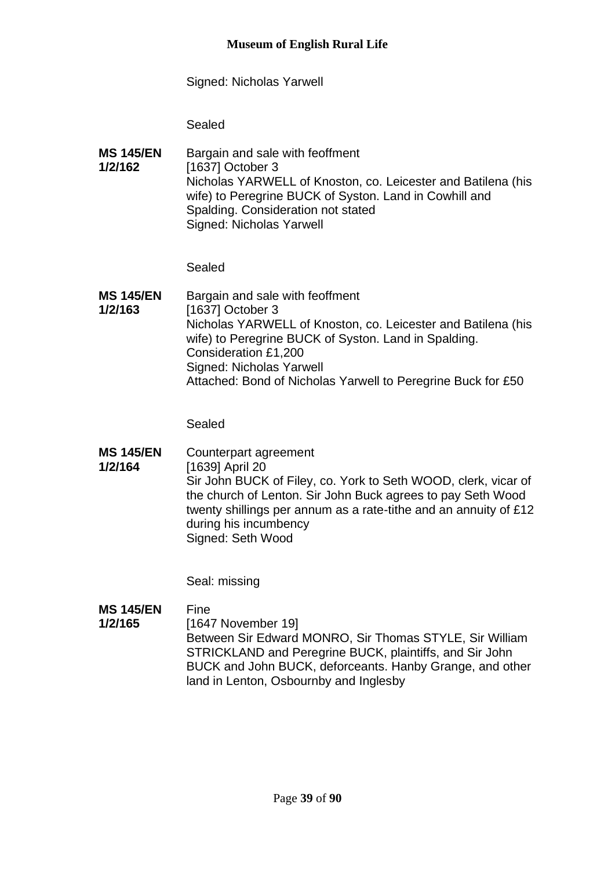Signed: Nicholas Yarwell

Sealed

**MS 145/EN 1/2/162** Bargain and sale with feoffment [1637] October 3 Nicholas YARWELL of Knoston, co. Leicester and Batilena (his wife) to Peregrine BUCK of Syston. Land in Cowhill and Spalding. Consideration not stated Signed: Nicholas Yarwell

Sealed

**MS 145/EN 1/2/163** Bargain and sale with feoffment [1637] October 3 Nicholas YARWELL of Knoston, co. Leicester and Batilena (his wife) to Peregrine BUCK of Syston. Land in Spalding. Consideration £1,200 Signed: Nicholas Yarwell Attached: Bond of Nicholas Yarwell to Peregrine Buck for £50

Sealed

**MS 145/EN 1/2/164** Counterpart agreement [1639] April 20 Sir John BUCK of Filey, co. York to Seth WOOD, clerk, vicar of the church of Lenton. Sir John Buck agrees to pay Seth Wood twenty shillings per annum as a rate-tithe and an annuity of £12 during his incumbency Signed: Seth Wood

Seal: missing

#### **MS 145/EN** Fine

**1/2/165**

[1647 November 19] Between Sir Edward MONRO, Sir Thomas STYLE, Sir William STRICKLAND and Peregrine BUCK, plaintiffs, and Sir John BUCK and John BUCK, deforceants. Hanby Grange, and other land in Lenton, Osbournby and Inglesby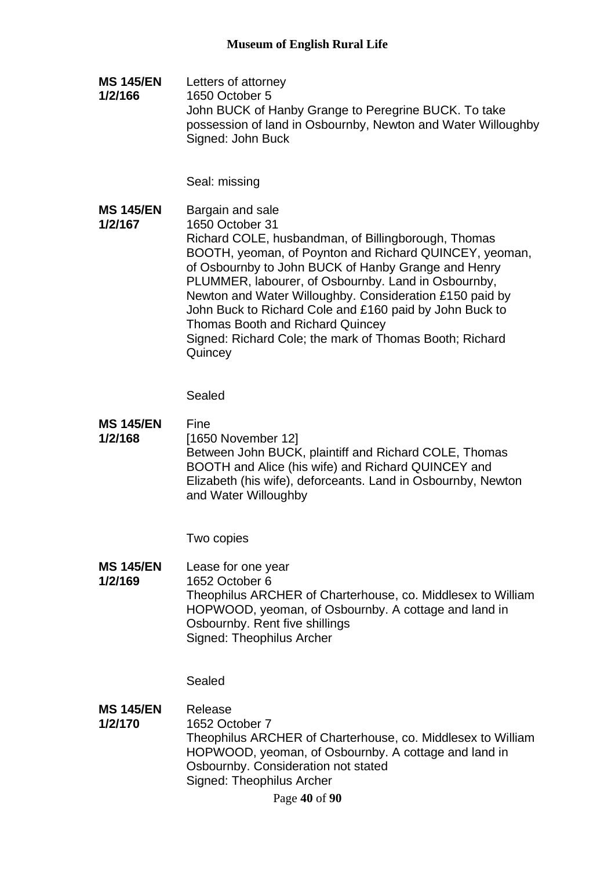**MS 145/EN 1/2/166** Letters of attorney 1650 October 5 John BUCK of Hanby Grange to Peregrine BUCK. To take possession of land in Osbournby, Newton and Water Willoughby Signed: John Buck

Seal: missing

**MS 145/EN 1/2/167** Bargain and sale 1650 October 31 Richard COLE, husbandman, of Billingborough, Thomas BOOTH, yeoman, of Poynton and Richard QUINCEY, yeoman, of Osbournby to John BUCK of Hanby Grange and Henry PLUMMER, labourer, of Osbournby. Land in Osbournby, Newton and Water Willoughby. Consideration £150 paid by John Buck to Richard Cole and £160 paid by John Buck to Thomas Booth and Richard Quincey Signed: Richard Cole; the mark of Thomas Booth; Richard **Quincey** 

Sealed

**MS 145/EN 1/2/168** Fine [1650 November 12] Between John BUCK, plaintiff and Richard COLE, Thomas BOOTH and Alice (his wife) and Richard QUINCEY and Elizabeth (his wife), deforceants. Land in Osbournby, Newton and Water Willoughby

Two copies

**MS 145/EN 1/2/169** Lease for one year 1652 October 6 Theophilus ARCHER of Charterhouse, co. Middlesex to William HOPWOOD, yeoman, of Osbournby. A cottage and land in Osbournby. Rent five shillings Signed: Theophilus Archer

Sealed

**MS 145/EN 1/2/170** Release 1652 October 7 Theophilus ARCHER of Charterhouse, co. Middlesex to William HOPWOOD, yeoman, of Osbournby. A cottage and land in Osbournby. Consideration not stated Signed: Theophilus Archer

Page **40** of **90**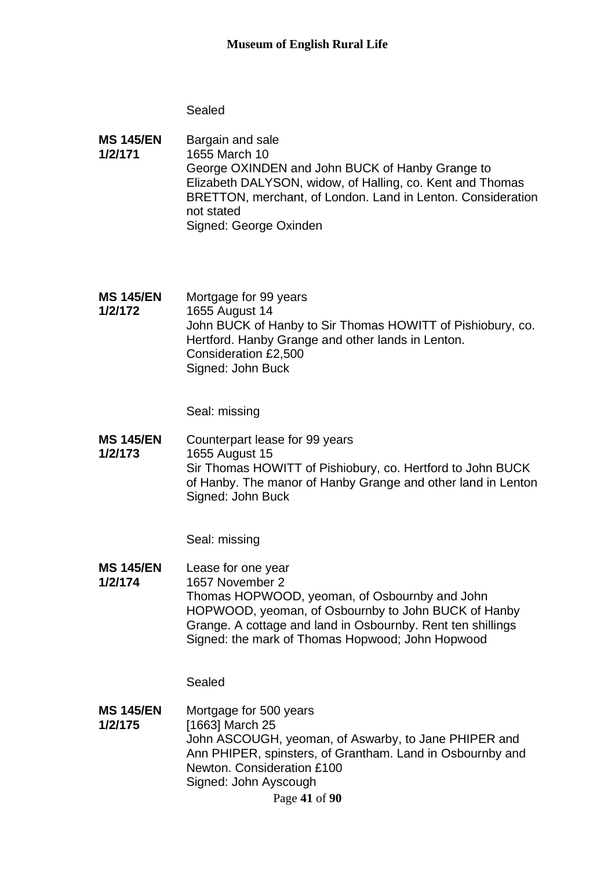- **MS 145/EN 1/2/171** Bargain and sale 1655 March 10 George OXINDEN and John BUCK of Hanby Grange to Elizabeth DALYSON, widow, of Halling, co. Kent and Thomas BRETTON, merchant, of London. Land in Lenton. Consideration not stated Signed: George Oxinden
- **MS 145/EN 1/2/172** Mortgage for 99 years 1655 August 14 John BUCK of Hanby to Sir Thomas HOWITT of Pishiobury, co. Hertford. Hanby Grange and other lands in Lenton. Consideration £2,500 Signed: John Buck

Seal: missing

**MS 145/EN 1/2/173** Counterpart lease for 99 years 1655 August 15 Sir Thomas HOWITT of Pishiobury, co. Hertford to John BUCK of Hanby. The manor of Hanby Grange and other land in Lenton Signed: John Buck

Seal: missing

- **MS 145/EN**  Lease for one year
- **1/2/174** 1657 November 2 Thomas HOPWOOD, yeoman, of Osbournby and John HOPWOOD, yeoman, of Osbournby to John BUCK of Hanby Grange. A cottage and land in Osbournby. Rent ten shillings Signed: the mark of Thomas Hopwood; John Hopwood

Sealed

**MS 145/EN 1/2/175** Mortgage for 500 years [1663] March 25 John ASCOUGH, yeoman, of Aswarby, to Jane PHIPER and Ann PHIPER, spinsters, of Grantham. Land in Osbournby and Newton. Consideration £100 Signed: John Ayscough

Page **41** of **90**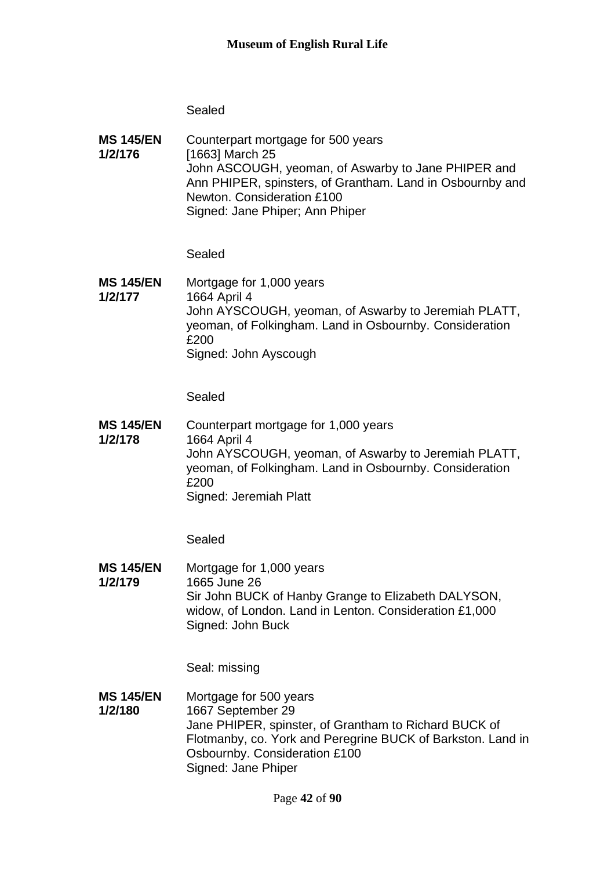**MS 145/EN 1/2/176** Counterpart mortgage for 500 years [1663] March 25 John ASCOUGH, yeoman, of Aswarby to Jane PHIPER and Ann PHIPER, spinsters, of Grantham. Land in Osbournby and Newton. Consideration £100 Signed: Jane Phiper; Ann Phiper

Sealed

**MS 145/EN 1/2/177** Mortgage for 1,000 years 1664 April 4 John AYSCOUGH, yeoman, of Aswarby to Jeremiah PLATT, yeoman, of Folkingham. Land in Osbournby. Consideration £200 Signed: John Ayscough

Sealed

**MS 145/EN 1/2/178** Counterpart mortgage for 1,000 years 1664 April 4 John AYSCOUGH, yeoman, of Aswarby to Jeremiah PLATT, yeoman, of Folkingham. Land in Osbournby. Consideration £200 Signed: Jeremiah Platt

Sealed

**MS 145/EN 1/2/179** Mortgage for 1,000 years 1665 June 26 Sir John BUCK of Hanby Grange to Elizabeth DALYSON, widow, of London. Land in Lenton. Consideration £1,000 Signed: John Buck

Seal: missing

**MS 145/EN 1/2/180** Mortgage for 500 years 1667 September 29 Jane PHIPER, spinster, of Grantham to Richard BUCK of Flotmanby, co. York and Peregrine BUCK of Barkston. Land in Osbournby. Consideration £100 Signed: Jane Phiper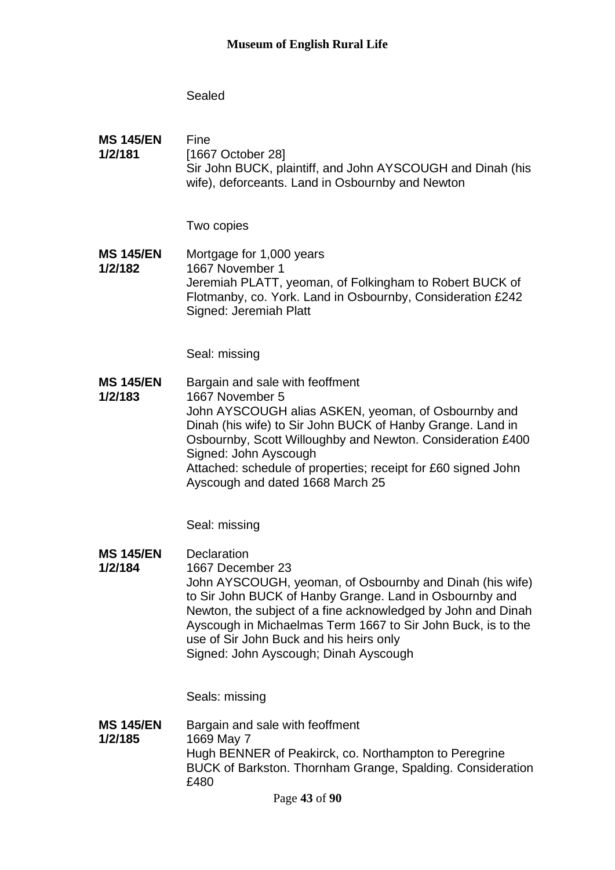**MS 145/EN 1/2/181** Fine [1667 October 28] Sir John BUCK, plaintiff, and John AYSCOUGH and Dinah (his wife), deforceants. Land in Osbournby and Newton

Two copies

**MS 145/EN 1/2/182** Mortgage for 1,000 years 1667 November 1 Jeremiah PLATT, yeoman, of Folkingham to Robert BUCK of Flotmanby, co. York. Land in Osbournby, Consideration £242 Signed: Jeremiah Platt

Seal: missing

**MS 145/EN 1/2/183** Bargain and sale with feoffment 1667 November 5 John AYSCOUGH alias ASKEN, yeoman, of Osbournby and Dinah (his wife) to Sir John BUCK of Hanby Grange. Land in Osbournby, Scott Willoughby and Newton. Consideration £400 Signed: John Ayscough Attached: schedule of properties; receipt for £60 signed John Ayscough and dated 1668 March 25

Seal: missing

**MS 145/EN 1/2/184 Declaration** 1667 December 23 John AYSCOUGH, yeoman, of Osbournby and Dinah (his wife) to Sir John BUCK of Hanby Grange. Land in Osbournby and Newton, the subject of a fine acknowledged by John and Dinah Ayscough in Michaelmas Term 1667 to Sir John Buck, is to the use of Sir John Buck and his heirs only Signed: John Ayscough; Dinah Ayscough

Seals: missing

**MS 145/EN 1/2/185** Bargain and sale with feoffment 1669 May 7 Hugh BENNER of Peakirck, co. Northampton to Peregrine BUCK of Barkston. Thornham Grange, Spalding. Consideration £480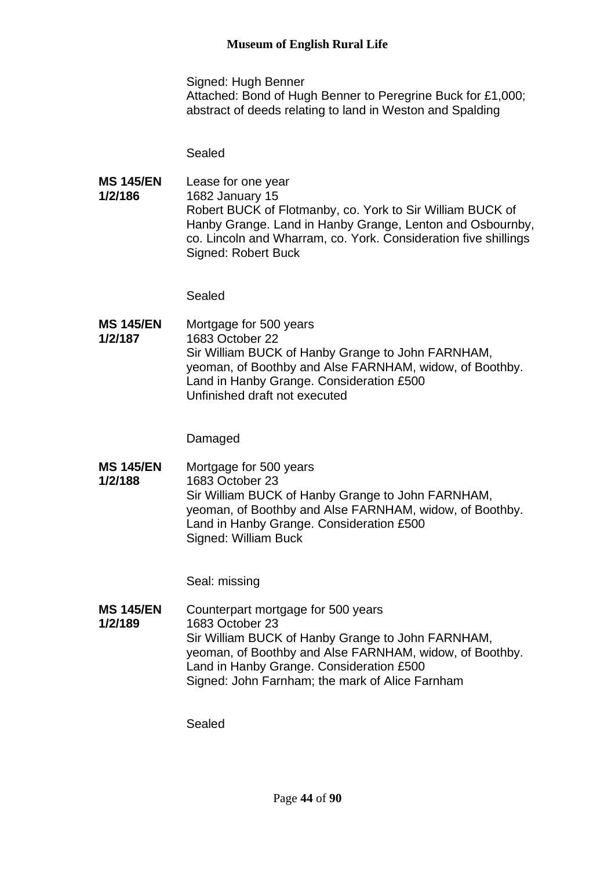Signed: Hugh Benner Attached: Bond of Hugh Benner to Peregrine Buck for £1,000; abstract of deeds relating to land in Weston and Spalding

Sealed

**MS 145/EN 1/2/186** Lease for one year 1682 January 15 Robert BUCK of Flotmanby, co. York to Sir William BUCK of Hanby Grange. Land in Hanby Grange, Lenton and Osbournby, co. Lincoln and Wharram, co. York. Consideration five shillings Signed: Robert Buck

Sealed

**MS 145/EN 1/2/187** Mortgage for 500 years 1683 October 22 Sir William BUCK of Hanby Grange to John FARNHAM, yeoman, of Boothby and Alse FARNHAM, widow, of Boothby. Land in Hanby Grange. Consideration £500 Unfinished draft not executed

Damaged

**MS 145/EN 1/2/188** Mortgage for 500 years 1683 October 23 Sir William BUCK of Hanby Grange to John FARNHAM, yeoman, of Boothby and Alse FARNHAM, widow, of Boothby. Land in Hanby Grange. Consideration £500 Signed: William Buck

Seal: missing

**MS 145/EN 1/2/189** Counterpart mortgage for 500 years 1683 October 23 Sir William BUCK of Hanby Grange to John FARNHAM, yeoman, of Boothby and Alse FARNHAM, widow, of Boothby. Land in Hanby Grange. Consideration £500 Signed: John Farnham; the mark of Alice Farnham

Sealed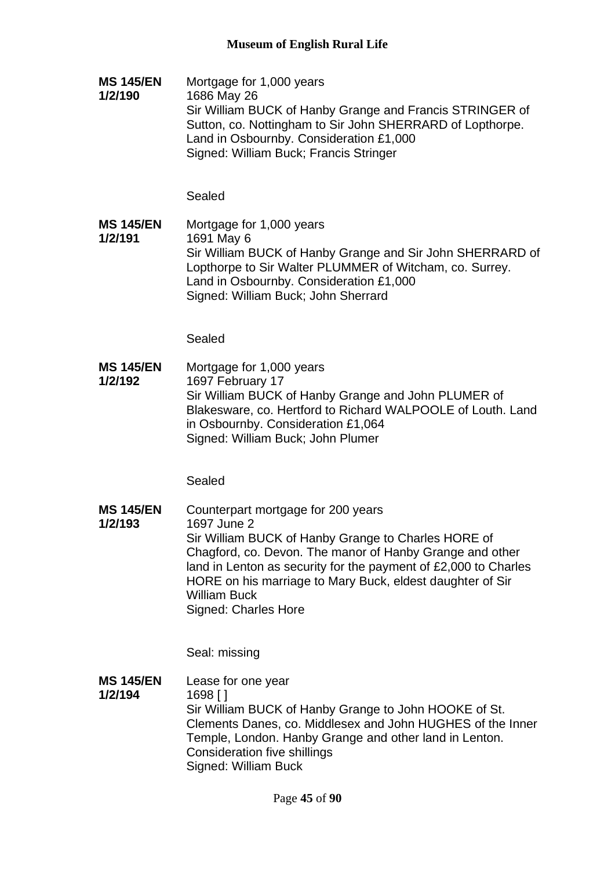**MS 145/EN 1/2/190** Mortgage for 1,000 years 1686 May 26 Sir William BUCK of Hanby Grange and Francis STRINGER of Sutton, co. Nottingham to Sir John SHERRARD of Lopthorpe. Land in Osbournby. Consideration £1,000 Signed: William Buck; Francis Stringer

**Sealed** 

**MS 145/EN 1/2/191** Mortgage for 1,000 years 1691 May 6 Sir William BUCK of Hanby Grange and Sir John SHERRARD of Lopthorpe to Sir Walter PLUMMER of Witcham, co. Surrey. Land in Osbournby. Consideration £1,000 Signed: William Buck; John Sherrard

Sealed

**MS 145/EN 1/2/192** Mortgage for 1,000 years 1697 February 17 Sir William BUCK of Hanby Grange and John PLUMER of Blakesware, co. Hertford to Richard WALPOOLE of Louth. Land in Osbournby. Consideration £1,064 Signed: William Buck; John Plumer

Sealed

**MS 145/EN 1/2/193** Counterpart mortgage for 200 years 1697 June 2 Sir William BUCK of Hanby Grange to Charles HORE of Chagford, co. Devon. The manor of Hanby Grange and other land in Lenton as security for the payment of £2,000 to Charles HORE on his marriage to Mary Buck, eldest daughter of Sir William Buck Signed: Charles Hore

Seal: missing

**MS 145/EN 1/2/194** Lease for one year 1698 [ ] Sir William BUCK of Hanby Grange to John HOOKE of St. Clements Danes, co. Middlesex and John HUGHES of the Inner Temple, London. Hanby Grange and other land in Lenton. Consideration five shillings Signed: William Buck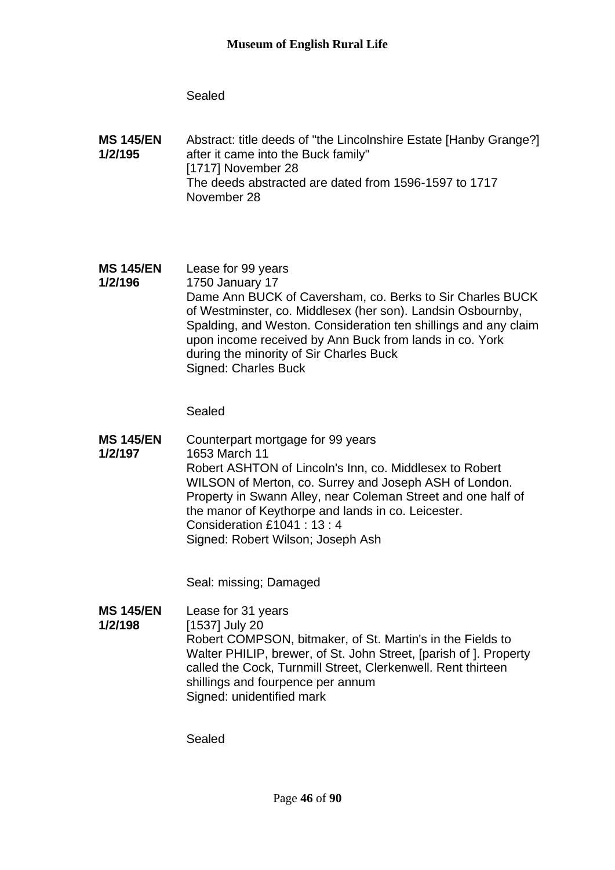**MS 145/EN 1/2/195** Abstract: title deeds of "the Lincolnshire Estate [Hanby Grange?] after it came into the Buck family" [1717] November 28 The deeds abstracted are dated from 1596-1597 to 1717 November 28

### **MS 145/EN 1/2/196** Lease for 99 years 1750 January 17 Dame Ann BUCK of Caversham, co. Berks to Sir Charles BUCK of Westminster, co. Middlesex (her son). Landsin Osbournby, Spalding, and Weston. Consideration ten shillings and any claim upon income received by Ann Buck from lands in co. York during the minority of Sir Charles Buck Signed: Charles Buck

Sealed

**MS 145/EN 1/2/197** Counterpart mortgage for 99 years 1653 March 11 Robert ASHTON of Lincoln's Inn, co. Middlesex to Robert WILSON of Merton, co. Surrey and Joseph ASH of London. Property in Swann Alley, near Coleman Street and one half of the manor of Keythorpe and lands in co. Leicester. Consideration £1041 : 13 : 4 Signed: Robert Wilson; Joseph Ash

Seal: missing; Damaged

**MS 145/EN 1/2/198** Lease for 31 years [1537] July 20 Robert COMPSON, bitmaker, of St. Martin's in the Fields to Walter PHILIP, brewer, of St. John Street, [parish of ]. Property called the Cock, Turnmill Street, Clerkenwell. Rent thirteen shillings and fourpence per annum Signed: unidentified mark

Sealed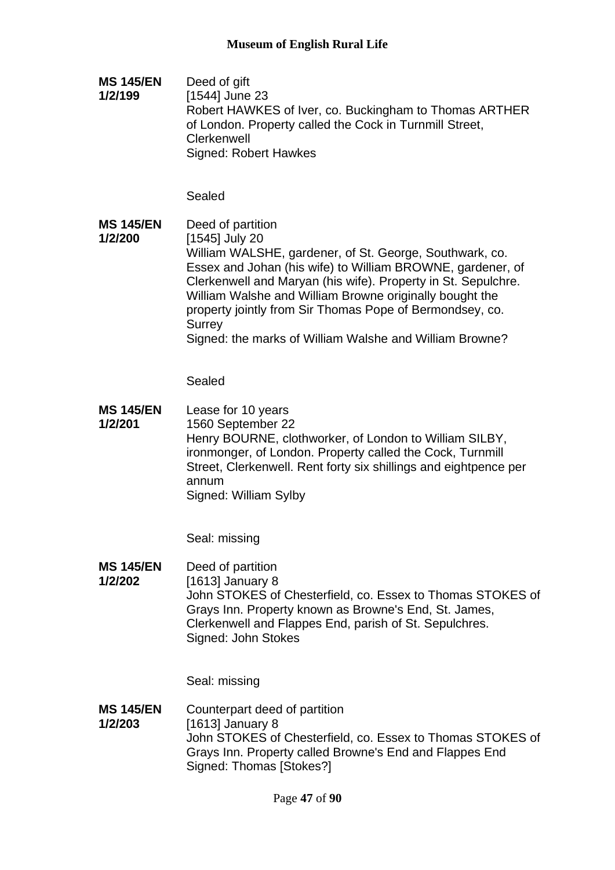**MS 145/EN 1/2/199** Deed of gift [1544] June 23 Robert HAWKES of Iver, co. Buckingham to Thomas ARTHER of London. Property called the Cock in Turnmill Street, **Clerkenwell** Signed: Robert Hawkes

**Sealed** 

**MS 145/EN 1/2/200** Deed of partition [1545] July 20 William WALSHE, gardener, of St. George, Southwark, co. Essex and Johan (his wife) to William BROWNE, gardener, of Clerkenwell and Maryan (his wife). Property in St. Sepulchre. William Walshe and William Browne originally bought the property jointly from Sir Thomas Pope of Bermondsey, co. **Surrey** Signed: the marks of William Walshe and William Browne?

Sealed

**MS 145/EN 1/2/201** Lease for 10 years 1560 September 22 Henry BOURNE, clothworker, of London to William SILBY, ironmonger, of London. Property called the Cock, Turnmill Street, Clerkenwell. Rent forty six shillings and eightpence per annum Signed: William Sylby

Seal: missing

**MS 145/EN 1/2/202** Deed of partition [1613] January 8 John STOKES of Chesterfield, co. Essex to Thomas STOKES of Grays Inn. Property known as Browne's End, St. James, Clerkenwell and Flappes End, parish of St. Sepulchres. Signed: John Stokes

Seal: missing

**MS 145/EN 1/2/203** Counterpart deed of partition [1613] January 8 John STOKES of Chesterfield, co. Essex to Thomas STOKES of Grays Inn. Property called Browne's End and Flappes End Signed: Thomas [Stokes?]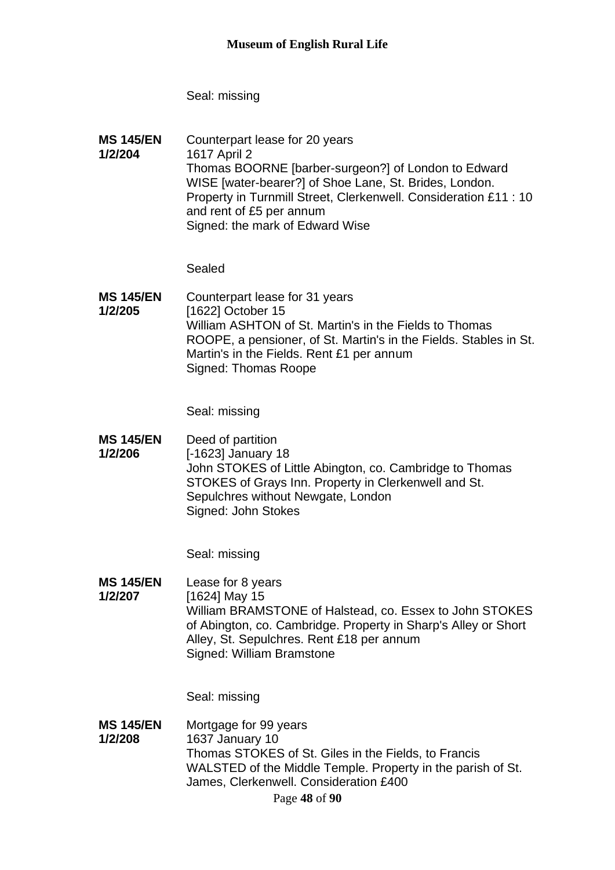Seal: missing

**MS 145/EN 1/2/204** Counterpart lease for 20 years 1617 April 2 Thomas BOORNE [barber-surgeon?] of London to Edward WISE [water-bearer?] of Shoe Lane, St. Brides, London. Property in Turnmill Street, Clerkenwell. Consideration £11 : 10 and rent of £5 per annum Signed: the mark of Edward Wise

Sealed

**MS 145/EN 1/2/205** Counterpart lease for 31 years [1622] October 15 William ASHTON of St. Martin's in the Fields to Thomas ROOPE, a pensioner, of St. Martin's in the Fields. Stables in St. Martin's in the Fields. Rent £1 per annum Signed: Thomas Roope

Seal: missing

**MS 145/EN 1/2/206** Deed of partition [-1623] January 18 John STOKES of Little Abington, co. Cambridge to Thomas STOKES of Grays Inn. Property in Clerkenwell and St. Sepulchres without Newgate, London Signed: John Stokes

Seal: missing

**MS 145/EN 1/2/207** Lease for 8 years [1624] May 15 William BRAMSTONE of Halstead, co. Essex to John STOKES of Abington, co. Cambridge. Property in Sharp's Alley or Short Alley, St. Sepulchres. Rent £18 per annum Signed: William Bramstone

Seal: missing

**MS 145/EN 1/2/208** Mortgage for 99 years 1637 January 10 Thomas STOKES of St. Giles in the Fields, to Francis WALSTED of the Middle Temple. Property in the parish of St. James, Clerkenwell. Consideration £400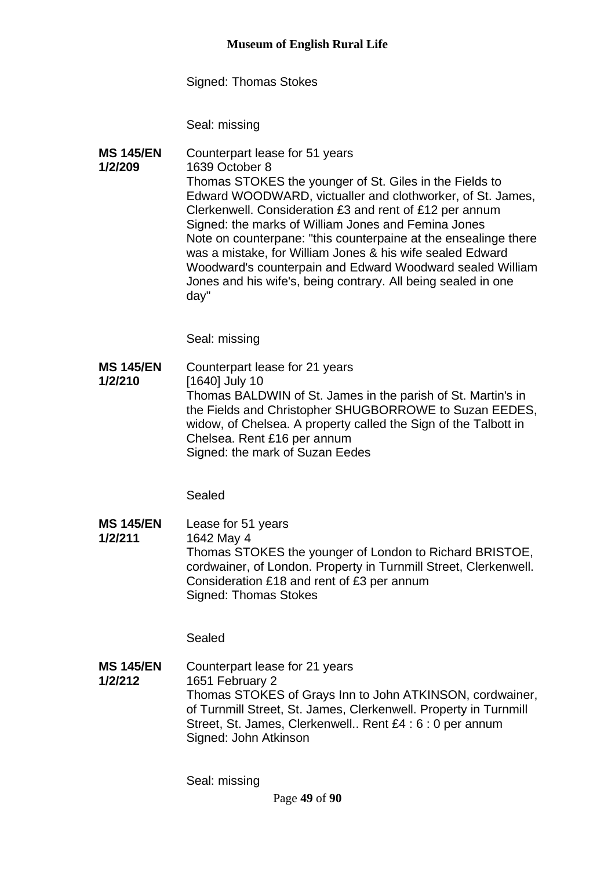Signed: Thomas Stokes

Seal: missing

**MS 145/EN 1/2/209** Counterpart lease for 51 years 1639 October 8 Thomas STOKES the younger of St. Giles in the Fields to Edward WOODWARD, victualler and clothworker, of St. James, Clerkenwell. Consideration £3 and rent of £12 per annum Signed: the marks of William Jones and Femina Jones Note on counterpane: "this counterpaine at the ensealinge there was a mistake, for William Jones & his wife sealed Edward Woodward's counterpain and Edward Woodward sealed William Jones and his wife's, being contrary. All being sealed in one day"

Seal: missing

**MS 145/EN 1/2/210** Counterpart lease for 21 years [1640] July 10 Thomas BALDWIN of St. James in the parish of St. Martin's in the Fields and Christopher SHUGBORROWE to Suzan EEDES, widow, of Chelsea. A property called the Sign of the Talbott in Chelsea. Rent £16 per annum Signed: the mark of Suzan Eedes

Sealed

**MS 145/EN 1/2/211** Lease for 51 years 1642 May 4 Thomas STOKES the younger of London to Richard BRISTOE, cordwainer, of London. Property in Turnmill Street, Clerkenwell. Consideration £18 and rent of £3 per annum Signed: Thomas Stokes

Sealed

**MS 145/EN 1/2/212** Counterpart lease for 21 years 1651 February 2 Thomas STOKES of Grays Inn to John ATKINSON, cordwainer, of Turnmill Street, St. James, Clerkenwell. Property in Turnmill Street, St. James, Clerkenwell.. Rent £4 : 6 : 0 per annum Signed: John Atkinson

Seal: missing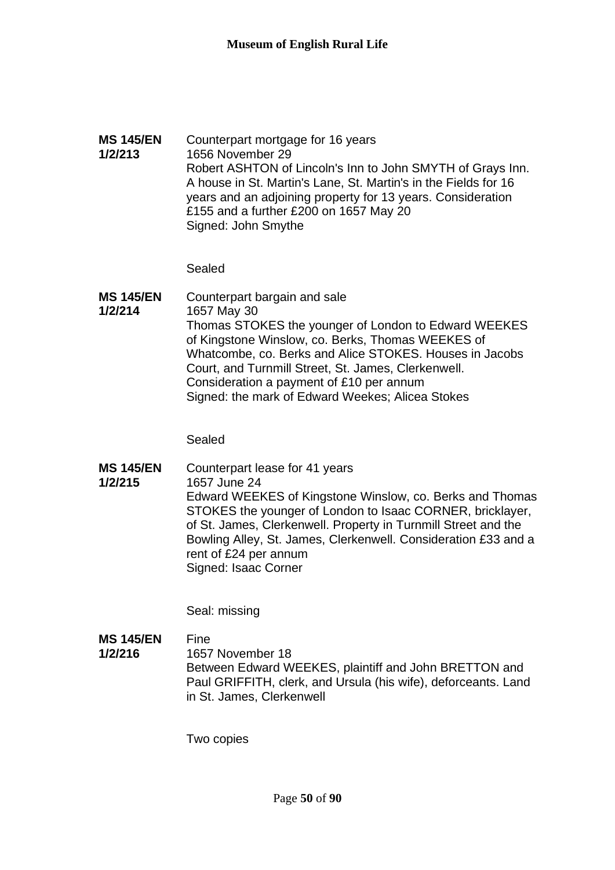### **MS 145/EN 1/2/213** Counterpart mortgage for 16 years 1656 November 29 Robert ASHTON of Lincoln's Inn to John SMYTH of Grays Inn. A house in St. Martin's Lane, St. Martin's in the Fields for 16 years and an adjoining property for 13 years. Consideration £155 and a further £200 on 1657 May 20 Signed: John Smythe

Sealed

**MS 145/EN 1/2/214** Counterpart bargain and sale 1657 May 30 Thomas STOKES the younger of London to Edward WEEKES of Kingstone Winslow, co. Berks, Thomas WEEKES of Whatcombe, co. Berks and Alice STOKES. Houses in Jacobs Court, and Turnmill Street, St. James, Clerkenwell. Consideration a payment of £10 per annum Signed: the mark of Edward Weekes; Alicea Stokes

Sealed

**MS 145/EN 1/2/215** Counterpart lease for 41 years 1657 June 24 Edward WEEKES of Kingstone Winslow, co. Berks and Thomas STOKES the younger of London to Isaac CORNER, bricklayer, of St. James, Clerkenwell. Property in Turnmill Street and the Bowling Alley, St. James, Clerkenwell. Consideration £33 and a rent of £24 per annum Signed: Isaac Corner

Seal: missing

**MS 145/EN 1/2/216** Fine 1657 November 18 Between Edward WEEKES, plaintiff and John BRETTON and Paul GRIFFITH, clerk, and Ursula (his wife), deforceants. Land in St. James, Clerkenwell

Two copies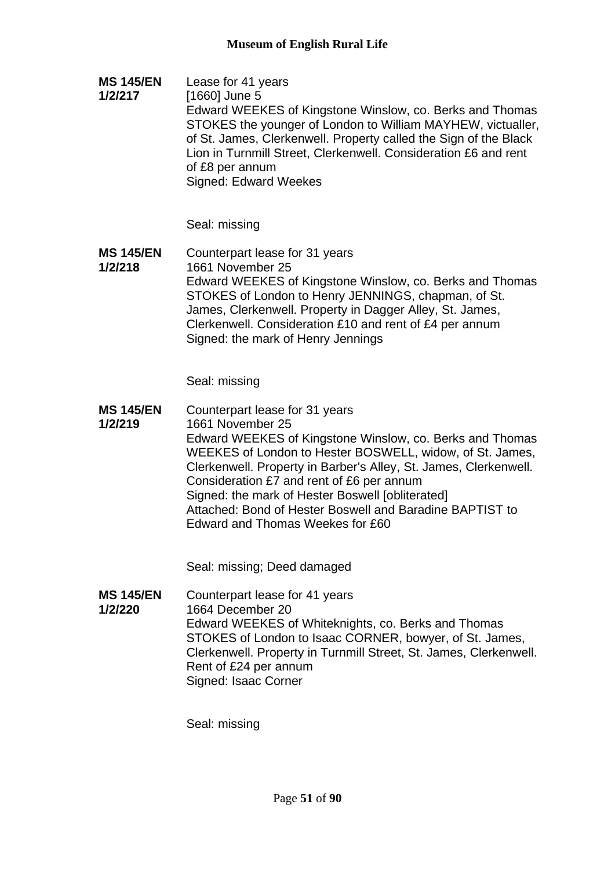**MS 145/EN 1/2/217** Lease for 41 years [1660] June 5 Edward WEEKES of Kingstone Winslow, co. Berks and Thomas STOKES the younger of London to William MAYHEW, victualler, of St. James, Clerkenwell. Property called the Sign of the Black Lion in Turnmill Street, Clerkenwell. Consideration £6 and rent of £8 per annum Signed: Edward Weekes

Seal: missing

**MS 145/EN 1/2/218** Counterpart lease for 31 years 1661 November 25 Edward WEEKES of Kingstone Winslow, co. Berks and Thomas STOKES of London to Henry JENNINGS, chapman, of St. James, Clerkenwell. Property in Dagger Alley, St. James, Clerkenwell. Consideration £10 and rent of £4 per annum Signed: the mark of Henry Jennings

Seal: missing

**MS 145/EN 1/2/219** Counterpart lease for 31 years 1661 November 25 Edward WEEKES of Kingstone Winslow, co. Berks and Thomas WEEKES of London to Hester BOSWELL, widow, of St. James, Clerkenwell. Property in Barber's Alley, St. James, Clerkenwell. Consideration £7 and rent of £6 per annum Signed: the mark of Hester Boswell [obliterated] Attached: Bond of Hester Boswell and Baradine BAPTIST to Edward and Thomas Weekes for £60

Seal: missing; Deed damaged

**MS 145/EN 1/2/220** Counterpart lease for 41 years 1664 December 20 Edward WEEKES of Whiteknights, co. Berks and Thomas STOKES of London to Isaac CORNER, bowyer, of St. James, Clerkenwell. Property in Turnmill Street, St. James, Clerkenwell. Rent of £24 per annum Signed: Isaac Corner

Seal: missing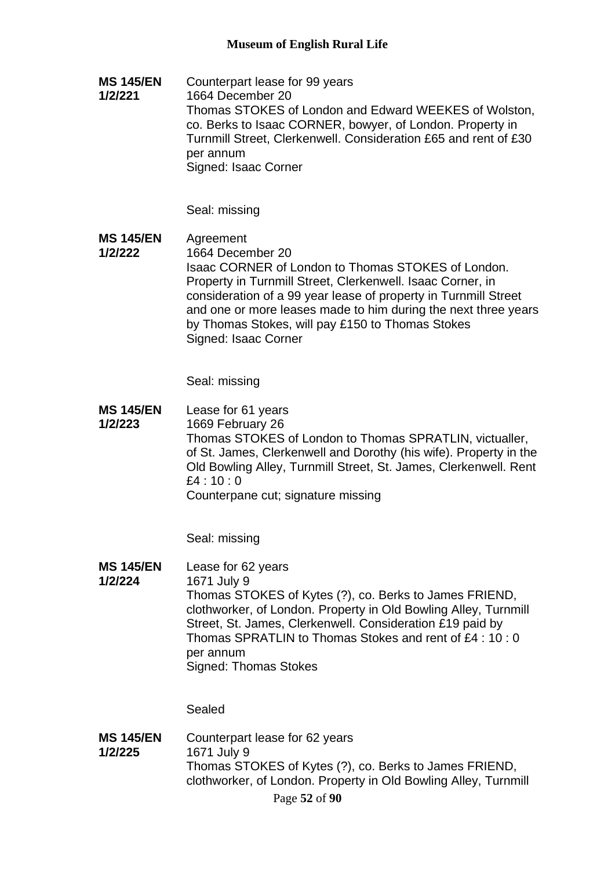**MS 145/EN 1/2/221** Counterpart lease for 99 years 1664 December 20 Thomas STOKES of London and Edward WEEKES of Wolston, co. Berks to Isaac CORNER, bowyer, of London. Property in Turnmill Street, Clerkenwell. Consideration £65 and rent of £30 per annum Signed: Isaac Corner

Seal: missing

**MS 145/EN 1/2/222** Agreement 1664 December 20 Isaac CORNER of London to Thomas STOKES of London. Property in Turnmill Street, Clerkenwell. Isaac Corner, in consideration of a 99 year lease of property in Turnmill Street and one or more leases made to him during the next three years by Thomas Stokes, will pay £150 to Thomas Stokes Signed: Isaac Corner

Seal: missing

**MS 145/EN 1/2/223** Lease for 61 years 1669 February 26 Thomas STOKES of London to Thomas SPRATLIN, victualler, of St. James, Clerkenwell and Dorothy (his wife). Property in the Old Bowling Alley, Turnmill Street, St. James, Clerkenwell. Rent £4 : 10 : 0 Counterpane cut; signature missing

Seal: missing

- **MS 145/EN**  Lease for 62 years
- **1/2/224** 1671 July 9 Thomas STOKES of Kytes (?), co. Berks to James FRIEND, clothworker, of London. Property in Old Bowling Alley, Turnmill Street, St. James, Clerkenwell. Consideration £19 paid by Thomas SPRATLIN to Thomas Stokes and rent of £4 : 10 : 0 per annum Signed: Thomas Stokes

Sealed

**MS 145/EN 1/2/225** Counterpart lease for 62 years 1671 July 9 Thomas STOKES of Kytes (?), co. Berks to James FRIEND, clothworker, of London. Property in Old Bowling Alley, Turnmill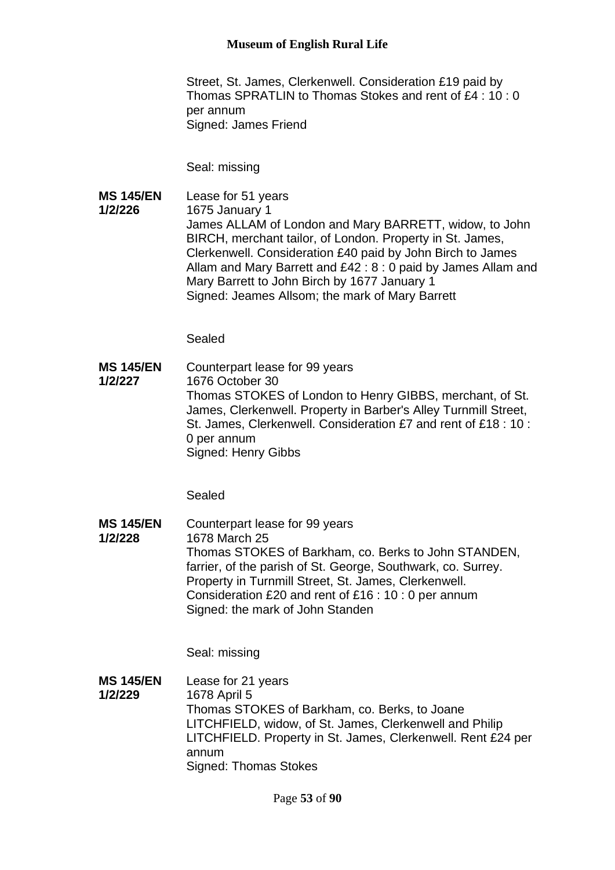Street, St. James, Clerkenwell. Consideration £19 paid by Thomas SPRATLIN to Thomas Stokes and rent of £4 : 10 : 0 per annum Signed: James Friend

Seal: missing

**MS 145/EN 1/2/226** Lease for 51 years 1675 January 1 James ALLAM of London and Mary BARRETT, widow, to John BIRCH, merchant tailor, of London. Property in St. James, Clerkenwell. Consideration £40 paid by John Birch to James Allam and Mary Barrett and £42 : 8 : 0 paid by James Allam and Mary Barrett to John Birch by 1677 January 1 Signed: Jeames Allsom; the mark of Mary Barrett

Sealed

**MS 145/EN 1/2/227** Counterpart lease for 99 years 1676 October 30 Thomas STOKES of London to Henry GIBBS, merchant, of St. James, Clerkenwell. Property in Barber's Alley Turnmill Street, St. James, Clerkenwell. Consideration £7 and rent of £18 : 10 : 0 per annum Signed: Henry Gibbs

Sealed

**MS 145/EN 1/2/228** Counterpart lease for 99 years 1678 March 25 Thomas STOKES of Barkham, co. Berks to John STANDEN, farrier, of the parish of St. George, Southwark, co. Surrey. Property in Turnmill Street, St. James, Clerkenwell. Consideration £20 and rent of £16 : 10 : 0 per annum Signed: the mark of John Standen

Seal: missing

**MS 145/EN 1/2/229** Lease for 21 years 1678 April 5 Thomas STOKES of Barkham, co. Berks, to Joane LITCHFIELD, widow, of St. James, Clerkenwell and Philip LITCHFIELD. Property in St. James, Clerkenwell. Rent £24 per annum Signed: Thomas Stokes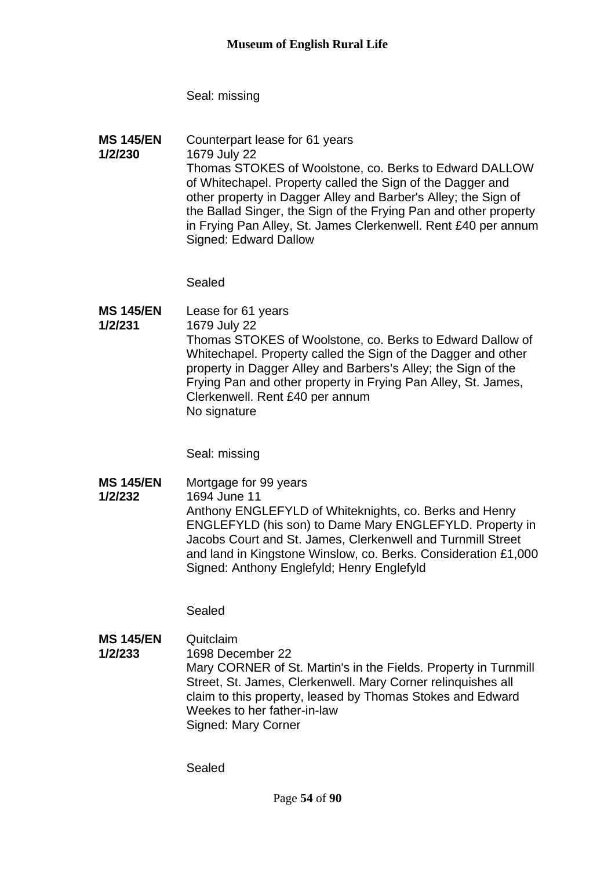Seal: missing

**MS 145/EN 1/2/230** Counterpart lease for 61 years 1679 July 22 Thomas STOKES of Woolstone, co. Berks to Edward DALLOW of Whitechapel. Property called the Sign of the Dagger and other property in Dagger Alley and Barber's Alley; the Sign of the Ballad Singer, the Sign of the Frying Pan and other property in Frying Pan Alley, St. James Clerkenwell. Rent £40 per annum Signed: Edward Dallow

Sealed

**MS 145/EN 1/2/231** Lease for 61 years 1679 July 22 Thomas STOKES of Woolstone, co. Berks to Edward Dallow of Whitechapel. Property called the Sign of the Dagger and other property in Dagger Alley and Barbers's Alley; the Sign of the Frying Pan and other property in Frying Pan Alley, St. James, Clerkenwell. Rent £40 per annum No signature

Seal: missing

**MS 145/EN**  Mortgage for 99 years

**1/2/232** 1694 June 11 Anthony ENGLEFYLD of Whiteknights, co. Berks and Henry ENGLEFYLD (his son) to Dame Mary ENGLEFYLD. Property in Jacobs Court and St. James, Clerkenwell and Turnmill Street and land in Kingstone Winslow, co. Berks. Consideration £1,000

Sealed

**MS 145/EN 1/2/233** Quitclaim 1698 December 22 Mary CORNER of St. Martin's in the Fields. Property in Turnmill Street, St. James, Clerkenwell. Mary Corner relinquishes all claim to this property, leased by Thomas Stokes and Edward Weekes to her father-in-law Signed: Mary Corner

Signed: Anthony Englefyld; Henry Englefyld

Sealed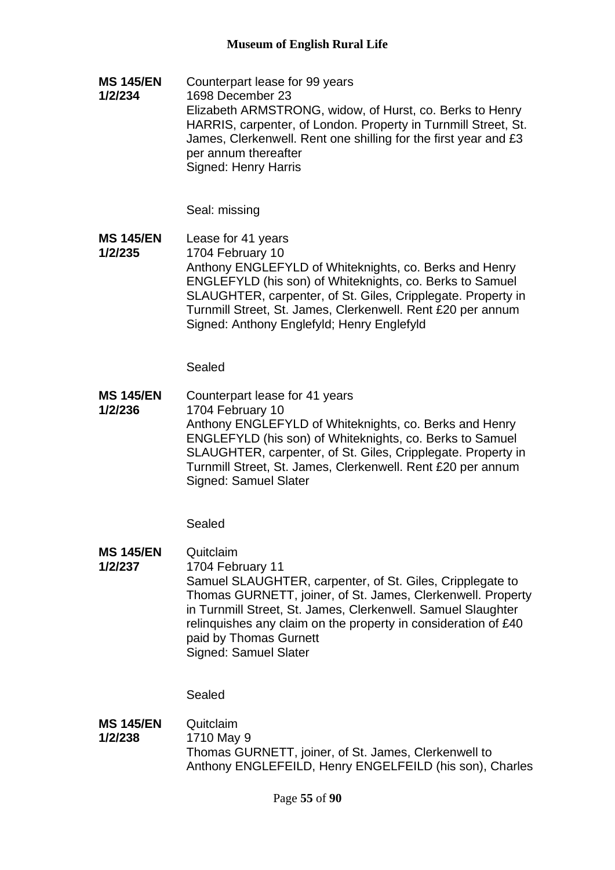**MS 145/EN 1/2/234** Counterpart lease for 99 years 1698 December 23 Elizabeth ARMSTRONG, widow, of Hurst, co. Berks to Henry HARRIS, carpenter, of London. Property in Turnmill Street, St. James, Clerkenwell. Rent one shilling for the first year and £3 per annum thereafter Signed: Henry Harris

Seal: missing

**MS 145/EN 1/2/235** Lease for 41 years 1704 February 10 Anthony ENGLEFYLD of Whiteknights, co. Berks and Henry ENGLEFYLD (his son) of Whiteknights, co. Berks to Samuel SLAUGHTER, carpenter, of St. Giles, Cripplegate. Property in Turnmill Street, St. James, Clerkenwell. Rent £20 per annum Signed: Anthony Englefyld; Henry Englefyld

Sealed

**MS 145/EN 1/2/236** Counterpart lease for 41 years 1704 February 10 Anthony ENGLEFYLD of Whiteknights, co. Berks and Henry ENGLEFYLD (his son) of Whiteknights, co. Berks to Samuel SLAUGHTER, carpenter, of St. Giles, Cripplegate. Property in Turnmill Street, St. James, Clerkenwell. Rent £20 per annum Signed: Samuel Slater

Sealed

**MS 145/EN 1/2/237** Quitclaim 1704 February 11 Samuel SLAUGHTER, carpenter, of St. Giles, Cripplegate to Thomas GURNETT, joiner, of St. James, Clerkenwell. Property in Turnmill Street, St. James, Clerkenwell. Samuel Slaughter relinquishes any claim on the property in consideration of £40 paid by Thomas Gurnett Signed: Samuel Slater

Sealed

**MS 145/EN 1/2/238 Quitclaim** 1710 May 9 Thomas GURNETT, joiner, of St. James, Clerkenwell to Anthony ENGLEFEILD, Henry ENGELFEILD (his son), Charles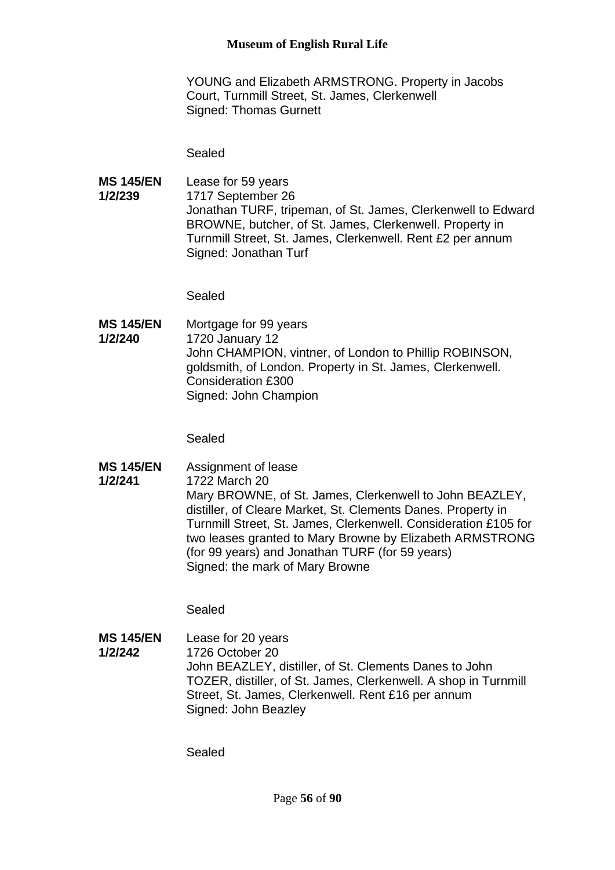YOUNG and Elizabeth ARMSTRONG. Property in Jacobs Court, Turnmill Street, St. James, Clerkenwell Signed: Thomas Gurnett

Sealed

**MS 145/EN 1/2/239** Lease for 59 years 1717 September 26 Jonathan TURF, tripeman, of St. James, Clerkenwell to Edward BROWNE, butcher, of St. James, Clerkenwell. Property in Turnmill Street, St. James, Clerkenwell. Rent £2 per annum Signed: Jonathan Turf

Sealed

**MS 145/EN 1/2/240** Mortgage for 99 years 1720 January 12 John CHAMPION, vintner, of London to Phillip ROBINSON, goldsmith, of London. Property in St. James, Clerkenwell. Consideration £300 Signed: John Champion

Sealed

**MS 145/EN 1/2/241** Assignment of lease 1722 March 20 Mary BROWNE, of St. James, Clerkenwell to John BEAZLEY, distiller, of Cleare Market, St. Clements Danes. Property in Turnmill Street, St. James, Clerkenwell. Consideration £105 for two leases granted to Mary Browne by Elizabeth ARMSTRONG (for 99 years) and Jonathan TURF (for 59 years) Signed: the mark of Mary Browne

Sealed

**MS 145/EN 1/2/242** Lease for 20 years 1726 October 20 John BEAZLEY, distiller, of St. Clements Danes to John TOZER, distiller, of St. James, Clerkenwell. A shop in Turnmill Street, St. James, Clerkenwell. Rent £16 per annum Signed: John Beazley

Sealed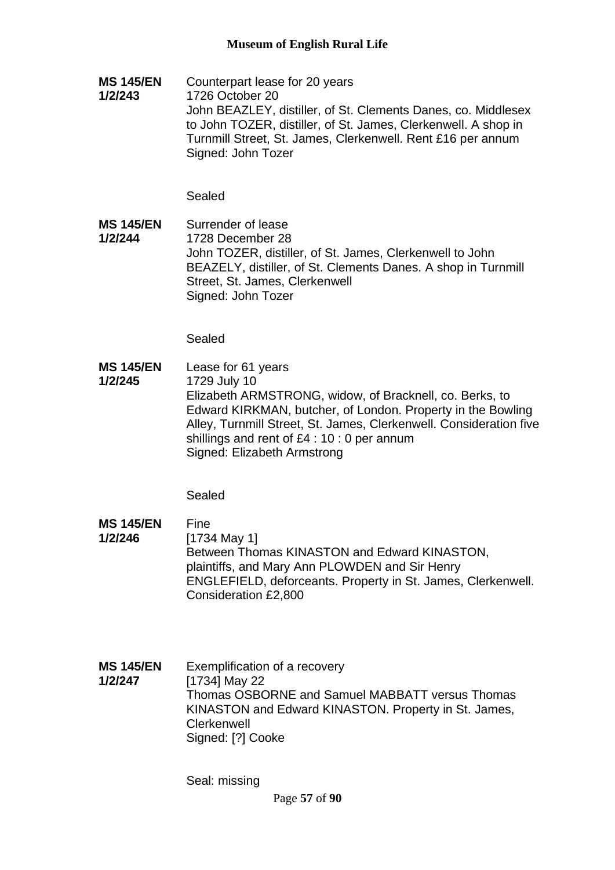**MS 145/EN 1/2/243** Counterpart lease for 20 years 1726 October 20 John BEAZLEY, distiller, of St. Clements Danes, co. Middlesex to John TOZER, distiller, of St. James, Clerkenwell. A shop in Turnmill Street, St. James, Clerkenwell. Rent £16 per annum Signed: John Tozer

Sealed

**MS 145/EN 1/2/244** Surrender of lease 1728 December 28 John TOZER, distiller, of St. James, Clerkenwell to John BEAZELY, distiller, of St. Clements Danes. A shop in Turnmill Street, St. James, Clerkenwell Signed: John Tozer

Sealed

**MS 145/EN 1/2/245** Lease for 61 years 1729 July 10 Elizabeth ARMSTRONG, widow, of Bracknell, co. Berks, to Edward KIRKMAN, butcher, of London. Property in the Bowling Alley, Turnmill Street, St. James, Clerkenwell. Consideration five shillings and rent of £4 : 10 : 0 per annum Signed: Elizabeth Armstrong

Sealed

- **MS 145/EN 1/2/246** Fine [1734 May 1] Between Thomas KINASTON and Edward KINASTON, plaintiffs, and Mary Ann PLOWDEN and Sir Henry ENGLEFIELD, deforceants. Property in St. James, Clerkenwell. Consideration £2,800
- **MS 145/EN 1/2/247** Exemplification of a recovery [1734] May 22 Thomas OSBORNE and Samuel MABBATT versus Thomas KINASTON and Edward KINASTON. Property in St. James, **Clerkenwell** Signed: [?] Cooke

Seal: missing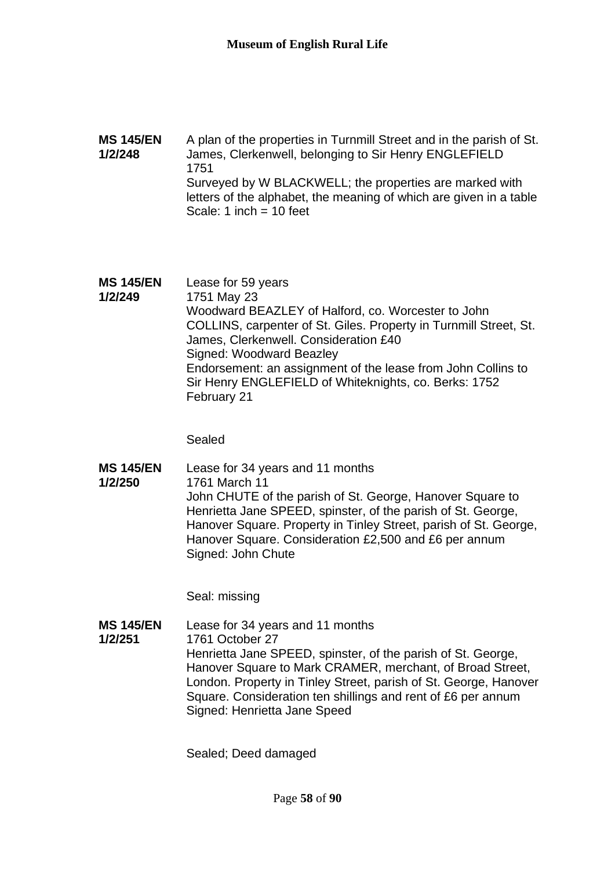### **MS 145/EN 1/2/248** A plan of the properties in Turnmill Street and in the parish of St. James, Clerkenwell, belonging to Sir Henry ENGLEFIELD 1751 Surveyed by W BLACKWELL; the properties are marked with letters of the alphabet, the meaning of which are given in a table Scale: 1 inch  $= 10$  feet

**MS 145/EN 1/2/249** Lease for 59 years 1751 May 23 Woodward BEAZLEY of Halford, co. Worcester to John COLLINS, carpenter of St. Giles. Property in Turnmill Street, St. James, Clerkenwell. Consideration £40 Signed: Woodward Beazley Endorsement: an assignment of the lease from John Collins to Sir Henry ENGLEFIELD of Whiteknights, co. Berks: 1752 February 21

Sealed

**MS 145/EN 1/2/250** Lease for 34 years and 11 months 1761 March 11 John CHUTE of the parish of St. George, Hanover Square to Henrietta Jane SPEED, spinster, of the parish of St. George, Hanover Square. Property in Tinley Street, parish of St. George, Hanover Square. Consideration £2,500 and £6 per annum Signed: John Chute

Seal: missing

**MS 145/EN 1/2/251** Lease for 34 years and 11 months 1761 October 27 Henrietta Jane SPEED, spinster, of the parish of St. George, Hanover Square to Mark CRAMER, merchant, of Broad Street, London. Property in Tinley Street, parish of St. George, Hanover Square. Consideration ten shillings and rent of £6 per annum Signed: Henrietta Jane Speed

Sealed; Deed damaged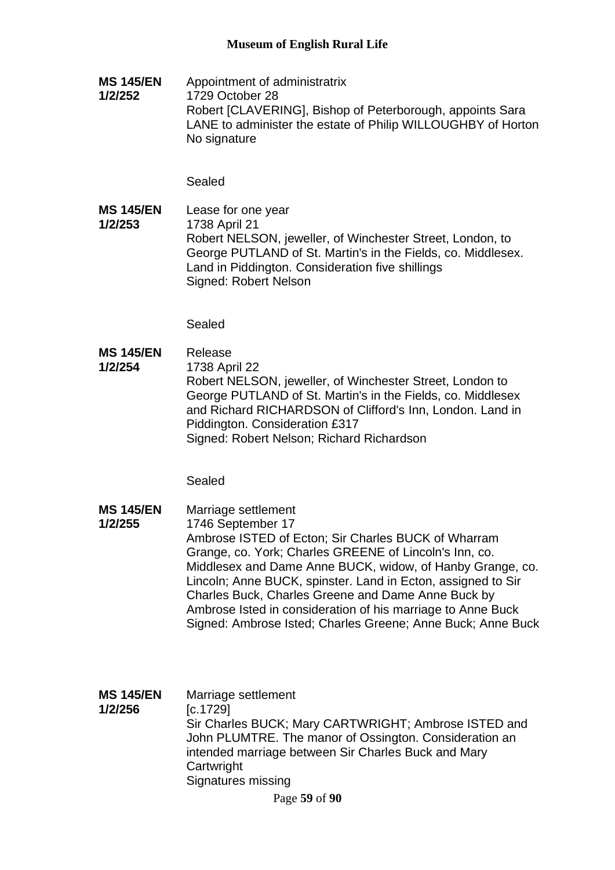**MS 145/EN 1/2/252** Appointment of administratrix 1729 October 28 Robert [CLAVERING], Bishop of Peterborough, appoints Sara LANE to administer the estate of Philip WILLOUGHBY of Horton No signature

Sealed

**MS 145/EN 1/2/253** Lease for one year 1738 April 21 Robert NELSON, jeweller, of Winchester Street, London, to George PUTLAND of St. Martin's in the Fields, co. Middlesex. Land in Piddington. Consideration five shillings Signed: Robert Nelson

Sealed

**MS 145/EN 1/2/254** Release 1738 April 22 Robert NELSON, jeweller, of Winchester Street, London to George PUTLAND of St. Martin's in the Fields, co. Middlesex and Richard RICHARDSON of Clifford's Inn, London. Land in Piddington. Consideration £317 Signed: Robert Nelson; Richard Richardson

Sealed

**MS 145/EN 1/2/255** Marriage settlement 1746 September 17 Ambrose ISTED of Ecton; Sir Charles BUCK of Wharram Grange, co. York; Charles GREENE of Lincoln's Inn, co. Middlesex and Dame Anne BUCK, widow, of Hanby Grange, co. Lincoln; Anne BUCK, spinster. Land in Ecton, assigned to Sir Charles Buck, Charles Greene and Dame Anne Buck by Ambrose Isted in consideration of his marriage to Anne Buck Signed: Ambrose Isted; Charles Greene; Anne Buck; Anne Buck

| <b>MS 145/EN</b><br>1/2/256 | Marriage settlement<br>[c.1729]<br>Sir Charles BUCK; Mary CARTWRIGHT; Ambrose ISTED and<br>John PLUMTRE. The manor of Ossington. Consideration an<br>intended marriage between Sir Charles Buck and Mary<br>Cartwright |
|-----------------------------|------------------------------------------------------------------------------------------------------------------------------------------------------------------------------------------------------------------------|
|                             |                                                                                                                                                                                                                        |
|                             | Signatures missing                                                                                                                                                                                                     |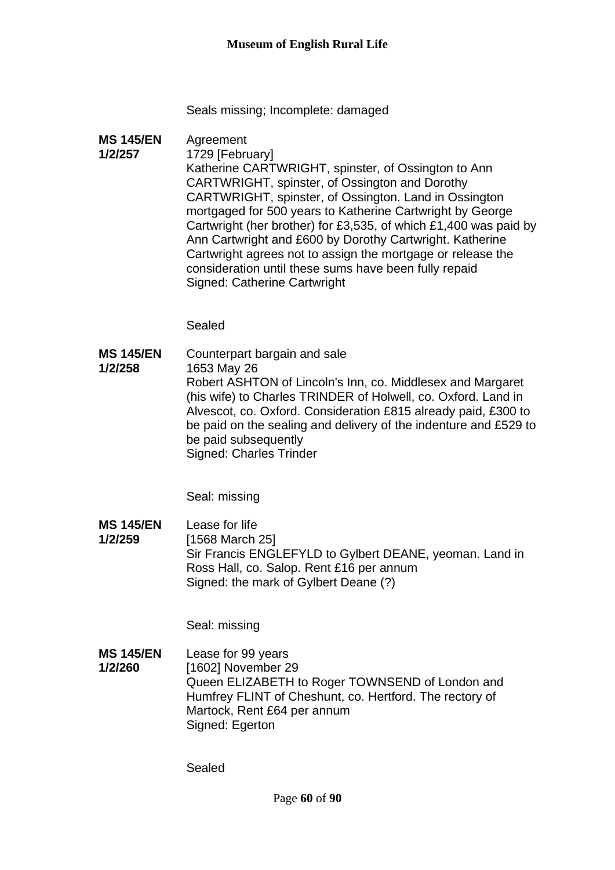Seals missing; Incomplete: damaged

**MS 145/EN 1/2/257** Agreement 1729 [February] Katherine CARTWRIGHT, spinster, of Ossington to Ann CARTWRIGHT, spinster, of Ossington and Dorothy CARTWRIGHT, spinster, of Ossington. Land in Ossington mortgaged for 500 years to Katherine Cartwright by George Cartwright (her brother) for £3,535, of which £1,400 was paid by Ann Cartwright and £600 by Dorothy Cartwright. Katherine Cartwright agrees not to assign the mortgage or release the consideration until these sums have been fully repaid Signed: Catherine Cartwright

Sealed

**MS 145/EN 1/2/258** Counterpart bargain and sale 1653 May 26 Robert ASHTON of Lincoln's Inn, co. Middlesex and Margaret (his wife) to Charles TRINDER of Holwell, co. Oxford. Land in Alvescot, co. Oxford. Consideration £815 already paid, £300 to be paid on the sealing and delivery of the indenture and £529 to be paid subsequently Signed: Charles Trinder

Seal: missing

**MS 145/EN 1/2/259** Lease for life [1568 March 25] Sir Francis ENGLEFYLD to Gylbert DEANE, yeoman. Land in Ross Hall, co. Salop. Rent £16 per annum Signed: the mark of Gylbert Deane (?)

Seal: missing

**MS 145/EN 1/2/260** Lease for 99 years [1602] November 29 Queen ELIZABETH to Roger TOWNSEND of London and Humfrey FLINT of Cheshunt, co. Hertford. The rectory of Martock, Rent £64 per annum Signed: Egerton

Sealed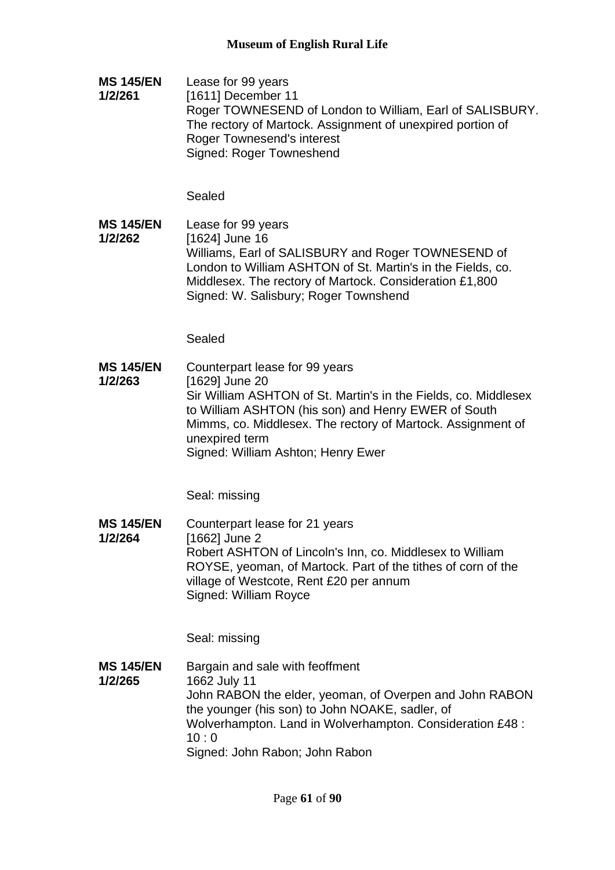**MS 145/EN 1/2/261** Lease for 99 years [1611] December 11 Roger TOWNESEND of London to William, Earl of SALISBURY. The rectory of Martock. Assignment of unexpired portion of Roger Townesend's interest Signed: Roger Towneshend

Sealed

**MS 145/EN 1/2/262** Lease for 99 years [1624] June 16 Williams, Earl of SALISBURY and Roger TOWNESEND of London to William ASHTON of St. Martin's in the Fields, co. Middlesex. The rectory of Martock. Consideration £1,800 Signed: W. Salisbury; Roger Townshend

Sealed

**MS 145/EN 1/2/263** Counterpart lease for 99 years [1629] June 20 Sir William ASHTON of St. Martin's in the Fields, co. Middlesex to William ASHTON (his son) and Henry EWER of South Mimms, co. Middlesex. The rectory of Martock. Assignment of unexpired term Signed: William Ashton; Henry Ewer

Seal: missing

**MS 145/EN 1/2/264** Counterpart lease for 21 years [1662] June 2 Robert ASHTON of Lincoln's Inn, co. Middlesex to William ROYSE, yeoman, of Martock. Part of the tithes of corn of the village of Westcote, Rent £20 per annum Signed: William Royce

Seal: missing

**MS 145/EN 1/2/265** Bargain and sale with feoffment 1662 July 11 John RABON the elder, yeoman, of Overpen and John RABON the younger (his son) to John NOAKE, sadler, of Wolverhampton. Land in Wolverhampton. Consideration £48 :  $10:0$ Signed: John Rabon; John Rabon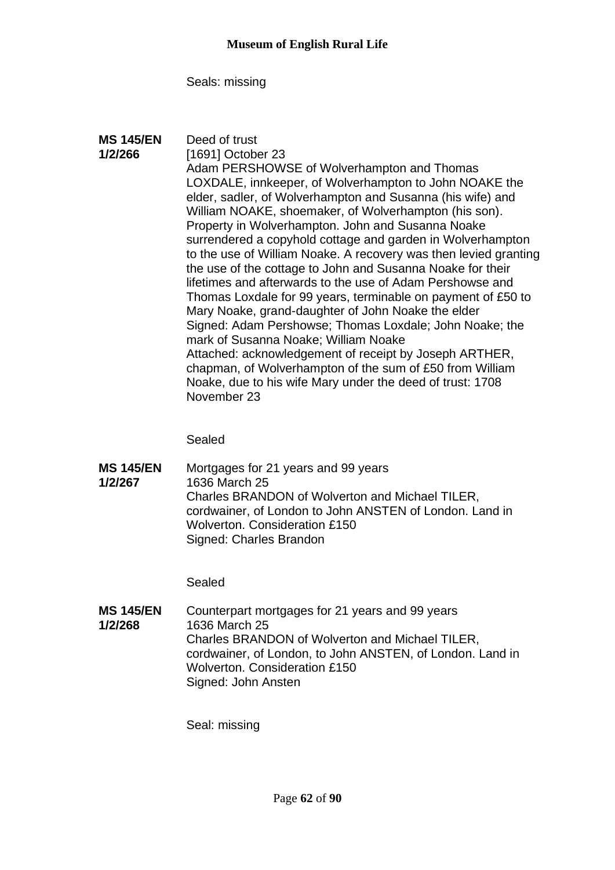Seals: missing

| <b>MS 145/EN</b><br>1/2/266 | Deed of trust<br>[1691] October 23<br>Adam PERSHOWSE of Wolverhampton and Thomas<br>LOXDALE, innkeeper, of Wolverhampton to John NOAKE the<br>elder, sadler, of Wolverhampton and Susanna (his wife) and<br>William NOAKE, shoemaker, of Wolverhampton (his son).<br>Property in Wolverhampton. John and Susanna Noake<br>surrendered a copyhold cottage and garden in Wolverhampton<br>to the use of William Noake. A recovery was then levied granting<br>the use of the cottage to John and Susanna Noake for their<br>lifetimes and afterwards to the use of Adam Pershowse and<br>Thomas Loxdale for 99 years, terminable on payment of £50 to<br>Mary Noake, grand-daughter of John Noake the elder<br>Signed: Adam Pershowse; Thomas Loxdale; John Noake; the<br>mark of Susanna Noake; William Noake<br>Attached: acknowledgement of receipt by Joseph ARTHER,<br>chapman, of Wolverhampton of the sum of £50 from William<br>Noake, due to his wife Mary under the deed of trust: 1708 |
|-----------------------------|-------------------------------------------------------------------------------------------------------------------------------------------------------------------------------------------------------------------------------------------------------------------------------------------------------------------------------------------------------------------------------------------------------------------------------------------------------------------------------------------------------------------------------------------------------------------------------------------------------------------------------------------------------------------------------------------------------------------------------------------------------------------------------------------------------------------------------------------------------------------------------------------------------------------------------------------------------------------------------------------------|
|                             | November 23                                                                                                                                                                                                                                                                                                                                                                                                                                                                                                                                                                                                                                                                                                                                                                                                                                                                                                                                                                                     |

Sealed

**MS 145/EN 1/2/267** Mortgages for 21 years and 99 years 1636 March 25 Charles BRANDON of Wolverton and Michael TILER, cordwainer, of London to John ANSTEN of London. Land in Wolverton. Consideration £150 Signed: Charles Brandon

Sealed

**MS 145/EN 1/2/268** Counterpart mortgages for 21 years and 99 years 1636 March 25 Charles BRANDON of Wolverton and Michael TILER, cordwainer, of London, to John ANSTEN, of London. Land in Wolverton. Consideration £150 Signed: John Ansten

Seal: missing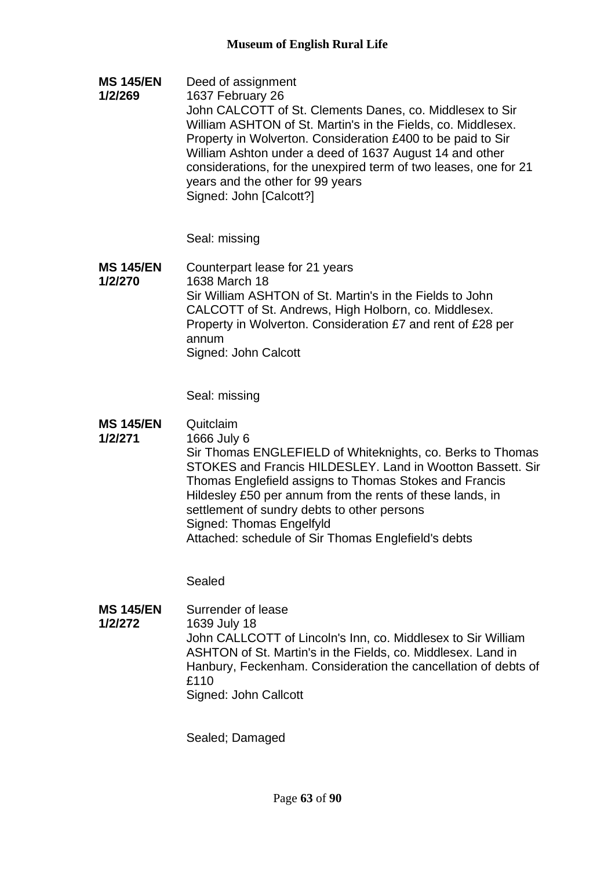**MS 145/EN 1/2/269** Deed of assignment 1637 February 26 John CALCOTT of St. Clements Danes, co. Middlesex to Sir William ASHTON of St. Martin's in the Fields, co. Middlesex. Property in Wolverton. Consideration £400 to be paid to Sir William Ashton under a deed of 1637 August 14 and other considerations, for the unexpired term of two leases, one for 21 years and the other for 99 years Signed: John [Calcott?]

Seal: missing

**MS 145/EN 1/2/270** Counterpart lease for 21 years 1638 March 18 Sir William ASHTON of St. Martin's in the Fields to John CALCOTT of St. Andrews, High Holborn, co. Middlesex. Property in Wolverton. Consideration £7 and rent of £28 per annum Signed: John Calcott

Seal: missing

**MS 145/EN 1/2/271** Quitclaim 1666 July 6 Sir Thomas ENGLEFIELD of Whiteknights, co. Berks to Thomas STOKES and Francis HILDESLEY. Land in Wootton Bassett. Sir Thomas Englefield assigns to Thomas Stokes and Francis Hildesley £50 per annum from the rents of these lands, in settlement of sundry debts to other persons Signed: Thomas Engelfyld Attached: schedule of Sir Thomas Englefield's debts

Sealed

**MS 145/EN 1/2/272** Surrender of lease 1639 July 18 John CALLCOTT of Lincoln's Inn, co. Middlesex to Sir William ASHTON of St. Martin's in the Fields, co. Middlesex. Land in Hanbury, Feckenham. Consideration the cancellation of debts of £110 Signed: John Callcott

Sealed; Damaged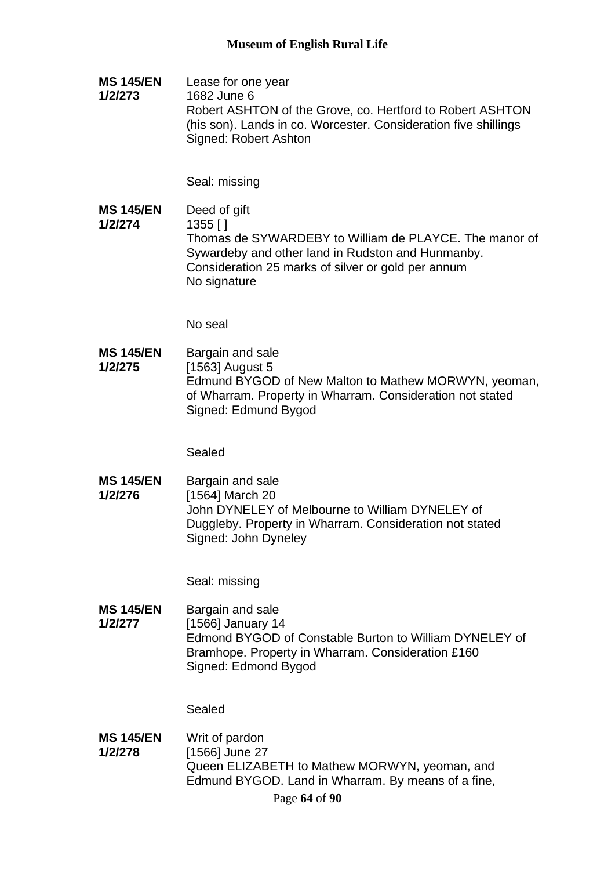**MS 145/EN 1/2/273** Lease for one year 1682 June 6 Robert ASHTON of the Grove, co. Hertford to Robert ASHTON (his son). Lands in co. Worcester. Consideration five shillings Signed: Robert Ashton

Seal: missing

**MS 145/EN 1/2/274** Deed of gift 1355 [ ] Thomas de SYWARDEBY to William de PLAYCE. The manor of Sywardeby and other land in Rudston and Hunmanby. Consideration 25 marks of silver or gold per annum No signature

No seal

**MS 145/EN 1/2/275** Bargain and sale [1563] August 5 Edmund BYGOD of New Malton to Mathew MORWYN, yeoman, of Wharram. Property in Wharram. Consideration not stated Signed: Edmund Bygod

Sealed

**MS 145/EN 1/2/276** Bargain and sale [1564] March 20 John DYNELEY of Melbourne to William DYNELEY of Duggleby. Property in Wharram. Consideration not stated Signed: John Dyneley

Seal: missing

**MS 145/EN 1/2/277** Bargain and sale [1566] January 14 Edmond BYGOD of Constable Burton to William DYNELEY of Bramhope. Property in Wharram. Consideration £160 Signed: Edmond Bygod

Sealed

**MS 145/EN 1/2/278** Writ of pardon [1566] June 27 Queen ELIZABETH to Mathew MORWYN, yeoman, and Edmund BYGOD. Land in Wharram. By means of a fine,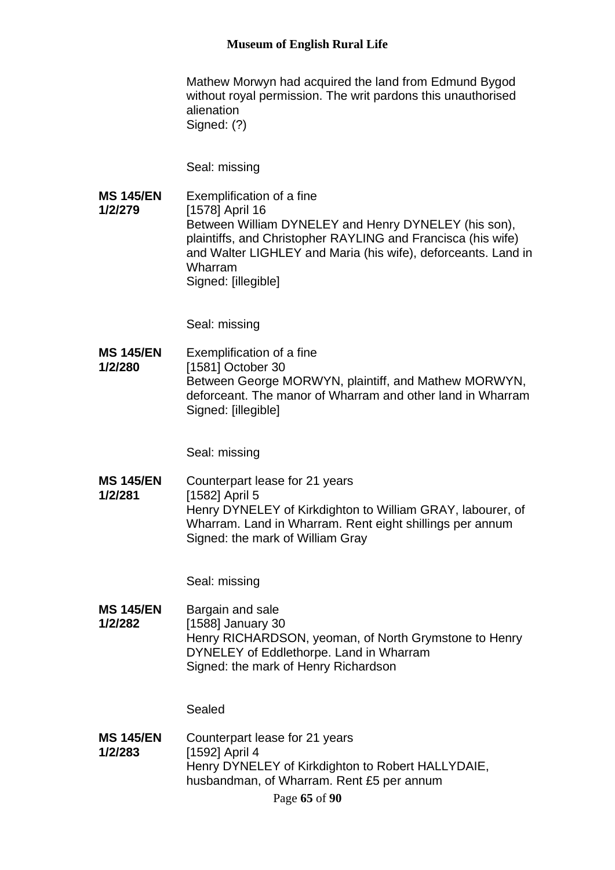Mathew Morwyn had acquired the land from Edmund Bygod without royal permission. The writ pardons this unauthorised alienation Signed: (?)

Seal: missing

**MS 145/EN 1/2/279** Exemplification of a fine [1578] April 16 Between William DYNELEY and Henry DYNELEY (his son), plaintiffs, and Christopher RAYLING and Francisca (his wife) and Walter LIGHLEY and Maria (his wife), deforceants. Land in Wharram Signed: [illegible]

Seal: missing

**MS 145/EN 1/2/280** Exemplification of a fine [1581] October 30 Between George MORWYN, plaintiff, and Mathew MORWYN, deforceant. The manor of Wharram and other land in Wharram Signed: [illegible]

Seal: missing

**MS 145/EN 1/2/281** Counterpart lease for 21 years [1582] April 5 Henry DYNELEY of Kirkdighton to William GRAY, labourer, of Wharram. Land in Wharram. Rent eight shillings per annum Signed: the mark of William Gray

Seal: missing

**MS 145/EN 1/2/282** Bargain and sale [1588] January 30 Henry RICHARDSON, yeoman, of North Grymstone to Henry DYNELEY of Eddlethorpe. Land in Wharram Signed: the mark of Henry Richardson

Sealed

**MS 145/EN 1/2/283** Counterpart lease for 21 years [1592] April 4 Henry DYNELEY of Kirkdighton to Robert HALLYDAIE, husbandman, of Wharram. Rent £5 per annum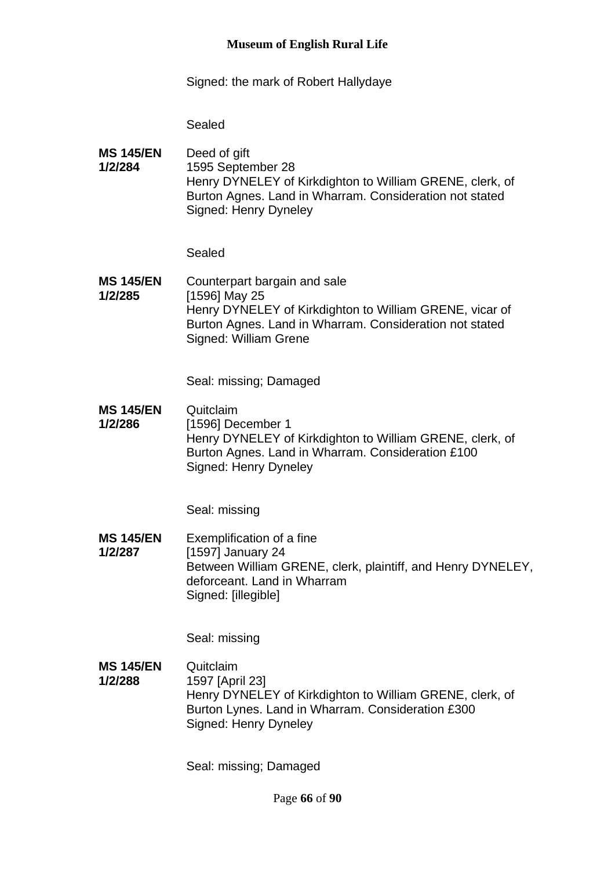Signed: the mark of Robert Hallydaye

Sealed

**MS 145/EN 1/2/284** Deed of gift 1595 September 28 Henry DYNELEY of Kirkdighton to William GRENE, clerk, of Burton Agnes. Land in Wharram. Consideration not stated Signed: Henry Dyneley

Sealed

**MS 145/EN 1/2/285** Counterpart bargain and sale [1596] May 25 Henry DYNELEY of Kirkdighton to William GRENE, vicar of Burton Agnes. Land in Wharram. Consideration not stated Signed: William Grene

Seal: missing; Damaged

**MS 145/EN 1/2/286 Quitclaim** [1596] December 1 Henry DYNELEY of Kirkdighton to William GRENE, clerk, of Burton Agnes. Land in Wharram. Consideration £100 Signed: Henry Dyneley

Seal: missing

**MS 145/EN 1/2/287** Exemplification of a fine [1597] January 24 Between William GRENE, clerk, plaintiff, and Henry DYNELEY, deforceant. Land in Wharram Signed: [illegible]

Seal: missing

**MS 145/EN 1/2/288** Quitclaim 1597 [April 23] Henry DYNELEY of Kirkdighton to William GRENE, clerk, of Burton Lynes. Land in Wharram. Consideration £300 Signed: Henry Dyneley

Seal: missing; Damaged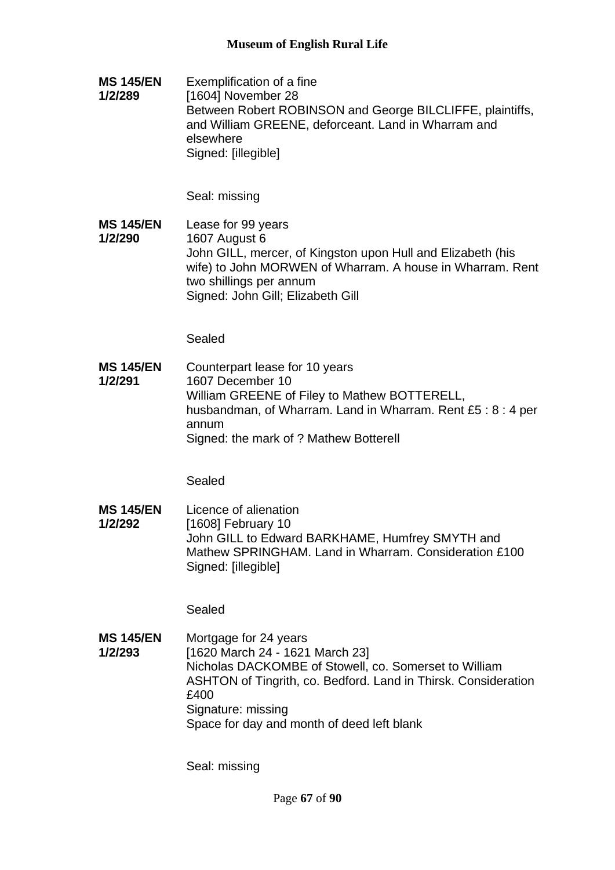**MS 145/EN 1/2/289** Exemplification of a fine [1604] November 28 Between Robert ROBINSON and George BILCLIFFE, plaintiffs, and William GREENE, deforceant. Land in Wharram and elsewhere Signed: [illegible]

Seal: missing

**MS 145/EN 1/2/290** Lease for 99 years 1607 August 6 John GILL, mercer, of Kingston upon Hull and Elizabeth (his wife) to John MORWEN of Wharram. A house in Wharram. Rent two shillings per annum Signed: John Gill; Elizabeth Gill

Sealed

**MS 145/EN 1/2/291** Counterpart lease for 10 years 1607 December 10 William GREENE of Filey to Mathew BOTTERELL, husbandman, of Wharram. Land in Wharram. Rent £5 : 8 : 4 per annum Signed: the mark of ? Mathew Botterell

Sealed

**MS 145/EN 1/2/292** Licence of alienation [1608] February 10 John GILL to Edward BARKHAME, Humfrey SMYTH and Mathew SPRINGHAM. Land in Wharram. Consideration £100 Signed: [illegible]

Sealed

**MS 145/EN 1/2/293** Mortgage for 24 years [1620 March 24 - 1621 March 23] Nicholas DACKOMBE of Stowell, co. Somerset to William ASHTON of Tingrith, co. Bedford. Land in Thirsk. Consideration £400 Signature: missing Space for day and month of deed left blank

Seal: missing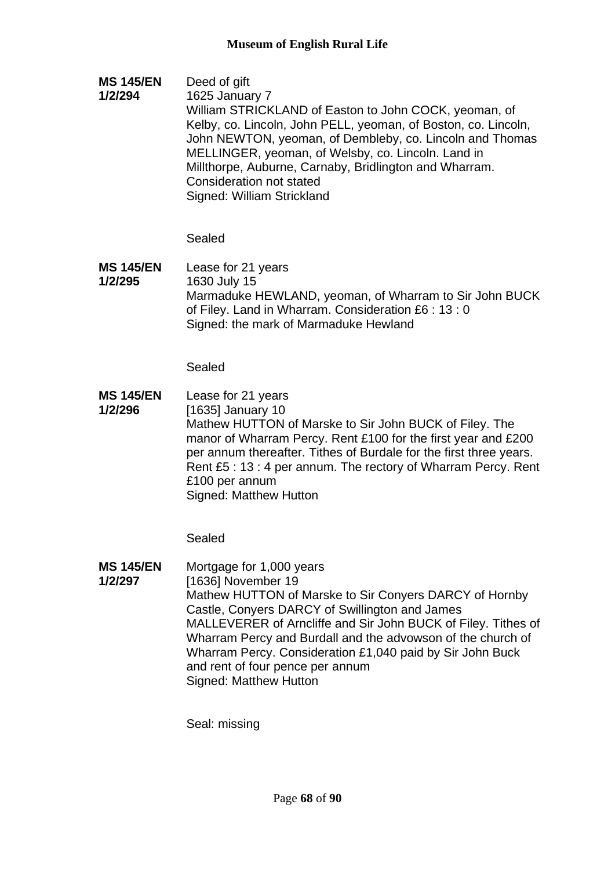**MS 145/EN 1/2/294** Deed of gift 1625 January 7 William STRICKLAND of Easton to John COCK, yeoman, of Kelby, co. Lincoln, John PELL, yeoman, of Boston, co. Lincoln, John NEWTON, yeoman, of Dembleby, co. Lincoln and Thomas MELLINGER, yeoman, of Welsby, co. Lincoln. Land in Millthorpe, Auburne, Carnaby, Bridlington and Wharram. Consideration not stated Signed: William Strickland

# Sealed

**MS 145/EN 1/2/295** Lease for 21 years 1630 July 15 Marmaduke HEWLAND, yeoman, of Wharram to Sir John BUCK of Filey. Land in Wharram. Consideration £6 : 13 : 0 Signed: the mark of Marmaduke Hewland

Sealed

**MS 145/EN 1/2/296** Lease for 21 years [1635] January 10 Mathew HUTTON of Marske to Sir John BUCK of Filey. The manor of Wharram Percy. Rent £100 for the first year and £200 per annum thereafter. Tithes of Burdale for the first three years. Rent £5 : 13 : 4 per annum. The rectory of Wharram Percy. Rent £100 per annum Signed: Matthew Hutton

Sealed

**MS 145/EN 1/2/297** Mortgage for 1,000 years [1636] November 19 Mathew HUTTON of Marske to Sir Conyers DARCY of Hornby Castle, Conyers DARCY of Swillington and James MALLEVERER of Arncliffe and Sir John BUCK of Filey. Tithes of Wharram Percy and Burdall and the advowson of the church of Wharram Percy. Consideration £1,040 paid by Sir John Buck and rent of four pence per annum Signed: Matthew Hutton

Seal: missing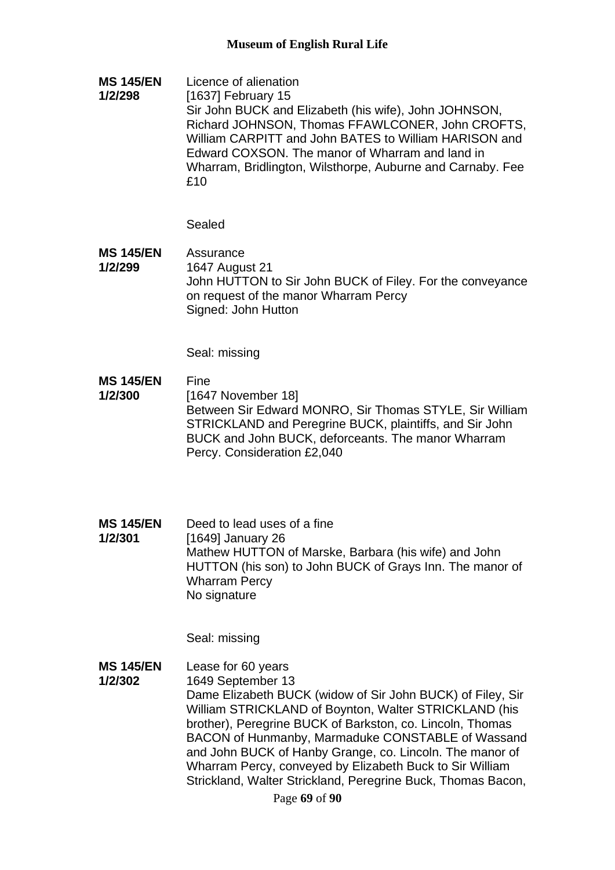**MS 145/EN 1/2/298** Licence of alienation [1637] February 15 Sir John BUCK and Elizabeth (his wife), John JOHNSON, Richard JOHNSON, Thomas FFAWLCONER, John CROFTS, William CARPITT and John BATES to William HARISON and Edward COXSON. The manor of Wharram and land in Wharram, Bridlington, Wilsthorpe, Auburne and Carnaby. Fee £10

Sealed

**MS 145/EN 1/2/299 Assurance** 1647 August 21 John HUTTON to Sir John BUCK of Filey. For the conveyance on request of the manor Wharram Percy Signed: John Hutton

Seal: missing

- **MS 145/EN 1/2/300** Fine [1647 November 18] Between Sir Edward MONRO, Sir Thomas STYLE, Sir William STRICKLAND and Peregrine BUCK, plaintiffs, and Sir John BUCK and John BUCK, deforceants. The manor Wharram Percy. Consideration £2,040
- **MS 145/EN 1/2/301** Deed to lead uses of a fine [1649] January 26 Mathew HUTTON of Marske, Barbara (his wife) and John HUTTON (his son) to John BUCK of Grays Inn. The manor of Wharram Percy No signature

Seal: missing

**MS 145/EN 1/2/302** Lease for 60 years 1649 September 13 Dame Elizabeth BUCK (widow of Sir John BUCK) of Filey, Sir William STRICKLAND of Boynton, Walter STRICKLAND (his brother), Peregrine BUCK of Barkston, co. Lincoln, Thomas BACON of Hunmanby, Marmaduke CONSTABLE of Wassand and John BUCK of Hanby Grange, co. Lincoln. The manor of Wharram Percy, conveyed by Elizabeth Buck to Sir William Strickland, Walter Strickland, Peregrine Buck, Thomas Bacon,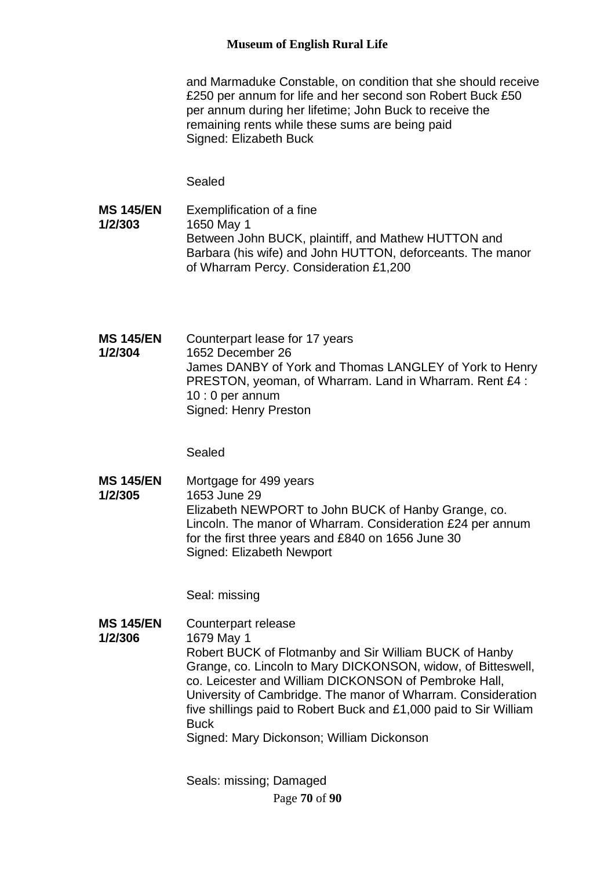and Marmaduke Constable, on condition that she should receive £250 per annum for life and her second son Robert Buck £50 per annum during her lifetime; John Buck to receive the remaining rents while these sums are being paid Signed: Elizabeth Buck

Sealed

- **MS 145/EN 1/2/303** Exemplification of a fine 1650 May 1 Between John BUCK, plaintiff, and Mathew HUTTON and Barbara (his wife) and John HUTTON, deforceants. The manor of Wharram Percy. Consideration £1,200
- **MS 145/EN 1/2/304** Counterpart lease for 17 years 1652 December 26 James DANBY of York and Thomas LANGLEY of York to Henry PRESTON, yeoman, of Wharram. Land in Wharram. Rent £4 : 10 : 0 per annum Signed: Henry Preston

Sealed

**MS 145/EN 1/2/305** Mortgage for 499 years 1653 June 29 Elizabeth NEWPORT to John BUCK of Hanby Grange, co. Lincoln. The manor of Wharram. Consideration £24 per annum for the first three years and £840 on 1656 June 30 Signed: Elizabeth Newport

Seal: missing

**MS 145/EN 1/2/306** Counterpart release 1679 May 1 Robert BUCK of Flotmanby and Sir William BUCK of Hanby Grange, co. Lincoln to Mary DICKONSON, widow, of Bitteswell, co. Leicester and William DICKONSON of Pembroke Hall, University of Cambridge. The manor of Wharram. Consideration five shillings paid to Robert Buck and £1,000 paid to Sir William **Buck** Signed: Mary Dickonson; William Dickonson

> Page **70** of **90** Seals: missing; Damaged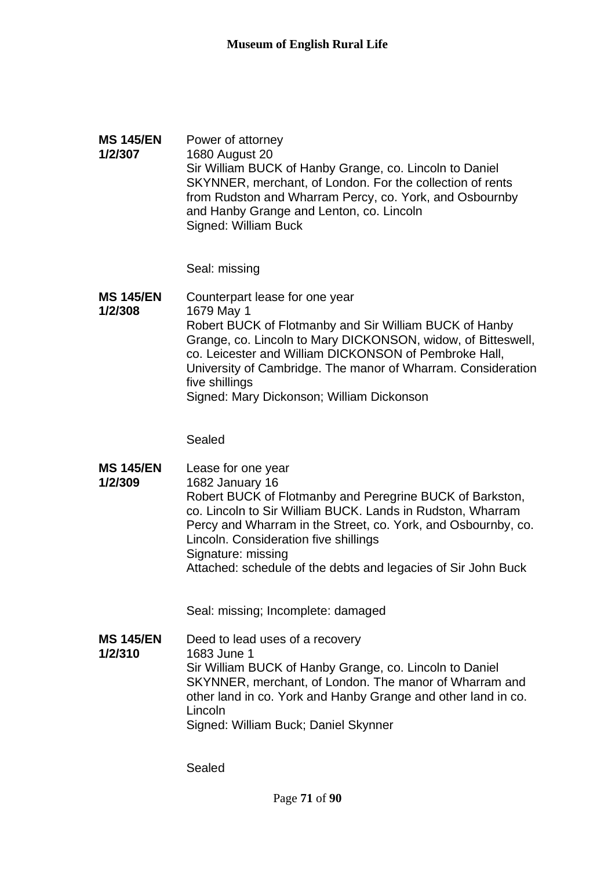### **MS 145/EN 1/2/307** Power of attorney 1680 August 20 Sir William BUCK of Hanby Grange, co. Lincoln to Daniel SKYNNER, merchant, of London. For the collection of rents from Rudston and Wharram Percy, co. York, and Osbournby and Hanby Grange and Lenton, co. Lincoln Signed: William Buck

Seal: missing

**MS 145/EN 1/2/308** Counterpart lease for one year 1679 May 1 Robert BUCK of Flotmanby and Sir William BUCK of Hanby Grange, co. Lincoln to Mary DICKONSON, widow, of Bitteswell, co. Leicester and William DICKONSON of Pembroke Hall, University of Cambridge. The manor of Wharram. Consideration five shillings Signed: Mary Dickonson; William Dickonson

Sealed

**MS 145/EN 1/2/309** Lease for one year 1682 January 16 Robert BUCK of Flotmanby and Peregrine BUCK of Barkston, co. Lincoln to Sir William BUCK. Lands in Rudston, Wharram Percy and Wharram in the Street, co. York, and Osbournby, co. Lincoln. Consideration five shillings Signature: missing Attached: schedule of the debts and legacies of Sir John Buck

Seal: missing; Incomplete: damaged

**MS 145/EN 1/2/310** Deed to lead uses of a recovery 1683 June 1 Sir William BUCK of Hanby Grange, co. Lincoln to Daniel SKYNNER, merchant, of London. The manor of Wharram and other land in co. York and Hanby Grange and other land in co. Lincoln Signed: William Buck; Daniel Skynner

Sealed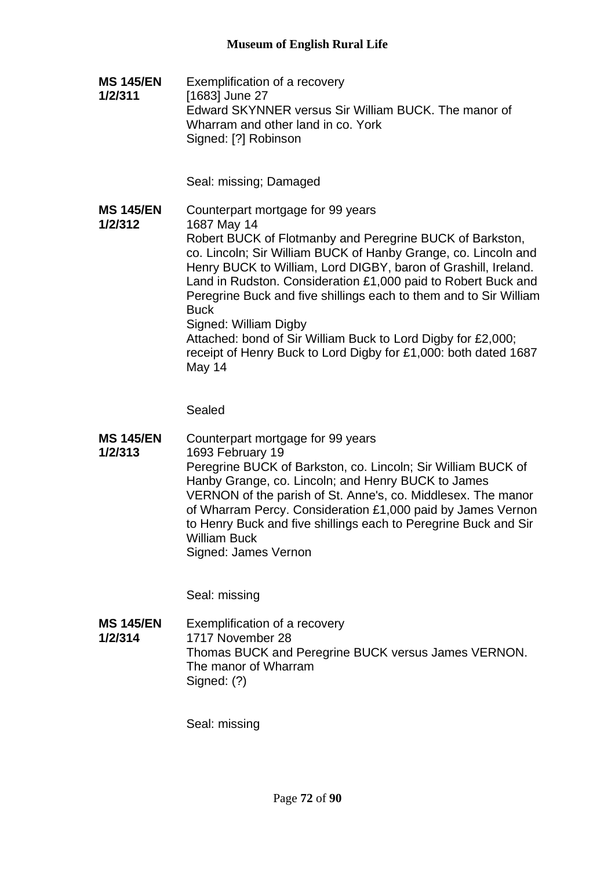**MS 145/EN 1/2/311** Exemplification of a recovery [1683] June 27 Edward SKYNNER versus Sir William BUCK. The manor of Wharram and other land in co. York Signed: [?] Robinson

Seal: missing; Damaged

**MS 145/EN 1/2/312** Counterpart mortgage for 99 years 1687 May 14 Robert BUCK of Flotmanby and Peregrine BUCK of Barkston, co. Lincoln; Sir William BUCK of Hanby Grange, co. Lincoln and Henry BUCK to William, Lord DIGBY, baron of Grashill, Ireland. Land in Rudston. Consideration £1,000 paid to Robert Buck and Peregrine Buck and five shillings each to them and to Sir William **Buck** Signed: William Digby Attached: bond of Sir William Buck to Lord Digby for £2,000; receipt of Henry Buck to Lord Digby for £1,000: both dated 1687 May 14

Sealed

**MS 145/EN 1/2/313** Counterpart mortgage for 99 years 1693 February 19 Peregrine BUCK of Barkston, co. Lincoln; Sir William BUCK of Hanby Grange, co. Lincoln; and Henry BUCK to James VERNON of the parish of St. Anne's, co. Middlesex. The manor of Wharram Percy. Consideration £1,000 paid by James Vernon to Henry Buck and five shillings each to Peregrine Buck and Sir William Buck Signed: James Vernon

Seal: missing

**MS 145/EN 1/2/314** Exemplification of a recovery 1717 November 28 Thomas BUCK and Peregrine BUCK versus James VERNON. The manor of Wharram Signed: (?)

Seal: missing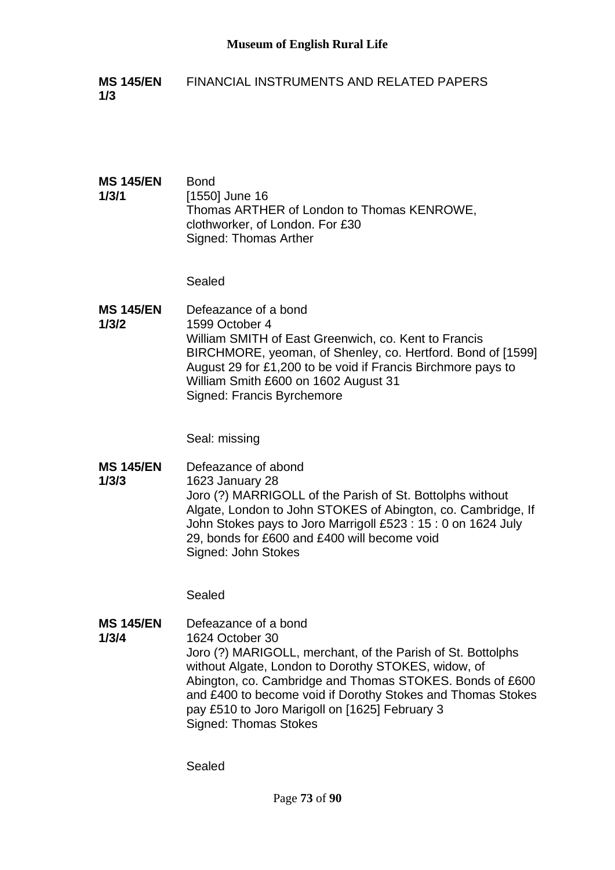- **MS 145/EN 1/3** FINANCIAL INSTRUMENTS AND RELATED PAPERS
- **MS 145/EN 1/3/1** Bond [1550] June 16 Thomas ARTHER of London to Thomas KENROWE, clothworker, of London. For £30 Signed: Thomas Arther

Sealed

**MS 145/EN 1/3/2** Defeazance of a bond 1599 October 4 William SMITH of East Greenwich, co. Kent to Francis BIRCHMORE, yeoman, of Shenley, co. Hertford. Bond of [1599] August 29 for £1,200 to be void if Francis Birchmore pays to William Smith £600 on 1602 August 31 Signed: Francis Byrchemore

Seal: missing

**MS 145/EN 1/3/3** Defeazance of abond 1623 January 28 Joro (?) MARRIGOLL of the Parish of St. Bottolphs without Algate, London to John STOKES of Abington, co. Cambridge, If John Stokes pays to Joro Marrigoll £523 : 15 : 0 on 1624 July 29, bonds for £600 and £400 will become void Signed: John Stokes

Sealed

**MS 145/EN 1/3/4** Defeazance of a bond 1624 October 30 Joro (?) MARIGOLL, merchant, of the Parish of St. Bottolphs without Algate, London to Dorothy STOKES, widow, of Abington, co. Cambridge and Thomas STOKES. Bonds of £600 and £400 to become void if Dorothy Stokes and Thomas Stokes pay £510 to Joro Marigoll on [1625] February 3 Signed: Thomas Stokes

Sealed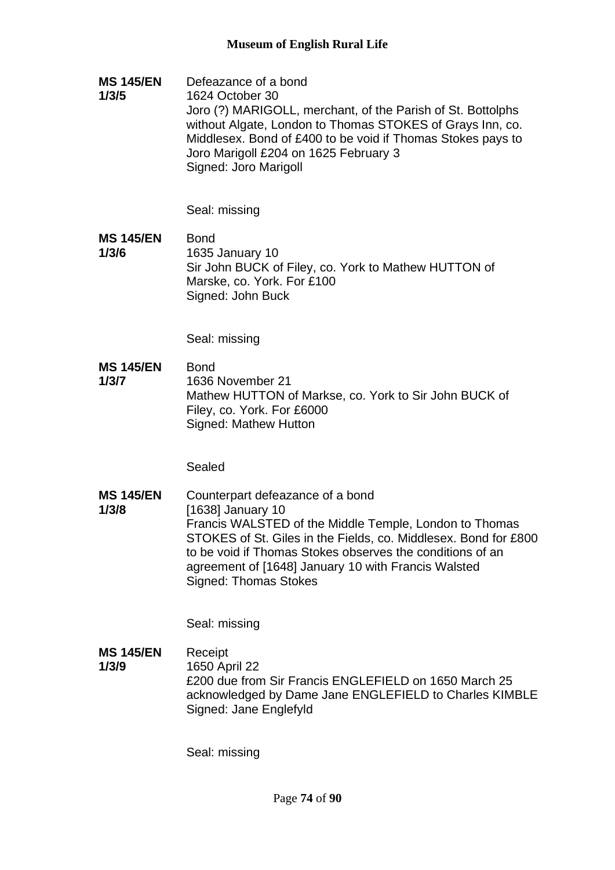**MS 145/EN 1/3/5** Defeazance of a bond 1624 October 30 Joro (?) MARIGOLL, merchant, of the Parish of St. Bottolphs without Algate, London to Thomas STOKES of Grays Inn, co. Middlesex. Bond of £400 to be void if Thomas Stokes pays to Joro Marigoll £204 on 1625 February 3 Signed: Joro Marigoll

Seal: missing

**MS 145/EN 1/3/6** Bond 1635 January 10 Sir John BUCK of Filey, co. York to Mathew HUTTON of Marske, co. York. For £100 Signed: John Buck

Seal: missing

**MS 145/EN 1/3/7** Bond 1636 November 21 Mathew HUTTON of Markse, co. York to Sir John BUCK of Filey, co. York. For £6000 Signed: Mathew Hutton

Sealed

**MS 145/EN 1/3/8** Counterpart defeazance of a bond [1638] January 10 Francis WALSTED of the Middle Temple, London to Thomas STOKES of St. Giles in the Fields, co. Middlesex. Bond for £800 to be void if Thomas Stokes observes the conditions of an agreement of [1648] January 10 with Francis Walsted Signed: Thomas Stokes

Seal: missing

**MS 145/EN 1/3/9** Receipt 1650 April 22 £200 due from Sir Francis ENGLEFIELD on 1650 March 25 acknowledged by Dame Jane ENGLEFIELD to Charles KIMBLE Signed: Jane Englefyld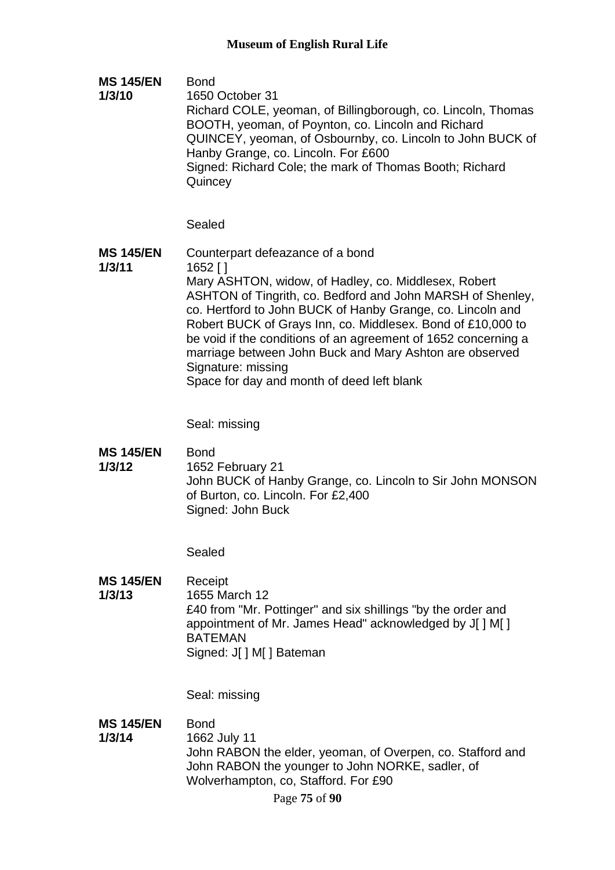**MS 145/EN 1/3/10** Bond 1650 October 31 Richard COLE, yeoman, of Billingborough, co. Lincoln, Thomas BOOTH, yeoman, of Poynton, co. Lincoln and Richard QUINCEY, yeoman, of Osbournby, co. Lincoln to John BUCK of Hanby Grange, co. Lincoln. For £600 Signed: Richard Cole; the mark of Thomas Booth; Richard **Quincey** 

#### Sealed

**MS 145/EN 1/3/11** Counterpart defeazance of a bond 1652 [ ] Mary ASHTON, widow, of Hadley, co. Middlesex, Robert ASHTON of Tingrith, co. Bedford and John MARSH of Shenley, co. Hertford to John BUCK of Hanby Grange, co. Lincoln and Robert BUCK of Grays Inn, co. Middlesex. Bond of £10,000 to be void if the conditions of an agreement of 1652 concerning a marriage between John Buck and Mary Ashton are observed Signature: missing Space for day and month of deed left blank

Seal: missing

**MS 145/EN**  Bond

**1/3/12**

1652 February 21 John BUCK of Hanby Grange, co. Lincoln to Sir John MONSON of Burton, co. Lincoln. For £2,400 Signed: John Buck

Sealed

**MS 145/EN 1/3/13** Receipt 1655 March 12 £40 from "Mr. Pottinger" and six shillings "by the order and appointment of Mr. James Head" acknowledged by J[ ] M[ ] BATEMAN Signed: J[ ] M[ ] Bateman

Seal: missing

**MS 145/EN**  Bond

**1/3/14** 1662 July 11 John RABON the elder, yeoman, of Overpen, co. Stafford and John RABON the younger to John NORKE, sadler, of Wolverhampton, co, Stafford. For £90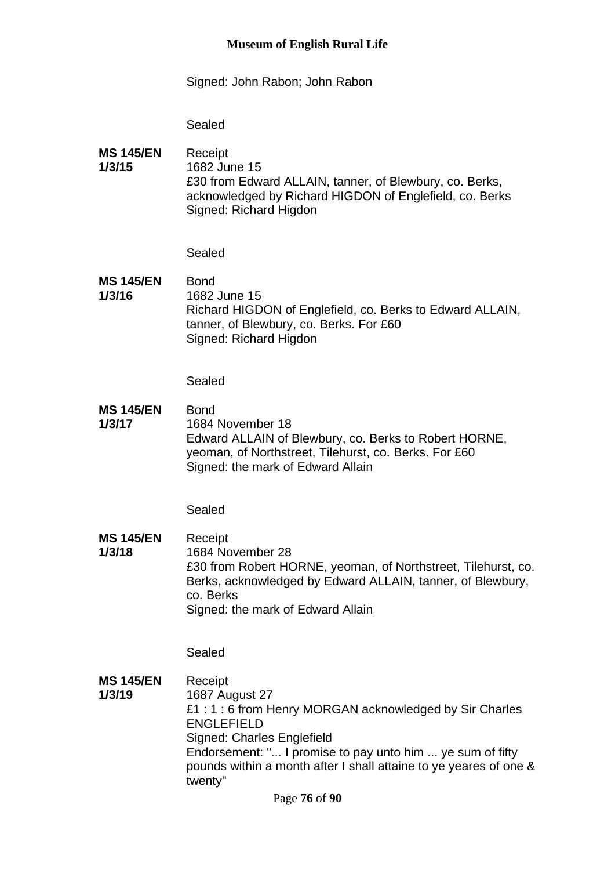### **Museum of English Rural Life**

Signed: John Rabon; John Rabon

Sealed

**MS 145/EN 1/3/15** Receipt 1682 June 15 £30 from Edward ALLAIN, tanner, of Blewbury, co. Berks, acknowledged by Richard HIGDON of Englefield, co. Berks Signed: Richard Higdon

Sealed

**MS 145/EN 1/3/16** Bond 1682 June 15 Richard HIGDON of Englefield, co. Berks to Edward ALLAIN, tanner, of Blewbury, co. Berks. For £60 Signed: Richard Higdon

Sealed

**MS 145/EN 1/3/17** Bond 1684 November 18 Edward ALLAIN of Blewbury, co. Berks to Robert HORNE, yeoman, of Northstreet, Tilehurst, co. Berks. For £60 Signed: the mark of Edward Allain

Sealed

**MS 145/EN 1/3/18** Receipt 1684 November 28 £30 from Robert HORNE, yeoman, of Northstreet, Tilehurst, co. Berks, acknowledged by Edward ALLAIN, tanner, of Blewbury, co. Berks Signed: the mark of Edward Allain

Sealed

**MS 145/EN 1/3/19** Receipt 1687 August 27 £1 : 1 : 6 from Henry MORGAN acknowledged by Sir Charles ENGLEFIELD Signed: Charles Englefield Endorsement: "... I promise to pay unto him ... ye sum of fifty pounds within a month after I shall attaine to ye yeares of one & twenty"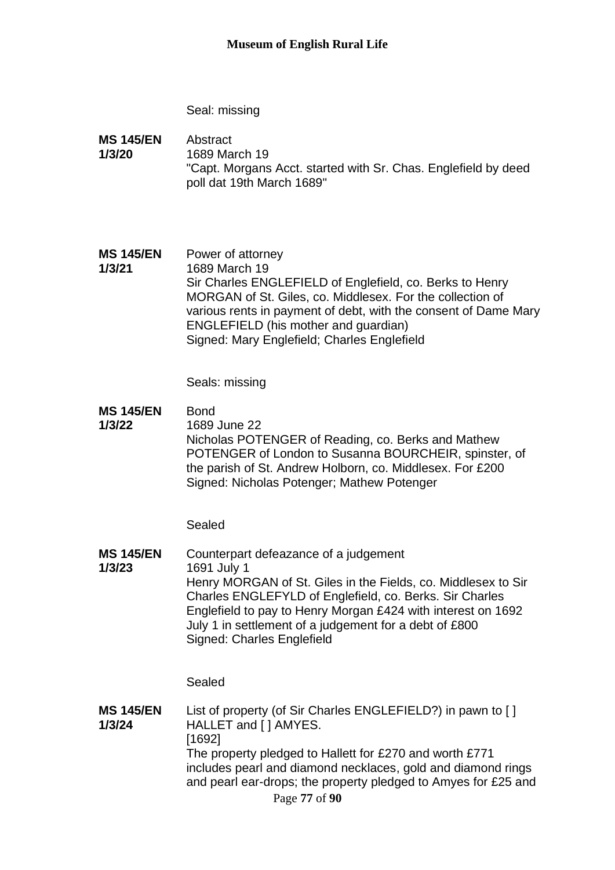Seal: missing

**MS 145/EN 1/3/20** Abstract 1689 March 19 "Capt. Morgans Acct. started with Sr. Chas. Englefield by deed poll dat 19th March 1689"

**MS 145/EN 1/3/21** Power of attorney 1689 March 19 Sir Charles ENGLEFIELD of Englefield, co. Berks to Henry MORGAN of St. Giles, co. Middlesex. For the collection of various rents in payment of debt, with the consent of Dame Mary ENGLEFIELD (his mother and guardian) Signed: Mary Englefield; Charles Englefield

Seals: missing

**MS 145/EN**  Bond

**1/3/22** 1689 June 22 Nicholas POTENGER of Reading, co. Berks and Mathew POTENGER of London to Susanna BOURCHEIR, spinster, of the parish of St. Andrew Holborn, co. Middlesex. For £200 Signed: Nicholas Potenger; Mathew Potenger

Sealed

**MS 145/EN 1/3/23** Counterpart defeazance of a judgement 1691 July 1 Henry MORGAN of St. Giles in the Fields, co. Middlesex to Sir Charles ENGLEFYLD of Englefield, co. Berks. Sir Charles Englefield to pay to Henry Morgan £424 with interest on 1692 July 1 in settlement of a judgement for a debt of £800 Signed: Charles Englefield

Sealed

Page **77** of **90 MS 145/EN 1/3/24** List of property (of Sir Charles ENGLEFIELD?) in pawn to [] HALLET and [ ] AMYES. [1692] The property pledged to Hallett for £270 and worth £771 includes pearl and diamond necklaces, gold and diamond rings and pearl ear-drops; the property pledged to Amyes for £25 and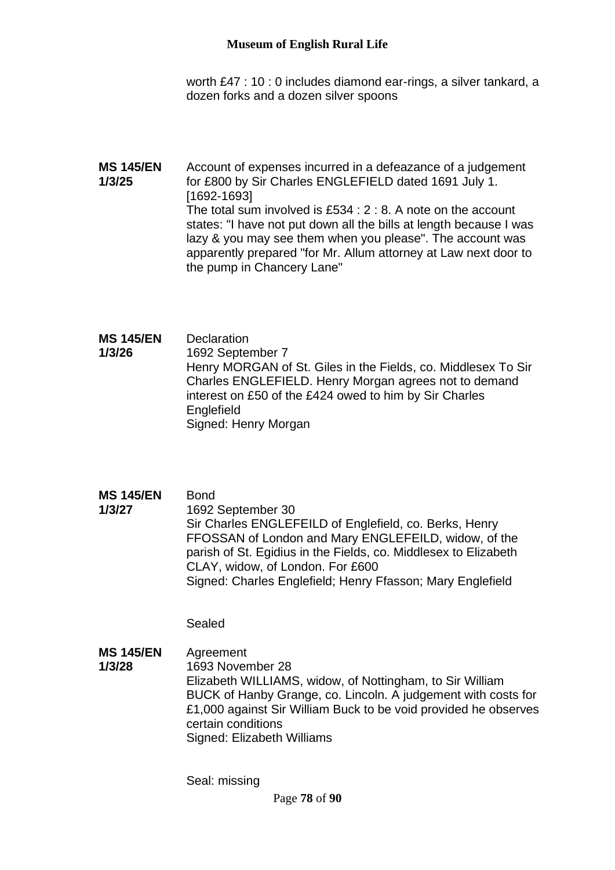worth £47 : 10 : 0 includes diamond ear-rings, a silver tankard, a dozen forks and a dozen silver spoons

- **MS 145/EN 1/3/25** Account of expenses incurred in a defeazance of a judgement for £800 by Sir Charles ENGLEFIELD dated 1691 July 1. [1692-1693] The total sum involved is £534 : 2 : 8. A note on the account states: "I have not put down all the bills at length because I was lazy & you may see them when you please". The account was apparently prepared "for Mr. Allum attorney at Law next door to the pump in Chancery Lane"
- **MS 145/EN 1/3/26 Declaration** 1692 September 7 Henry MORGAN of St. Giles in the Fields, co. Middlesex To Sir Charles ENGLEFIELD. Henry Morgan agrees not to demand interest on £50 of the £424 owed to him by Sir Charles Englefield Signed: Henry Morgan
- **MS 145/EN**  Bond
- **1/3/27** 1692 September 30 Sir Charles ENGLEFEILD of Englefield, co. Berks, Henry FFOSSAN of London and Mary ENGLEFEILD, widow, of the parish of St. Egidius in the Fields, co. Middlesex to Elizabeth CLAY, widow, of London. For £600 Signed: Charles Englefield; Henry Ffasson; Mary Englefield

Sealed

**MS 145/EN 1/3/28** Agreement 1693 November 28 Elizabeth WILLIAMS, widow, of Nottingham, to Sir William BUCK of Hanby Grange, co. Lincoln. A judgement with costs for £1,000 against Sir William Buck to be void provided he observes certain conditions Signed: Elizabeth Williams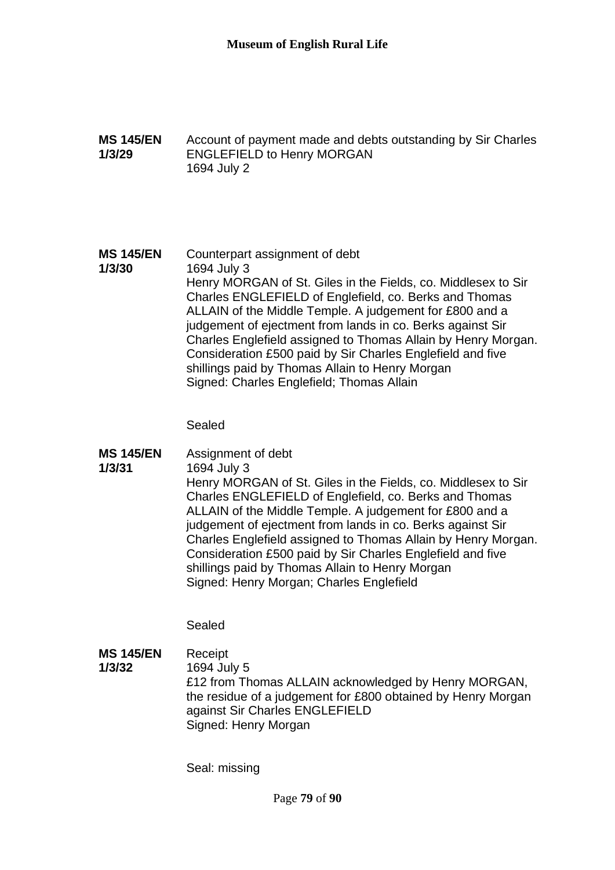**MS 145/EN 1/3/29** Account of payment made and debts outstanding by Sir Charles ENGLEFIELD to Henry MORGAN 1694 July 2

#### **MS 145/EN 1/3/30** Counterpart assignment of debt 1694 July 3 Henry MORGAN of St. Giles in the Fields, co. Middlesex to Sir Charles ENGLEFIELD of Englefield, co. Berks and Thomas ALLAIN of the Middle Temple. A judgement for £800 and a judgement of ejectment from lands in co. Berks against Sir Charles Englefield assigned to Thomas Allain by Henry Morgan. Consideration £500 paid by Sir Charles Englefield and five shillings paid by Thomas Allain to Henry Morgan Signed: Charles Englefield; Thomas Allain

Sealed

**MS 145/EN 1/3/31** Assignment of debt 1694 July 3 Henry MORGAN of St. Giles in the Fields, co. Middlesex to Sir Charles ENGLEFIELD of Englefield, co. Berks and Thomas ALLAIN of the Middle Temple. A judgement for £800 and a judgement of ejectment from lands in co. Berks against Sir Charles Englefield assigned to Thomas Allain by Henry Morgan. Consideration £500 paid by Sir Charles Englefield and five shillings paid by Thomas Allain to Henry Morgan Signed: Henry Morgan; Charles Englefield

Sealed

**MS 145/EN 1/3/32** Receipt 1694 July 5 £12 from Thomas ALLAIN acknowledged by Henry MORGAN, the residue of a judgement for £800 obtained by Henry Morgan against Sir Charles ENGLEFIELD Signed: Henry Morgan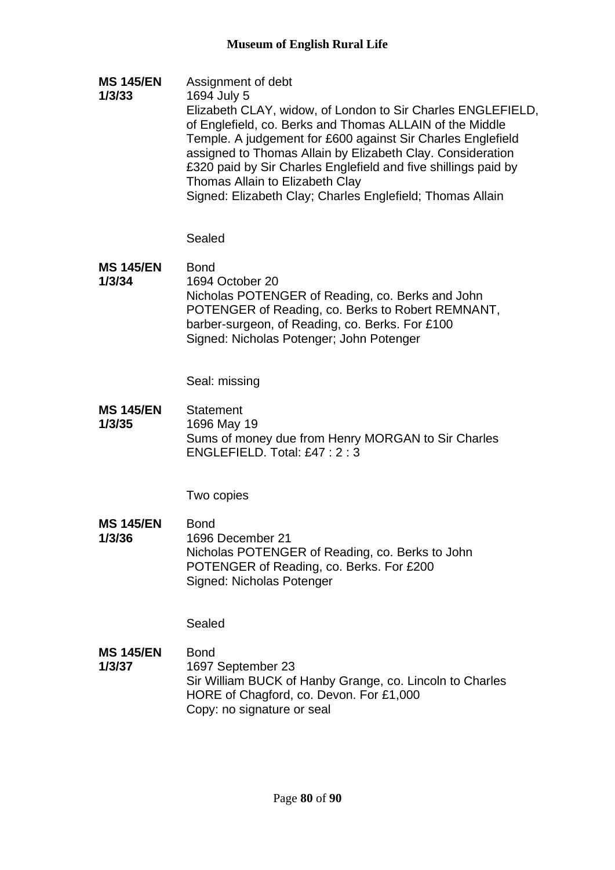**MS 145/EN 1/3/33** Assignment of debt 1694 July 5 Elizabeth CLAY, widow, of London to Sir Charles ENGLEFIELD, of Englefield, co. Berks and Thomas ALLAIN of the Middle Temple. A judgement for £600 against Sir Charles Englefield assigned to Thomas Allain by Elizabeth Clay. Consideration £320 paid by Sir Charles Englefield and five shillings paid by Thomas Allain to Elizabeth Clay Signed: Elizabeth Clay; Charles Englefield; Thomas Allain

Sealed

**MS 145/EN 1/3/34** Bond 1694 October 20 Nicholas POTENGER of Reading, co. Berks and John POTENGER of Reading, co. Berks to Robert REMNANT, barber-surgeon, of Reading, co. Berks. For £100 Signed: Nicholas Potenger; John Potenger

Seal: missing

**MS 145/EN 1/3/35 Statement** 1696 May 19 Sums of money due from Henry MORGAN to Sir Charles ENGLEFIELD. Total: £47 : 2 : 3

Two copies

**MS 145/EN 1/3/36** Bond 1696 December 21 Nicholas POTENGER of Reading, co. Berks to John POTENGER of Reading, co. Berks. For £200 Signed: Nicholas Potenger

Sealed

**MS 145/EN 1/3/37** Bond 1697 September 23 Sir William BUCK of Hanby Grange, co. Lincoln to Charles HORE of Chagford, co. Devon. For £1,000 Copy: no signature or seal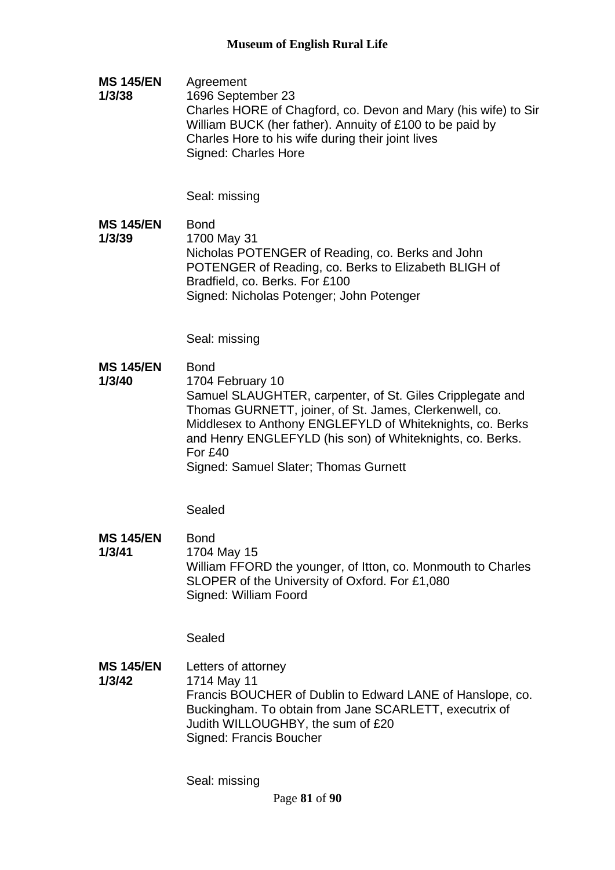**MS 145/EN 1/3/38** Agreement 1696 September 23 Charles HORE of Chagford, co. Devon and Mary (his wife) to Sir William BUCK (her father). Annuity of £100 to be paid by Charles Hore to his wife during their joint lives Signed: Charles Hore

Seal: missing

**MS 145/EN 1/3/39** Bond 1700 May 31 Nicholas POTENGER of Reading, co. Berks and John POTENGER of Reading, co. Berks to Elizabeth BLIGH of Bradfield, co. Berks. For £100 Signed: Nicholas Potenger; John Potenger

Seal: missing

- **MS 145/EN**  Bond
- **1/3/40** 1704 February 10 Samuel SLAUGHTER, carpenter, of St. Giles Cripplegate and Thomas GURNETT, joiner, of St. James, Clerkenwell, co. Middlesex to Anthony ENGLEFYLD of Whiteknights, co. Berks and Henry ENGLEFYLD (his son) of Whiteknights, co. Berks. For £40

Signed: Samuel Slater; Thomas Gurnett

Sealed

**MS 145/EN 1/3/41** Bond 1704 May 15 William FFORD the younger, of Itton, co. Monmouth to Charles SLOPER of the University of Oxford. For £1,080 Signed: William Foord

Sealed

**MS 145/EN 1/3/42** Letters of attorney 1714 May 11 Francis BOUCHER of Dublin to Edward LANE of Hanslope, co. Buckingham. To obtain from Jane SCARLETT, executrix of Judith WILLOUGHBY, the sum of £20 Signed: Francis Boucher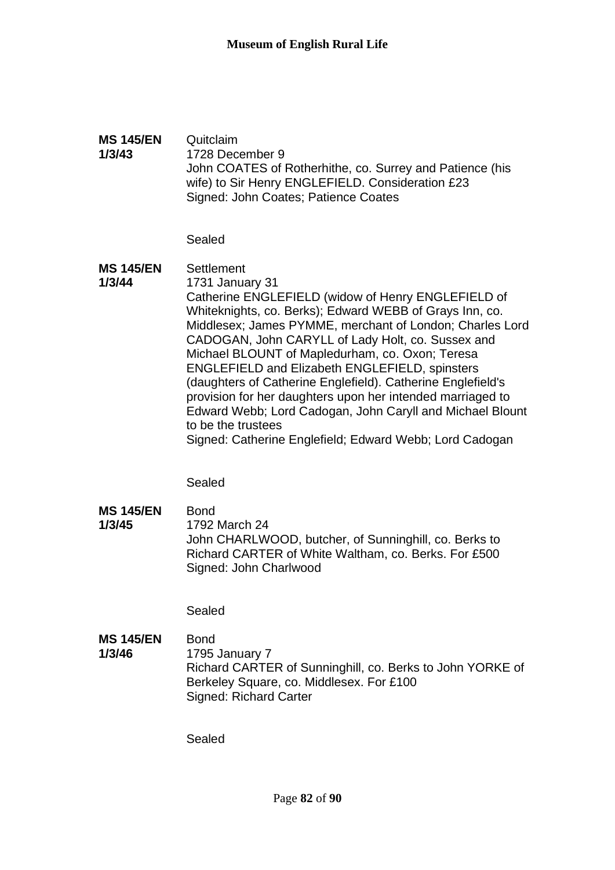#### **MS 145/EN 1/3/43** Quitclaim 1728 December 9 John COATES of Rotherhithe, co. Surrey and Patience (his wife) to Sir Henry ENGLEFIELD. Consideration £23 Signed: John Coates; Patience Coates

## Sealed

#### **MS 145/EN 1/3/44 Settlement** 1731 January 31 Catherine ENGLEFIELD (widow of Henry ENGLEFIELD of Whiteknights, co. Berks); Edward WEBB of Grays Inn, co. Middlesex; James PYMME, merchant of London; Charles Lord CADOGAN, John CARYLL of Lady Holt, co. Sussex and Michael BLOUNT of Mapledurham, co. Oxon; Teresa ENGLEFIELD and Elizabeth ENGLEFIELD, spinsters (daughters of Catherine Englefield). Catherine Englefield's provision for her daughters upon her intended marriaged to Edward Webb; Lord Cadogan, John Caryll and Michael Blount to be the trustees Signed: Catherine Englefield; Edward Webb; Lord Cadogan

Sealed

**MS 145/EN 1/3/45** Bond 1792 March 24 John CHARLWOOD, butcher, of Sunninghill, co. Berks to Richard CARTER of White Waltham, co. Berks. For £500 Signed: John Charlwood

Sealed

**MS 145/EN 1/3/46** Bond 1795 January 7 Richard CARTER of Sunninghill, co. Berks to John YORKE of Berkeley Square, co. Middlesex. For £100 Signed: Richard Carter

Sealed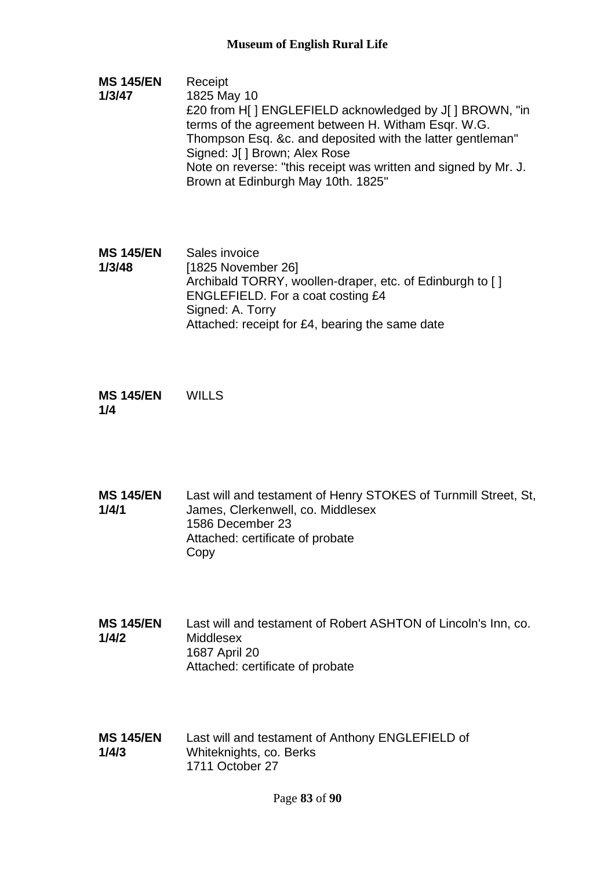- **MS 145/EN 1/3/47** Receipt 1825 May 10 £20 from H[ ] ENGLEFIELD acknowledged by J[ ] BROWN, "in terms of the agreement between H. Witham Esqr. W.G. Thompson Esq. &c. and deposited with the latter gentleman" Signed: J[ ] Brown; Alex Rose Note on reverse: "this receipt was written and signed by Mr. J. Brown at Edinburgh May 10th. 1825"
- **MS 145/EN 1/3/48** Sales invoice [1825 November 26] Archibald TORRY, woollen-draper, etc. of Edinburgh to [] ENGLEFIELD. For a coat costing £4 Signed: A. Torry Attached: receipt for £4, bearing the same date

**MS 145/EN 1/4** WILLS

- **MS 145/EN 1/4/1** Last will and testament of Henry STOKES of Turnmill Street, St, James, Clerkenwell, co. Middlesex 1586 December 23 Attached: certificate of probate Copy
- **MS 145/EN 1/4/2** Last will and testament of Robert ASHTON of Lincoln's Inn, co. **Middlesex** 1687 April 20 Attached: certificate of probate
- **MS 145/EN 1/4/3** Last will and testament of Anthony ENGLEFIELD of Whiteknights, co. Berks 1711 October 27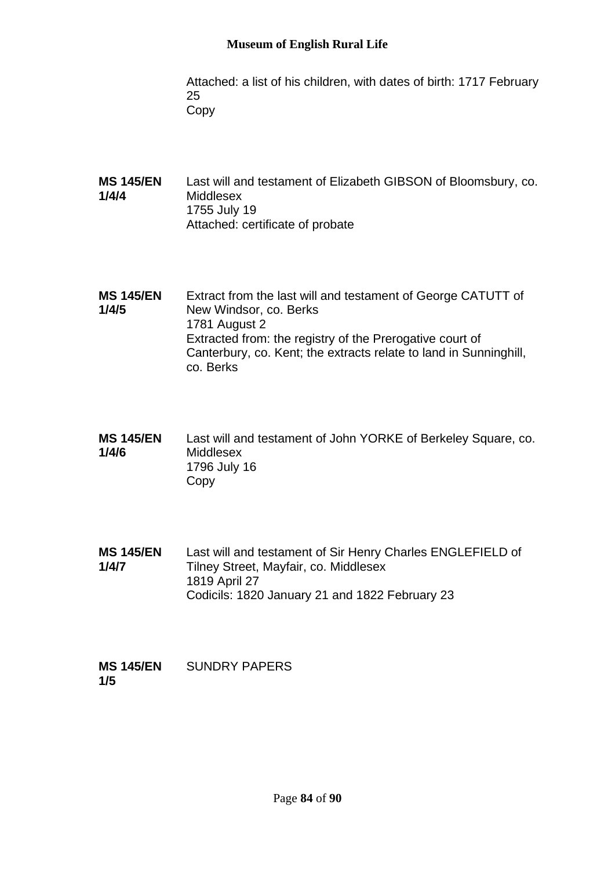## **Museum of English Rural Life**

Attached: a list of his children, with dates of birth: 1717 February 25 Copy

- **MS 145/EN 1/4/4** Last will and testament of Elizabeth GIBSON of Bloomsbury, co. Middlesex 1755 July 19 Attached: certificate of probate
- **MS 145/EN 1/4/5** Extract from the last will and testament of George CATUTT of New Windsor, co. Berks 1781 August 2 Extracted from: the registry of the Prerogative court of Canterbury, co. Kent; the extracts relate to land in Sunninghill, co. Berks
- **MS 145/EN 1/4/6** Last will and testament of John YORKE of Berkeley Square, co. **Middlesex** 1796 July 16 Copy
- **MS 145/EN 1/4/7** Last will and testament of Sir Henry Charles ENGLEFIELD of Tilney Street, Mayfair, co. Middlesex 1819 April 27 Codicils: 1820 January 21 and 1822 February 23

| <b>MS 145/EN</b> | <b>SUNDRY PAPERS</b> |
|------------------|----------------------|
| 1/5              |                      |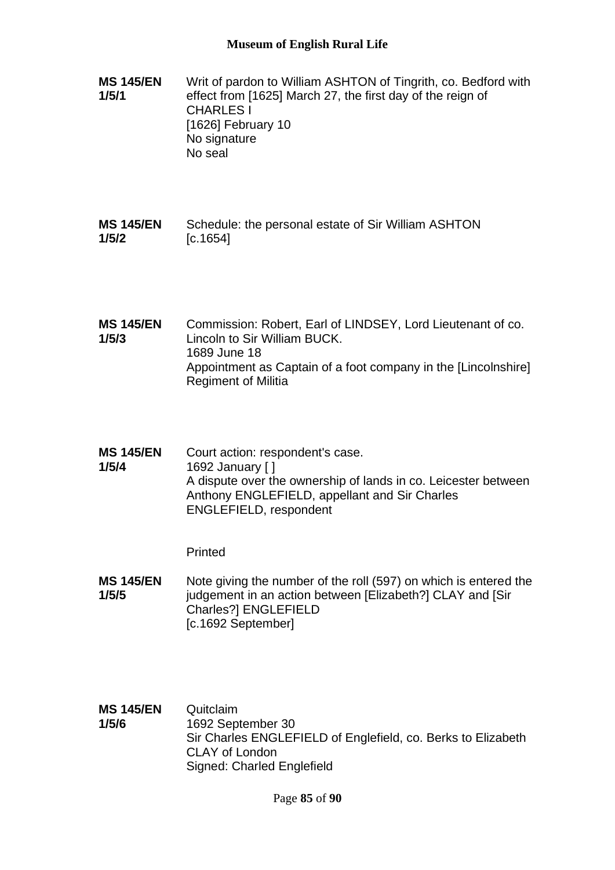- **MS 145/EN 1/5/1** Writ of pardon to William ASHTON of Tingrith, co. Bedford with effect from [1625] March 27, the first day of the reign of CHARLES I [1626] February 10 No signature No seal
- **MS 145/EN 1/5/2** Schedule: the personal estate of Sir William ASHTON [c.1654]
- **MS 145/EN 1/5/3** Commission: Robert, Earl of LINDSEY, Lord Lieutenant of co. Lincoln to Sir William BUCK. 1689 June 18 Appointment as Captain of a foot company in the [Lincolnshire] Regiment of Militia
- **MS 145/EN 1/5/4** Court action: respondent's case. 1692 January [ ] A dispute over the ownership of lands in co. Leicester between Anthony ENGLEFIELD, appellant and Sir Charles ENGLEFIELD, respondent

Printed

- **MS 145/EN 1/5/5** Note giving the number of the roll (597) on which is entered the judgement in an action between [Elizabeth?] CLAY and [Sir Charles?] ENGLEFIELD [c.1692 September]
- **MS 145/EN 1/5/6** Quitclaim 1692 September 30 Sir Charles ENGLEFIELD of Englefield, co. Berks to Elizabeth CLAY of London Signed: Charled Englefield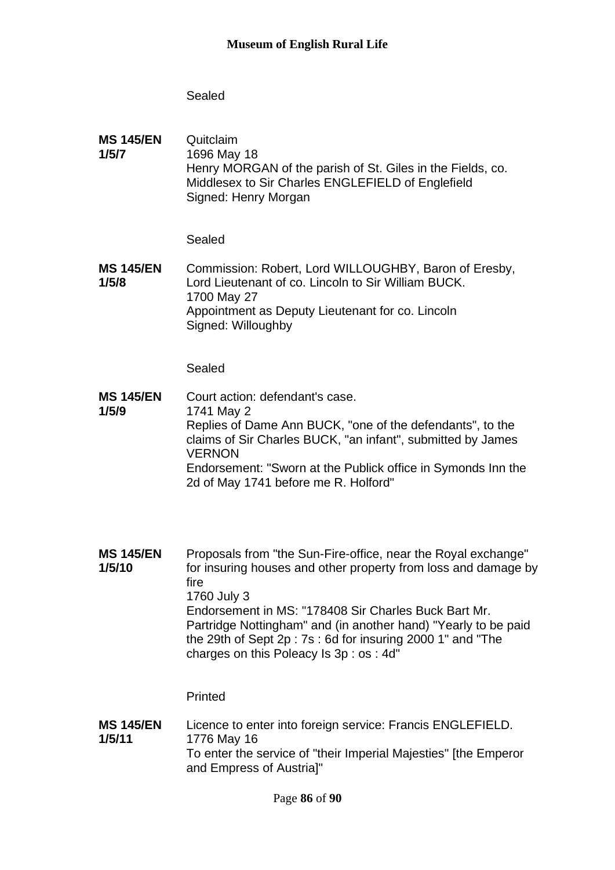# Sealed

**MS 145/EN 1/5/7 Quitclaim** 1696 May 18 Henry MORGAN of the parish of St. Giles in the Fields, co. Middlesex to Sir Charles ENGLEFIELD of Englefield Signed: Henry Morgan

Sealed

**MS 145/EN 1/5/8** Commission: Robert, Lord WILLOUGHBY, Baron of Eresby, Lord Lieutenant of co. Lincoln to Sir William BUCK. 1700 May 27 Appointment as Deputy Lieutenant for co. Lincoln Signed: Willoughby

Sealed

- **MS 145/EN 1/5/9** Court action: defendant's case. 1741 May 2 Replies of Dame Ann BUCK, "one of the defendants", to the claims of Sir Charles BUCK, "an infant", submitted by James **VERNON** Endorsement: "Sworn at the Publick office in Symonds Inn the 2d of May 1741 before me R. Holford"
- **MS 145/EN 1/5/10** Proposals from "the Sun-Fire-office, near the Royal exchange" for insuring houses and other property from loss and damage by fire 1760 July 3 Endorsement in MS: "178408 Sir Charles Buck Bart Mr. Partridge Nottingham" and (in another hand) "Yearly to be paid the 29th of Sept 2p : 7s : 6d for insuring 2000 1" and "The charges on this Poleacy Is 3p : os : 4d"

Printed

**MS 145/EN 1/5/11** Licence to enter into foreign service: Francis ENGLEFIELD. 1776 May 16 To enter the service of "their Imperial Majesties" [the Emperor and Empress of Austria]"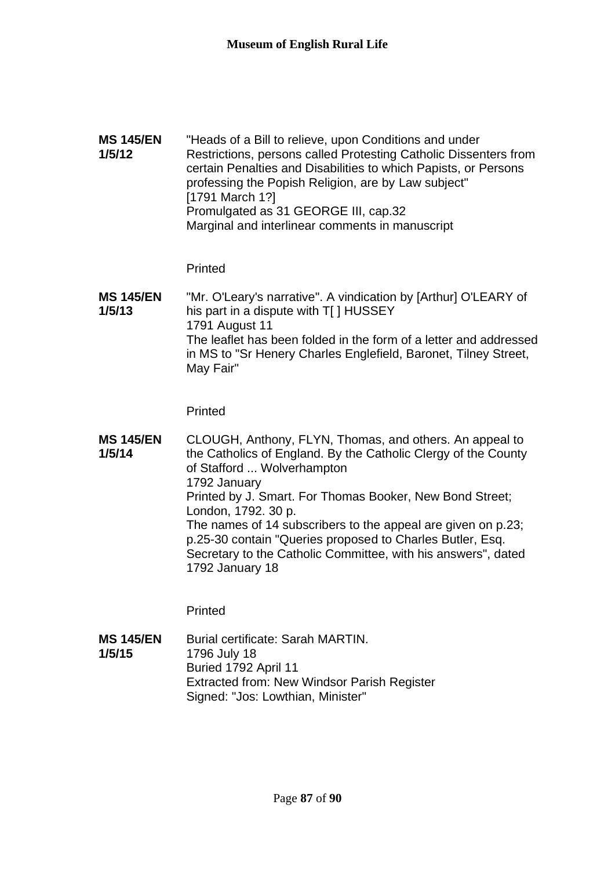**MS 145/EN 1/5/12** "Heads of a Bill to relieve, upon Conditions and under Restrictions, persons called Protesting Catholic Dissenters from certain Penalties and Disabilities to which Papists, or Persons professing the Popish Religion, are by Law subject" [1791 March 1?] Promulgated as 31 GEORGE III, cap.32 Marginal and interlinear comments in manuscript

**Printed** 

**MS 145/EN 1/5/13** "Mr. O'Leary's narrative". A vindication by [Arthur] O'LEARY of his part in a dispute with T[ ] HUSSEY 1791 August 11 The leaflet has been folded in the form of a letter and addressed in MS to "Sr Henery Charles Englefield, Baronet, Tilney Street, May Fair"

Printed

**MS 145/EN 1/5/14** CLOUGH, Anthony, FLYN, Thomas, and others. An appeal to the Catholics of England. By the Catholic Clergy of the County of Stafford ... Wolverhampton 1792 January Printed by J. Smart. For Thomas Booker, New Bond Street; London, 1792. 30 p. The names of 14 subscribers to the appeal are given on p.23; p.25-30 contain "Queries proposed to Charles Butler, Esq. Secretary to the Catholic Committee, with his answers", dated 1792 January 18

Printed

**MS 145/EN 1/5/15** Burial certificate: Sarah MARTIN. 1796 July 18 Buried 1792 April 11 Extracted from: New Windsor Parish Register Signed: "Jos: Lowthian, Minister"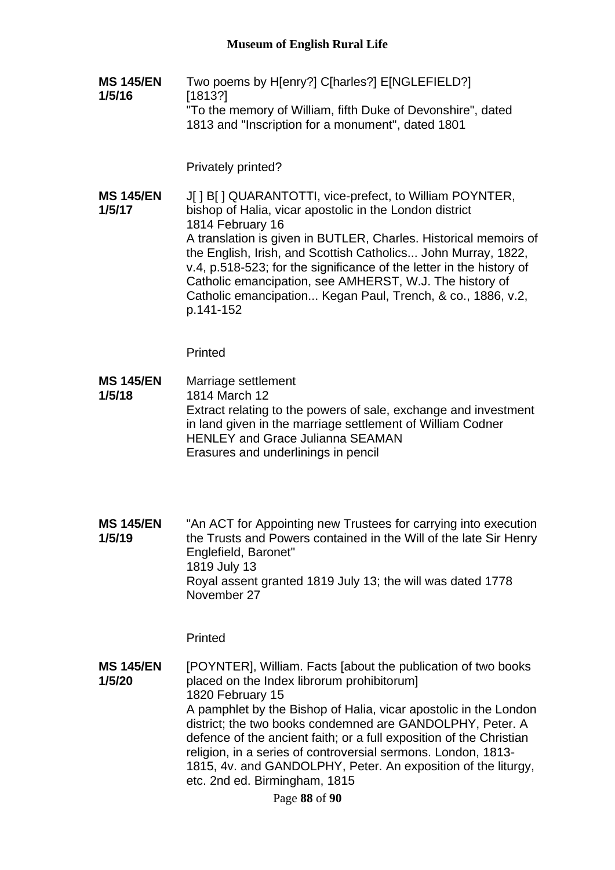**MS 145/EN 1/5/16** Two poems by H[enry?] C[harles?] E[NGLEFIELD?] [1813?] "To the memory of William, fifth Duke of Devonshire", dated 1813 and "Inscription for a monument", dated 1801

Privately printed?

**MS 145/EN 1/5/17** J[ ] B[ ] QUARANTOTTI, vice-prefect, to William POYNTER, bishop of Halia, vicar apostolic in the London district 1814 February 16 A translation is given in BUTLER, Charles. Historical memoirs of the English, Irish, and Scottish Catholics... John Murray, 1822, v.4, p.518-523; for the significance of the letter in the history of Catholic emancipation, see AMHERST, W.J. The history of Catholic emancipation... Kegan Paul, Trench, & co., 1886, v.2, p.141-152

Printed

- **MS 145/EN 1/5/18** Marriage settlement 1814 March 12 Extract relating to the powers of sale, exchange and investment in land given in the marriage settlement of William Codner HENLEY and Grace Julianna SEAMAN Erasures and underlinings in pencil
- **MS 145/EN 1/5/19** "An ACT for Appointing new Trustees for carrying into execution the Trusts and Powers contained in the Will of the late Sir Henry Englefield, Baronet" 1819 July 13 Royal assent granted 1819 July 13; the will was dated 1778 November 27

Printed

**MS 145/EN 1/5/20** [POYNTER], William. Facts [about the publication of two books placed on the Index librorum prohibitorum] 1820 February 15 A pamphlet by the Bishop of Halia, vicar apostolic in the London district; the two books condemned are GANDOLPHY, Peter. A defence of the ancient faith; or a full exposition of the Christian religion, in a series of controversial sermons. London, 1813- 1815, 4v. and GANDOLPHY, Peter. An exposition of the liturgy, etc. 2nd ed. Birmingham, 1815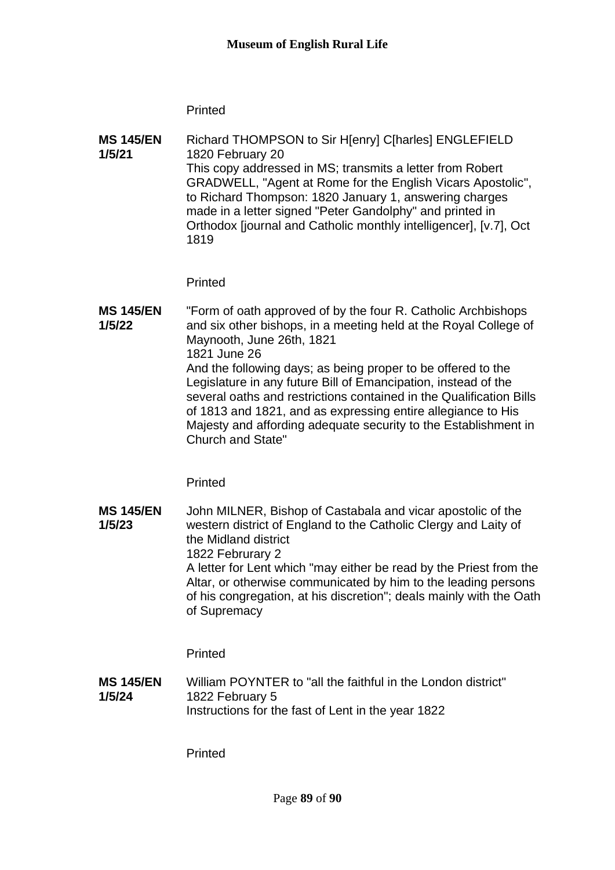**Printed** 

**MS 145/EN 1/5/21** Richard THOMPSON to Sir H[enry] C[harles] ENGLEFIELD 1820 February 20 This copy addressed in MS; transmits a letter from Robert GRADWELL, "Agent at Rome for the English Vicars Apostolic", to Richard Thompson: 1820 January 1, answering charges made in a letter signed "Peter Gandolphy" and printed in Orthodox [journal and Catholic monthly intelligencer], [v.7], Oct 1819

**Printed** 

**MS 145/EN 1/5/22** "Form of oath approved of by the four R. Catholic Archbishops and six other bishops, in a meeting held at the Royal College of Maynooth, June 26th, 1821 1821 June 26 And the following days; as being proper to be offered to the Legislature in any future Bill of Emancipation, instead of the several oaths and restrictions contained in the Qualification Bills of 1813 and 1821, and as expressing entire allegiance to His Majesty and affording adequate security to the Establishment in Church and State"

**Printed** 

**MS 145/EN 1/5/23** John MILNER, Bishop of Castabala and vicar apostolic of the western district of England to the Catholic Clergy and Laity of the Midland district 1822 Februrary 2 A letter for Lent which "may either be read by the Priest from the Altar, or otherwise communicated by him to the leading persons of his congregation, at his discretion"; deals mainly with the Oath of Supremacy

**Printed** 

**MS 145/EN 1/5/24** William POYNTER to "all the faithful in the London district" 1822 February 5 Instructions for the fast of Lent in the year 1822

Printed